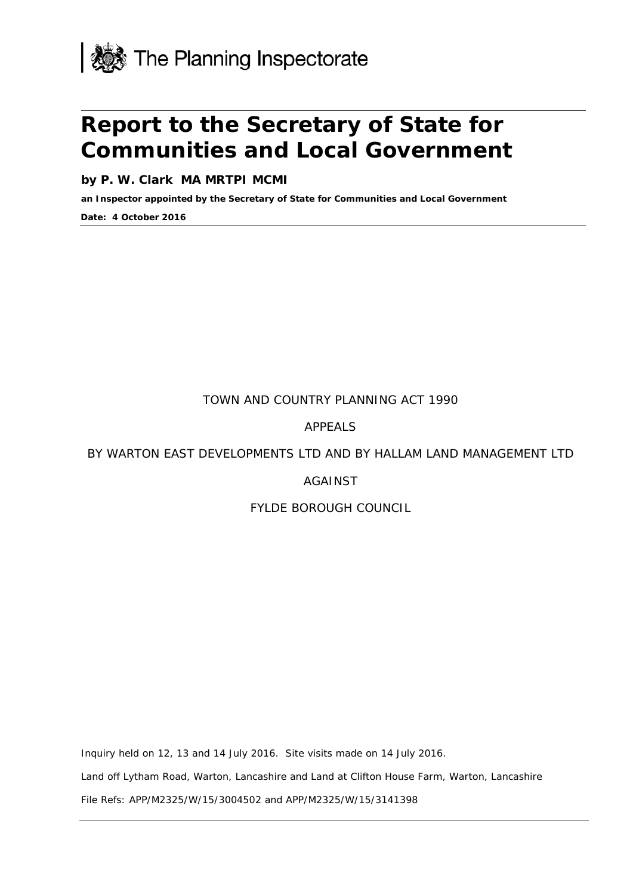

# **Report to the Secretary of State for Communities and Local Government**

**by P. W. Clark MA MRTPI MCMI**

**an Inspector appointed by the Secretary of State for Communities and Local Government**

**Date: 4 October 2016**

TOWN AND COUNTRY PLANNING ACT 1990

APPEALS

BY WARTON EAST DEVELOPMENTS LTD AND BY HALLAM LAND MANAGEMENT LTD

# AGAINST

# FYLDE BOROUGH COUNCIL

Inquiry held on 12, 13 and 14 July 2016. Site visits made on 14 July 2016.

Land off Lytham Road, Warton, Lancashire and Land at Clifton House Farm, Warton, Lancashire

File Refs: APP/M2325/W/15/3004502 and APP/M2325/W/15/3141398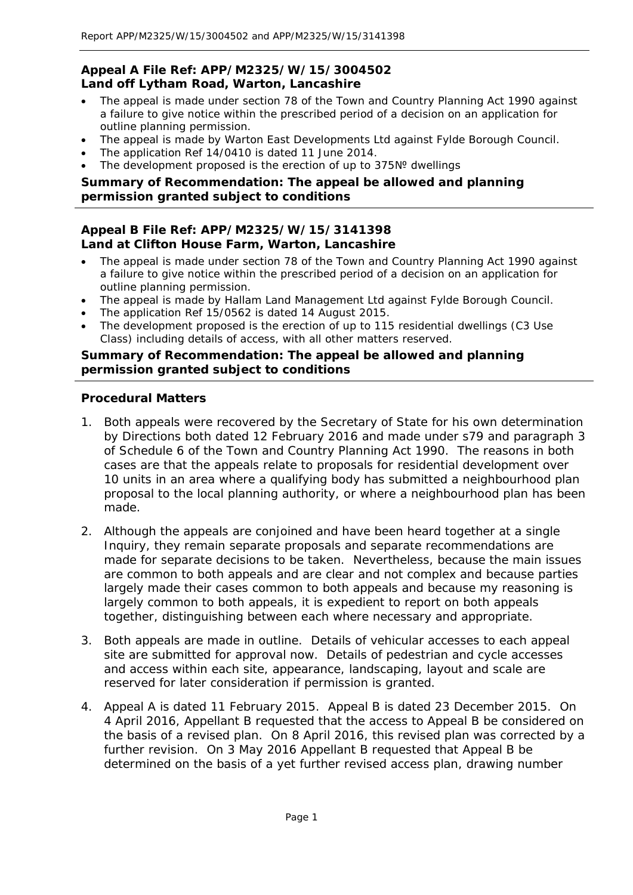# **Appeal A File Ref: APP/M2325/W/15/3004502 Land off Lytham Road, Warton, Lancashire**

- The appeal is made under section 78 of the Town and Country Planning Act 1990 against a failure to give notice within the prescribed period of a decision on an application for outline planning permission.
- The appeal is made by Warton East Developments Ltd against Fylde Borough Council.
- The application Ref 14/0410 is dated 11 June 2014.
- The development proposed is the erection of up to 375Nº dwellings

# **Summary of Recommendation: The appeal be allowed and planning permission granted subject to conditions**

# **Appeal B File Ref: APP/M2325/W/15/3141398 Land at Clifton House Farm, Warton, Lancashire**

- The appeal is made under section 78 of the Town and Country Planning Act 1990 against a failure to give notice within the prescribed period of a decision on an application for outline planning permission.
- The appeal is made by Hallam Land Management Ltd against Fylde Borough Council.
- The application Ref 15/0562 is dated 14 August 2015.
- The development proposed is the erection of up to 115 residential dwellings (C3 Use Class) including details of access, with all other matters reserved.

#### **Summary of Recommendation: The appeal be allowed and planning permission granted subject to conditions**

# **Procedural Matters**

- 1. Both appeals were recovered by the Secretary of State for his own determination by Directions both dated 12 February 2016 and made under s79 and paragraph 3 of Schedule 6 of the Town and Country Planning Act 1990. The reasons in both cases are that the appeals relate to proposals for residential development over 10 units in an area where a qualifying body has submitted a neighbourhood plan proposal to the local planning authority, or where a neighbourhood plan has been made.
- 2. Although the appeals are conjoined and have been heard together at a single Inquiry, they remain separate proposals and separate recommendations are made for separate decisions to be taken. Nevertheless, because the main issues are common to both appeals and are clear and not complex and because parties largely made their cases common to both appeals and because my reasoning is largely common to both appeals, it is expedient to report on both appeals together, distinguishing between each where necessary and appropriate.
- 3. Both appeals are made in outline. Details of vehicular accesses to each appeal site are submitted for approval now. Details of pedestrian and cycle accesses and access within each site, appearance, landscaping, layout and scale are reserved for later consideration if permission is granted.
- 4. Appeal A is dated 11 February 2015. Appeal B is dated 23 December 2015. On 4 April 2016, Appellant B requested that the access to Appeal B be considered on the basis of a revised plan. On 8 April 2016, this revised plan was corrected by a further revision. On 3 May 2016 Appellant B requested that Appeal B be determined on the basis of a yet further revised access plan, drawing number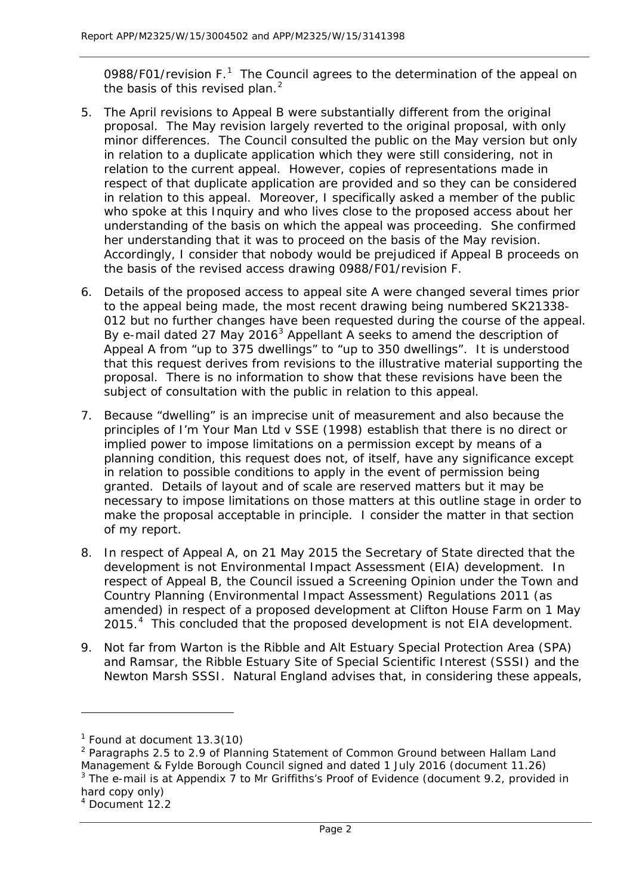0988/F0[1](#page-2-0)/revision F.<sup>1</sup> The Council agrees to the determination of the appeal on the basis of this revised plan. $<sup>2</sup>$  $<sup>2</sup>$  $<sup>2</sup>$ </sup>

- 5. The April revisions to Appeal B were substantially different from the original proposal. The May revision largely reverted to the original proposal, with only minor differences. The Council consulted the public on the May version but only in relation to a duplicate application which they were still considering, not in relation to the current appeal. However, copies of representations made in respect of that duplicate application are provided and so they can be considered in relation to this appeal. Moreover, I specifically asked a member of the public who spoke at this Inquiry and who lives close to the proposed access about her understanding of the basis on which the appeal was proceeding. She confirmed her understanding that it was to proceed on the basis of the May revision. Accordingly, I consider that nobody would be prejudiced if Appeal B proceeds on the basis of the revised access drawing 0988/F01/revision F.
- 6. Details of the proposed access to appeal site A were changed several times prior to the appeal being made, the most recent drawing being numbered SK21338- 012 but no further changes have been requested during the course of the appeal. By e-mail dated 27 May 2016<sup>[3](#page-2-2)</sup> Appellant A seeks to amend the description of Appeal A from "up to 375 dwellings" to "up to 350 dwellings". It is understood that this request derives from revisions to the illustrative material supporting the proposal. There is no information to show that these revisions have been the subject of consultation with the public in relation to this appeal.
- 7. Because "dwelling" is an imprecise unit of measurement and also because the principles of *I'm Your Man Ltd v SSE (1998)* establish that there is no direct or implied power to impose limitations on a permission except by means of a planning condition, this request does not, of itself, have any significance except in relation to possible conditions to apply in the event of permission being granted. Details of layout and of scale are reserved matters but it may be necessary to impose limitations on those matters at this outline stage in order to make the proposal acceptable in principle. I consider the matter in that section of my report.
- 8. In respect of Appeal A, on 21 May 2015 the Secretary of State directed that the development is not Environmental Impact Assessment (EIA) development. In respect of Appeal B, the Council issued a Screening Opinion under the Town and Country Planning (Environmental Impact Assessment) Regulations 2011 (as amended) in respect of a proposed development at Clifton House Farm on 1 May 2015.<sup>[4](#page-2-3)</sup> This concluded that the proposed development is not EIA development.
- 9. Not far from Warton is the Ribble and Alt Estuary Special Protection Area (SPA) and Ramsar, the Ribble Estuary Site of Special Scientific Interest (SSSI) and the Newton Marsh SSSI. Natural England advises that, in considering these appeals,

 $<sup>1</sup>$  Found at document 13.3(10)</sup>

<span id="page-2-1"></span><span id="page-2-0"></span><sup>&</sup>lt;sup>2</sup> Paragraphs 2.5 to 2.9 of Planning Statement of Common Ground between Hallam Land Management & Fylde Borough Council signed and dated 1 July 2016 (document 11.26)  $3$  The e-mail is at Appendix  $7$  to Mr Griffiths's Proof of Evidence (document 9.2, provided in

<span id="page-2-3"></span><span id="page-2-2"></span>hard copy only)

<sup>4</sup> Document 12.2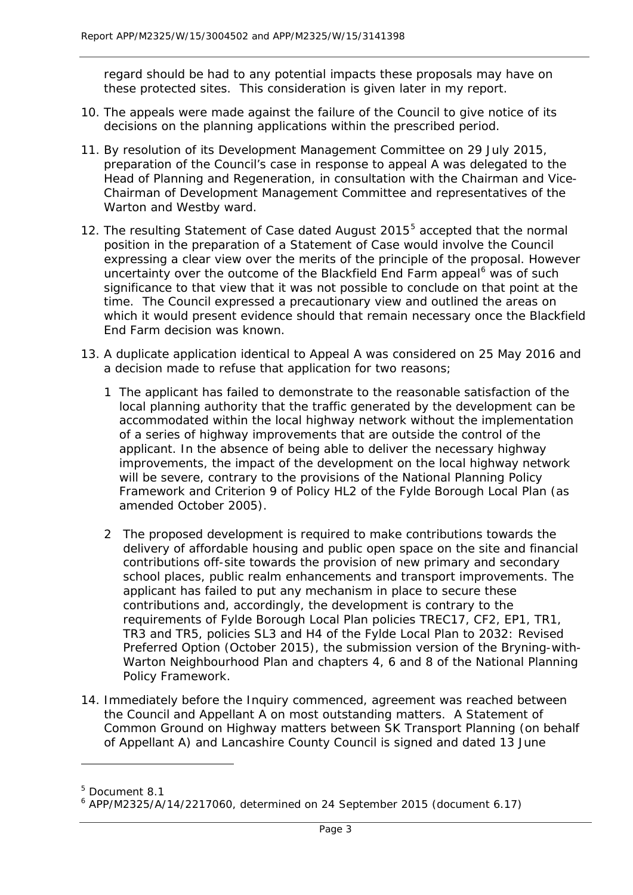regard should be had to any potential impacts these proposals may have on these protected sites. This consideration is given later in my report.

- 10. The appeals were made against the failure of the Council to give notice of its decisions on the planning applications within the prescribed period.
- 11. By resolution of its Development Management Committee on 29 July 2015, preparation of the Council's case in response to appeal A was delegated to the Head of Planning and Regeneration, in consultation with the Chairman and Vice-Chairman of Development Management Committee and representatives of the Warton and Westby ward.
- 12. The resulting Statement of Case dated August 201[5](#page-3-0)<sup>5</sup> accepted that the normal position in the preparation of a Statement of Case would involve the Council expressing a clear view over the merits of the principle of the proposal. However uncertainty over the outcome of the Blackfield End Farm appeal<sup>[6](#page-3-1)</sup> was of such significance to that view that it was not possible to conclude on that point at the time. The Council expressed a precautionary view and outlined the areas on which it would present evidence should that remain necessary once the Blackfield End Farm decision was known.
- 13. A duplicate application identical to Appeal A was considered on 25 May 2016 and a decision made to refuse that application for two reasons;
	- *1 The applicant has failed to demonstrate to the reasonable satisfaction of the local planning authority that the traffic generated by the development can be accommodated within the local highway network without the implementation of a series of highway improvements that are outside the control of the applicant. In the absence of being able to deliver the necessary highway improvements, the impact of the development on the local highway network will be severe, contrary to the provisions of the National Planning Policy Framework and Criterion 9 of Policy HL2 of the Fylde Borough Local Plan (as amended October 2005).*
	- *2 The proposed development is required to make contributions towards the delivery of affordable housing and public open space on the site and financial contributions off-site towards the provision of new primary and secondary school places, public realm enhancements and transport improvements. The applicant has failed to put any mechanism in place to secure these contributions and, accordingly, the development is contrary to the requirements of Fylde Borough Local Plan policies TREC17, CF2, EP1, TR1, TR3 and TR5, policies SL3 and H4 of the Fylde Local Plan to 2032: Revised Preferred Option (October 2015), the submission version of the Bryning-with-Warton Neighbourhood Plan and chapters 4, 6 and 8 of the National Planning Policy Framework.*
- 14. Immediately before the Inquiry commenced, agreement was reached between the Council and Appellant A on most outstanding matters. A Statement of Common Ground on Highway matters between SK Transport Planning (on behalf of Appellant A) and Lancashire County Council is signed and dated 13 June

<span id="page-3-0"></span><sup>5</sup> Document 8.1

<span id="page-3-1"></span><sup>6</sup> APP/M2325/A/14/2217060, determined on 24 September 2015 (document 6.17)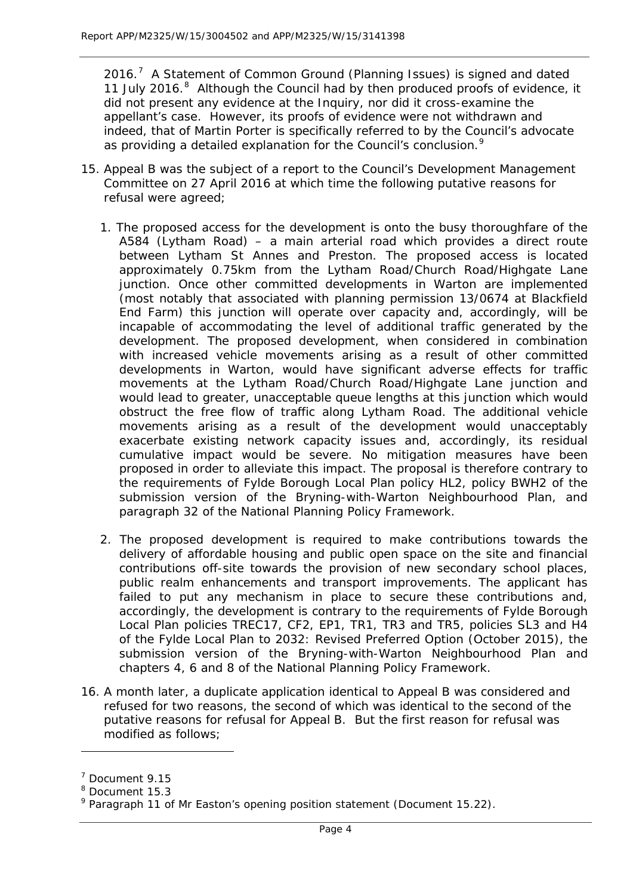2016. $<sup>7</sup>$  $<sup>7</sup>$  $<sup>7</sup>$  A Statement of Common Ground (Planning Issues) is signed and dated</sup> 11 July 2016.<sup>[8](#page-4-1)</sup> Although the Council had by then produced proofs of evidence, it did not present any evidence at the Inquiry, nor did it cross-examine the appellant's case. However, its proofs of evidence were not withdrawn and indeed, that of Martin Porter is specifically referred to by the Council's advocate as providing a detailed explanation for the Council's conclusion.<sup>[9](#page-4-2)</sup>

- 15. Appeal B was the subject of a report to the Council's Development Management Committee on 27 April 2016 at which time the following putative reasons for refusal were agreed;
	- *1. The proposed access for the development is onto the busy thoroughfare of the A584 (Lytham Road) – a main arterial road which provides a direct route between Lytham St Annes and Preston. The proposed access is located approximately 0.75km from the Lytham Road/Church Road/Highgate Lane junction. Once other committed developments in Warton are implemented (most notably that associated with planning permission 13/0674 at Blackfield End Farm) this junction will operate over capacity and, accordingly, will be incapable of accommodating the level of additional traffic generated by the development. The proposed development, when considered in combination with increased vehicle movements arising as a result of other committed developments in Warton, would have significant adverse effects for traffic movements at the Lytham Road/Church Road/Highgate Lane junction and would lead to greater, unacceptable queue lengths at this junction which would obstruct the free flow of traffic along Lytham Road. The additional vehicle movements arising as a result of the development would unacceptably exacerbate existing network capacity issues and, accordingly, its residual cumulative impact would be severe. No mitigation measures have been proposed in order to alleviate this impact. The proposal is therefore contrary to the requirements of Fylde Borough Local Plan policy HL2, policy BWH2 of the submission version of the Bryning-with-Warton Neighbourhood Plan, and paragraph 32 of the National Planning Policy Framework.*
	- *2. The proposed development is required to make contributions towards the delivery of affordable housing and public open space on the site and financial contributions off-site towards the provision of new secondary school places, public realm enhancements and transport improvements. The applicant has failed to put any mechanism in place to secure these contributions and, accordingly, the development is contrary to the requirements of Fylde Borough Local Plan policies TREC17, CF2, EP1, TR1, TR3 and TR5, policies SL3 and H4 of the Fylde Local Plan to 2032: Revised Preferred Option (October 2015), the submission version of the Bryning-with-Warton Neighbourhood Plan and chapters 4, 6 and 8 of the National Planning Policy Framework.*
- 16. A month later, a duplicate application identical to Appeal B was considered and refused for two reasons, the second of which was identical to the second of the putative reasons for refusal for Appeal B. But the first reason for refusal was modified as follows;

<span id="page-4-0"></span><sup>7</sup> Document 9.15

<span id="page-4-1"></span><sup>8</sup> Document 15.3

<span id="page-4-2"></span> $9$  Paragraph 11 of Mr Easton's opening position statement (Document 15.22).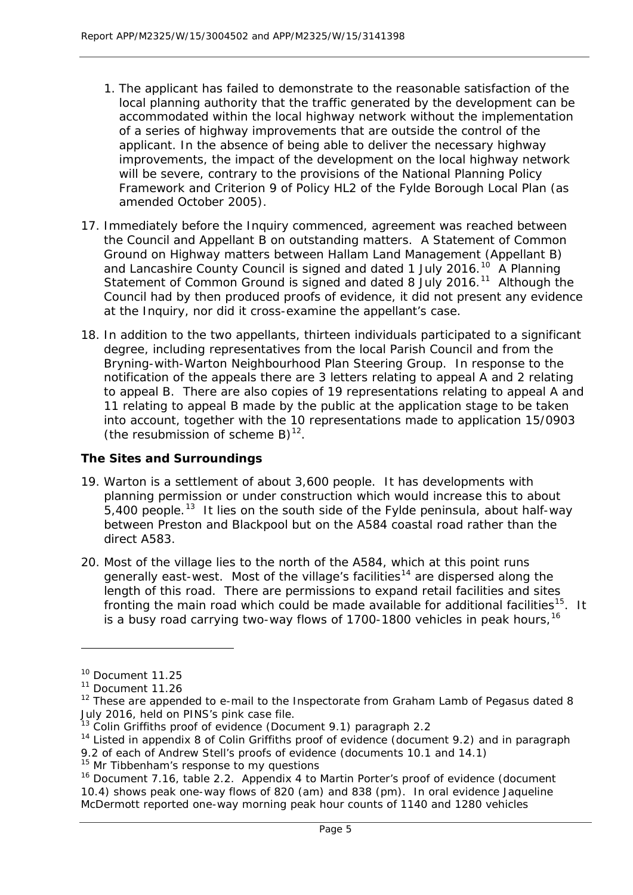- *1. The applicant has failed to demonstrate to the reasonable satisfaction of the local planning authority that the traffic generated by the development can be accommodated within the local highway network without the implementation of a series of highway improvements that are outside the control of the applicant. In the absence of being able to deliver the necessary highway improvements, the impact of the development on the local highway network will be severe, contrary to the provisions of the National Planning Policy Framework and Criterion 9 of Policy HL2 of the Fylde Borough Local Plan (as amended October 2005).*
- 17. Immediately before the Inquiry commenced, agreement was reached between the Council and Appellant B on outstanding matters. A Statement of Common Ground on Highway matters between Hallam Land Management (Appellant B) and Lancashire County Council is signed and dated 1 July 2016.<sup>[10](#page-5-0)</sup> A Planning Statement of Common Ground is signed and dated 8 July 2016.<sup>[11](#page-5-1)</sup> Although the Council had by then produced proofs of evidence, it did not present any evidence at the Inquiry, nor did it cross-examine the appellant's case.
- 18. In addition to the two appellants, thirteen individuals participated to a significant degree, including representatives from the local Parish Council and from the Bryning-with-Warton Neighbourhood Plan Steering Group. In response to the notification of the appeals there are 3 letters relating to appeal A and 2 relating to appeal B. There are also copies of 19 representations relating to appeal A and 11 relating to appeal B made by the public at the application stage to be taken into account, together with the 10 representations made to application 15/0903 (the resubmission of scheme B) $^{12}$  $^{12}$  $^{12}$ .

# **The Sites and Surroundings**

- 19. Warton is a settlement of about 3,600 people. It has developments with planning permission or under construction which would increase this to about  $5,400$  people.<sup>13</sup> It lies on the south side of the Fylde peninsula, about half-way between Preston and Blackpool but on the A584 coastal road rather than the direct A583.
- 20. Most of the village lies to the north of the A584, which at this point runs generally east-west. Most of the village's facilities<sup>[14](#page-5-4)</sup> are dispersed along the length of this road. There are permissions to expand retail facilities and sites fronting the main road which could be made available for additional facilities<sup>[15](#page-5-5)</sup>. It is a busy road carrying two-way flows of 1700-1800 vehicles in peak hours, <sup>[16](#page-5-6)</sup>

<span id="page-5-0"></span><sup>&</sup>lt;sup>10</sup> Document 11.25

<span id="page-5-1"></span><sup>&</sup>lt;sup>11</sup> Document 11.26

<span id="page-5-2"></span> $12$  These are appended to e-mail to the Inspectorate from Graham Lamb of Pegasus dated 8 July 2016, held on PINS's pink case file.

<span id="page-5-3"></span> $13$  Colin Griffiths proof of evidence (Document 9.1) paragraph 2.2

<span id="page-5-4"></span><sup>&</sup>lt;sup>14</sup> Listed in appendix 8 of Colin Griffiths proof of evidence (document 9.2) and in paragraph 9.2 of each of Andrew Stell's proofs of evidence (documents 10.1 and 14.1)

<span id="page-5-5"></span><sup>&</sup>lt;sup>15</sup> Mr Tibbenham's response to my questions

<span id="page-5-6"></span><sup>&</sup>lt;sup>16</sup> Document 7.16, table 2.2. Appendix 4 to Martin Porter's proof of evidence (document 10.4) shows peak one-way flows of 820 (am) and 838 (pm). In oral evidence Jaqueline McDermott reported one-way morning peak hour counts of 1140 and 1280 vehicles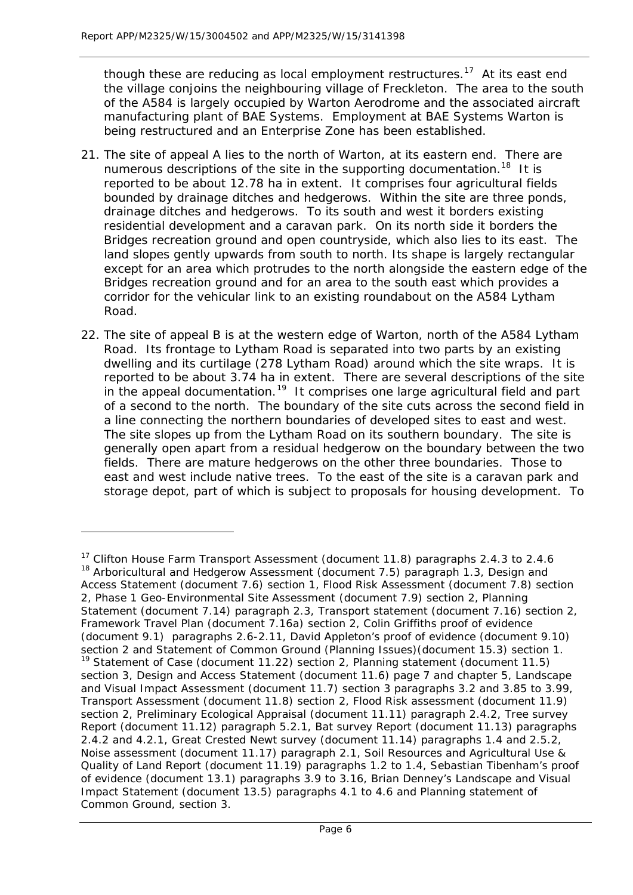l

though these are reducing as local employment restructures.<sup>17</sup> At its east end the village conjoins the neighbouring village of Freckleton. The area to the south of the A584 is largely occupied by Warton Aerodrome and the associated aircraft manufacturing plant of BAE Systems. Employment at BAE Systems Warton is being restructured and an Enterprise Zone has been established.

- 21. The site of appeal A lies to the north of Warton, at its eastern end. There are numerous descriptions of the site in the supporting documentation.<sup>18</sup> It is reported to be about 12.78 ha in extent. It comprises four agricultural fields bounded by drainage ditches and hedgerows. Within the site are three ponds, drainage ditches and hedgerows. To its south and west it borders existing residential development and a caravan park. On its north side it borders the Bridges recreation ground and open countryside, which also lies to its east. The land slopes gently upwards from south to north. Its shape is largely rectangular except for an area which protrudes to the north alongside the eastern edge of the Bridges recreation ground and for an area to the south east which provides a corridor for the vehicular link to an existing roundabout on the A584 Lytham Road.
- 22. The site of appeal B is at the western edge of Warton, north of the A584 Lytham Road. Its frontage to Lytham Road is separated into two parts by an existing dwelling and its curtilage (278 Lytham Road) around which the site wraps. It is reported to be about 3.74 ha in extent. There are several descriptions of the site in the appeal documentation.<sup>19</sup> It comprises one large agricultural field and part of a second to the north. The boundary of the site cuts across the second field in a line connecting the northern boundaries of developed sites to east and west. The site slopes up from the Lytham Road on its southern boundary. The site is generally open apart from a residual hedgerow on the boundary between the two fields. There are mature hedgerows on the other three boundaries. Those to east and west include native trees. To the east of the site is a caravan park and storage depot, part of which is subject to proposals for housing development. To

<span id="page-6-2"></span><span id="page-6-1"></span><span id="page-6-0"></span><sup>&</sup>lt;sup>17</sup> Clifton House Farm Transport Assessment (document 11.8) paragraphs 2.4.3 to 2.4.6 <sup>18</sup> Arboricultural and Hedgerow Assessment (document 7.5) paragraph 1.3, Design and Access Statement (document 7.6) section 1, Flood Risk Assessment (document 7.8) section 2, Phase 1 Geo-Environmental Site Assessment (document 7.9) section 2, Planning Statement (document 7.14) paragraph 2.3, Transport statement (document 7.16) section 2, Framework Travel Plan (document 7.16a) section 2, Colin Griffiths proof of evidence (document 9.1) paragraphs 2.6-2.11, David Appleton's proof of evidence (document 9.10) section 2 and Statement of Common Ground (Planning Issues)(document 15.3) section 1. <sup>19</sup> Statement of Case (document 11.22) section 2, Planning statement (document 11.5) section 3, Design and Access Statement (document 11.6) page 7 and chapter 5, Landscape and Visual Impact Assessment (document 11.7) section 3 paragraphs 3.2 and 3.85 to 3.99, Transport Assessment (document 11.8) section 2, Flood Risk assessment (document 11.9) section 2, Preliminary Ecological Appraisal (document 11.11) paragraph 2.4.2, Tree survey Report (document 11.12) paragraph 5.2.1, Bat survey Report (document 11.13) paragraphs 2.4.2 and 4.2.1, Great Crested Newt survey (document 11.14) paragraphs 1.4 and 2.5.2, Noise assessment (document 11.17) paragraph 2.1, Soil Resources and Agricultural Use & Quality of Land Report (document 11.19) paragraphs 1.2 to 1.4, Sebastian Tibenham's proof of evidence (document 13.1) paragraphs 3.9 to 3.16, Brian Denney's Landscape and Visual Impact Statement (document 13.5) paragraphs 4.1 to 4.6 and Planning statement of Common Ground, section 3.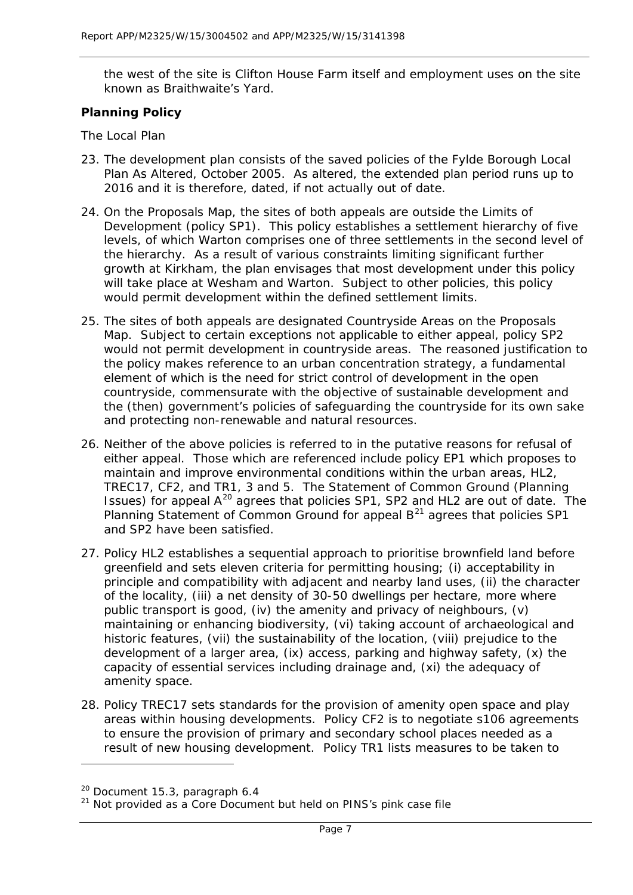the west of the site is Clifton House Farm itself and employment uses on the site known as Braithwaite's Yard.

## **Planning Policy**

#### *The Local Plan*

- 23. The development plan consists of the saved policies of the Fylde Borough Local Plan As Altered, October 2005. As altered, the extended plan period runs up to 2016 and it is therefore, dated, if not actually out of date.
- 24. On the Proposals Map, the sites of both appeals are outside the Limits of Development (policy SP1). This policy establishes a settlement hierarchy of five levels, of which Warton comprises one of three settlements in the second level of the hierarchy. As a result of various constraints limiting significant further growth at Kirkham, the plan envisages that most development under this policy will take place at Wesham and Warton. Subject to other policies, this policy would permit development within the defined settlement limits.
- 25. The sites of both appeals are designated Countryside Areas on the Proposals Map. Subject to certain exceptions not applicable to either appeal, policy SP2 would not permit development in countryside areas. The reasoned justification to the policy makes reference to an urban concentration strategy, a fundamental element of which is the need for strict control of development in the open countryside, commensurate with the objective of sustainable development and the (then) government's policies of safeguarding the countryside for its own sake and protecting non-renewable and natural resources.
- 26. Neither of the above policies is referred to in the putative reasons for refusal of either appeal. Those which are referenced include policy EP1 which proposes to maintain and improve environmental conditions within the urban areas, HL2, TREC17, CF2, and TR1, 3 and 5. The Statement of Common Ground (Planning Issues) for appeal A<sup>[20](#page-7-0)</sup> agrees that policies SP1, SP2 and HL2 are out of date. The Planning Statement of Common Ground for appeal  $B<sup>21</sup>$  $B<sup>21</sup>$  $B<sup>21</sup>$  agrees that policies SP1 and SP2 have been satisfied.
- 27. Policy HL2 establishes a sequential approach to prioritise brownfield land before greenfield and sets eleven criteria for permitting housing; (i) acceptability in principle and compatibility with adjacent and nearby land uses, (ii) the character of the locality, (iii) a net density of 30-50 dwellings per hectare, more where public transport is good, (iv) the amenity and privacy of neighbours, (v) maintaining or enhancing biodiversity, (vi) taking account of archaeological and historic features, (vii) the sustainability of the location, (viii) prejudice to the development of a larger area, (ix) access, parking and highway safety, (x) the capacity of essential services including drainage and, (xi) the adequacy of amenity space.
- 28. Policy TREC17 sets standards for the provision of amenity open space and play areas within housing developments. Policy CF2 is to negotiate s106 agreements to ensure the provision of primary and secondary school places needed as a result of new housing development. Policy TR1 lists measures to be taken to

<span id="page-7-0"></span> $20$  Document 15.3, paragraph 6.4

<span id="page-7-1"></span> $21$  Not provided as a Core Document but held on PINS's pink case file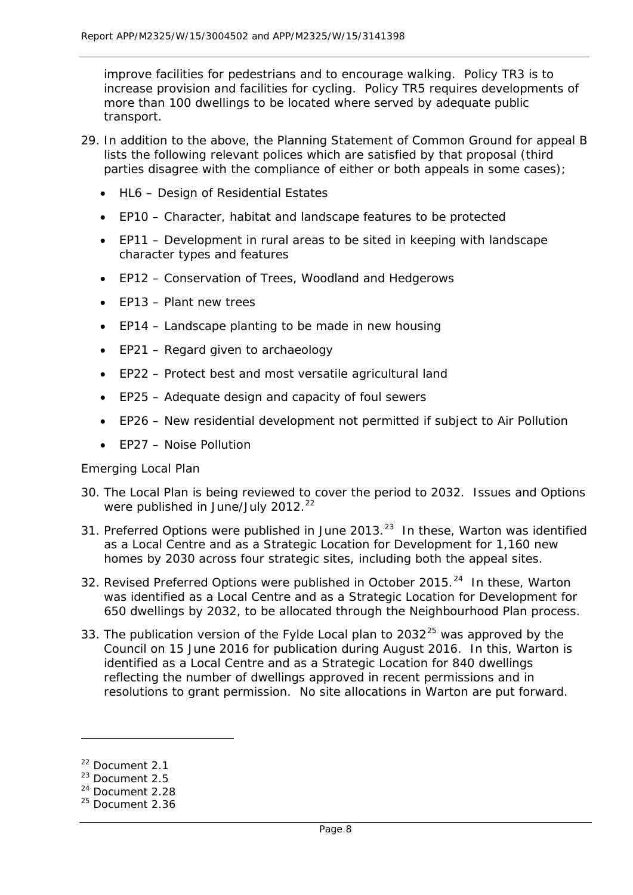improve facilities for pedestrians and to encourage walking. Policy TR3 is to increase provision and facilities for cycling. Policy TR5 requires developments of more than 100 dwellings to be located where served by adequate public transport.

- 29. In addition to the above, the Planning Statement of Common Ground for appeal B lists the following relevant polices which are satisfied by that proposal (third parties disagree with the compliance of either or both appeals in some cases);
	- HL6 Design of Residential Estates
	- EP10 Character, habitat and landscape features to be protected
	- EP11 Development in rural areas to be sited in keeping with landscape character types and features
	- EP12 Conservation of Trees, Woodland and Hedgerows
	- EP13 Plant new trees
	- EP14 Landscape planting to be made in new housing
	- EP21 Regard given to archaeology
	- EP22 Protect best and most versatile agricultural land
	- EP25 Adequate design and capacity of foul sewers
	- EP26 New residential development not permitted if subject to Air Pollution
	- FP27 Noise Pollution

# *Emerging Local Plan*

- 30. The Local Plan is being reviewed to cover the period to 2032. Issues and Options were published in June/July  $2012.<sup>22</sup>$  $2012.<sup>22</sup>$  $2012.<sup>22</sup>$
- 31. Preferred Options were published in June 2013. $^{23}$  In these, Warton was identified as a Local Centre and as a Strategic Location for Development for 1,160 new homes by 2030 across four strategic sites, including both the appeal sites.
- 32. Revised Preferred Options were published in October 2015.<sup>24</sup> In these. Warton was identified as a Local Centre and as a Strategic Location for Development for 650 dwellings by 2032, to be allocated through the Neighbourhood Plan process.
- 33. The publication version of the Fylde Local plan to  $2032^{25}$  $2032^{25}$  $2032^{25}$  was approved by the Council on 15 June 2016 for publication during August 2016. In this, Warton is identified as a Local Centre and as a Strategic Location for 840 dwellings reflecting the number of dwellings approved in recent permissions and in resolutions to grant permission. No site allocations in Warton are put forward.

<span id="page-8-0"></span><sup>22</sup> Document 2.1

<span id="page-8-1"></span><sup>23</sup> Document 2.5

<span id="page-8-2"></span><sup>&</sup>lt;sup>24</sup> Document 2.28

<span id="page-8-3"></span> $25$  Document 2.36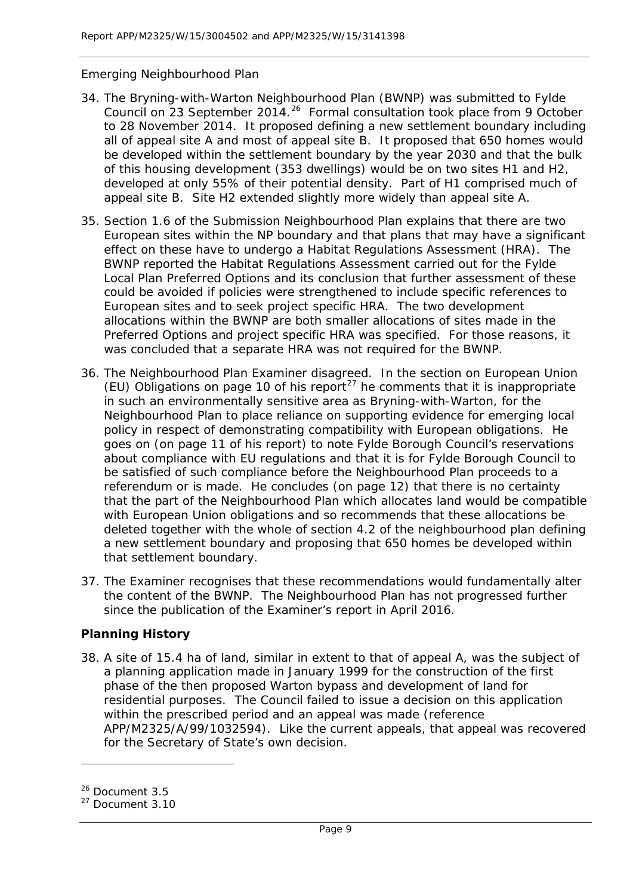# *Emerging Neighbourhood Plan*

- 34. The Bryning-with-Warton Neighbourhood Plan (BWNP) was submitted to Fylde Council on 23 September 2014.<sup>26</sup> Formal consultation took place from 9 October to 28 November 2014. It proposed defining a new settlement boundary including all of appeal site A and most of appeal site B. It proposed that 650 homes would be developed within the settlement boundary by the year 2030 and that the bulk of this housing development (353 dwellings) would be on two sites H1 and H2, developed at only 55% of their potential density. Part of H1 comprised much of appeal site B. Site H2 extended slightly more widely than appeal site A.
- 35. Section 1.6 of the Submission Neighbourhood Plan explains that there are two European sites within the NP boundary and that plans that may have a significant effect on these have to undergo a Habitat Regulations Assessment (HRA). The BWNP reported the Habitat Regulations Assessment carried out for the Fylde Local Plan Preferred Options and its conclusion that further assessment of these could be avoided if policies were strengthened to include specific references to European sites and to seek project specific HRA. The two development allocations within the BWNP are both smaller allocations of sites made in the Preferred Options and project specific HRA was specified. For those reasons, it was concluded that a separate HRA was not required for the BWNP.
- 36. The Neighbourhood Plan Examiner disagreed. In the section on European Union (EU) Obligations on page 10 of his report<sup>[27](#page-9-1)</sup> he comments that it is inappropriate in such an environmentally sensitive area as Bryning-with-Warton, for the Neighbourhood Plan to place reliance on supporting evidence for emerging local policy in respect of demonstrating compatibility with European obligations. He goes on (on page 11 of his report) to note Fylde Borough Council's reservations about compliance with EU regulations and that it is for Fylde Borough Council to be satisfied of such compliance before the Neighbourhood Plan proceeds to a referendum or is made. He concludes (on page 12) that there is no certainty that the part of the Neighbourhood Plan which allocates land would be compatible with European Union obligations and so recommends that these allocations be deleted together with the whole of section 4.2 of the neighbourhood plan defining a new settlement boundary and proposing that 650 homes be developed within that settlement boundary.
- 37. The Examiner recognises that these recommendations would fundamentally alter the content of the BWNP. The Neighbourhood Plan has not progressed further since the publication of the Examiner's report in April 2016.

# **Planning History**

38. A site of 15.4 ha of land, similar in extent to that of appeal A, was the subject of a planning application made in January 1999 for the construction of the first phase of the then proposed Warton bypass and development of land for residential purposes. The Council failed to issue a decision on this application within the prescribed period and an appeal was made (reference APP/M2325/A/99/1032594). Like the current appeals, that appeal was recovered for the Secretary of State's own decision.

<span id="page-9-0"></span><sup>26</sup> Document 3.5

<span id="page-9-1"></span> $27$  Document 3.10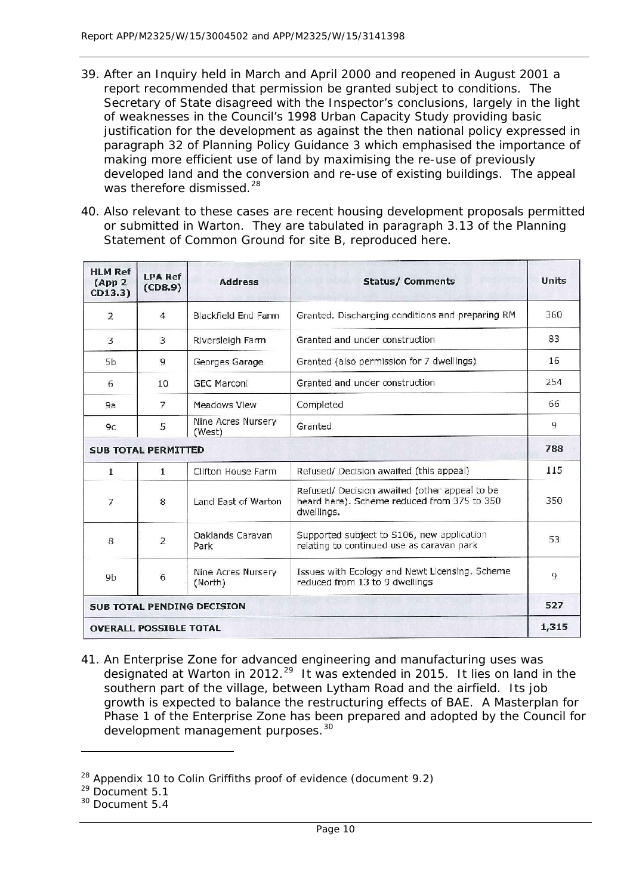- 39. After an Inquiry held in March and April 2000 and reopened in August 2001 a report recommended that permission be granted subject to conditions. The Secretary of State disagreed with the Inspector's conclusions, largely in the light of weaknesses in the Council's 1998 Urban Capacity Study providing basic justification for the development as against the then national policy expressed in paragraph 32 of Planning Policy Guidance 3 which emphasised the importance of making more efficient use of land by maximising the re-use of previously developed land and the conversion and re-use of existing buildings. The appeal was therefore dismissed.<sup>[28](#page-10-0)</sup>
- 40. Also relevant to these cases are recent housing development proposals permitted or submitted in Warton. They are tabulated in paragraph 3.13 of the Planning Statement of Common Ground for site B, reproduced here.

| <b>HLM Ref</b><br>(App <sub>2</sub> )<br>CD13.3) | <b>LPA Ref</b><br>(CDS.9) | <b>Address</b>                | <b>Status/Comments</b>                                                                                     | Units |
|--------------------------------------------------|---------------------------|-------------------------------|------------------------------------------------------------------------------------------------------------|-------|
| 2                                                | 4                         | <b>Blackfield End Farm</b>    | Granted. Discharging conditions and preparing RM                                                           | 360   |
| 3                                                | 3                         | Riversleigh Farm              | Granted and under construction                                                                             | 83    |
| <b>5b</b>                                        | 9                         | Georges Garage                | Granted (also permission for 7 dwellings)                                                                  | 16    |
| 6                                                | 10                        | <b>GEC Marconi</b>            | Granted and under construction                                                                             | 254   |
| 9а                                               | 7                         | Meadows Vlew                  | Completed                                                                                                  | 66    |
| 9c                                               | 5                         | Nine Acres Nursery<br>(West)  | Granted                                                                                                    | 9     |
| <b>SUB TOTAL PERMITTED</b>                       |                           |                               |                                                                                                            | 788   |
| $\mathbf{1}$                                     | $\mathbf{1}$              | Clifton House Farm            | Refused/ Decision awaited (this appeal)                                                                    | 115   |
| $\overline{7}$                                   | 8                         | Land East of Warton           | Refused/ Decision awaited (other appeal to be<br>heard here). Scheme reduced from 375 to 350<br>dwellings. | 350   |
| 8                                                | 2                         | Oaklands Caravan<br>Park      | Supported subject to S106, new application<br>relating to continued use as caravan park                    | 53    |
| 9 <sub>b</sub>                                   | 6                         | Nine Acres Nursery<br>(North) | Issues with Ecology and Newt Licensing. Scheme<br>reduced from 13 to 9 dwellings                           | 9     |
| <b>SUB TOTAL PENDING DECISION</b>                |                           |                               |                                                                                                            | 527   |
| <b>OVERALL POSSIBLE TOTAL</b>                    |                           |                               |                                                                                                            | 1,315 |

41. An Enterprise Zone for advanced engineering and manufacturing uses was designated at Warton in 2012.<sup>[29](#page-10-1)</sup> It was extended in 2015. It lies on land in the southern part of the village, between Lytham Road and the airfield. Its job growth is expected to balance the restructuring effects of BAE. A Masterplan for Phase 1 of the Enterprise Zone has been prepared and adopted by the Council for development management purposes.<sup>[30](#page-10-2)</sup>

<span id="page-10-0"></span> $28$  Appendix 10 to Colin Griffiths proof of evidence (document 9.2)

<span id="page-10-1"></span><sup>&</sup>lt;sup>29</sup> Document 5.1

<span id="page-10-2"></span><sup>30</sup> Document 5.4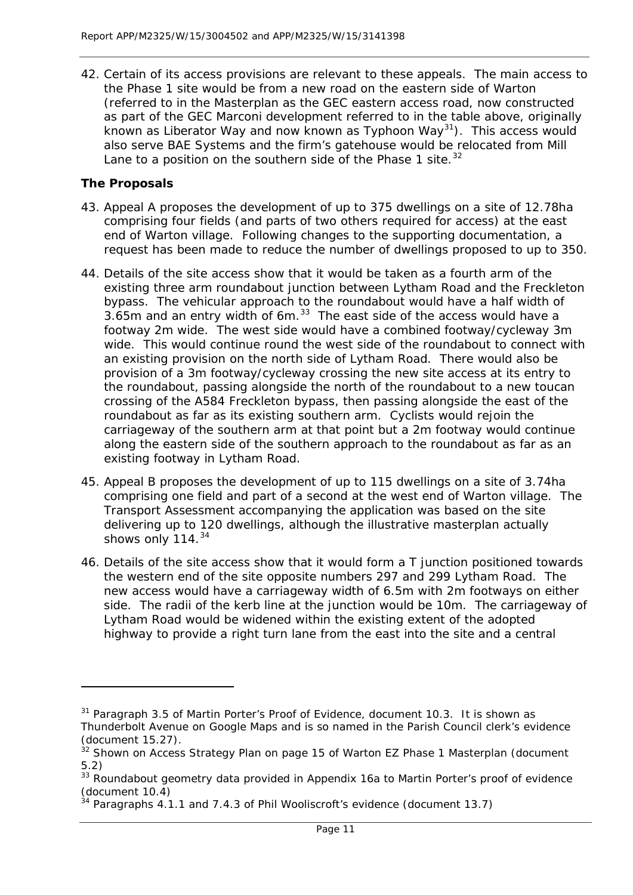42. Certain of its access provisions are relevant to these appeals. The main access to the Phase 1 site would be from a new road on the eastern side of Warton (referred to in the Masterplan as the GEC eastern access road, now constructed as part of the GEC Marconi development referred to in the table above, originally known as Liberator Way and now known as Typhoon Way<sup>31</sup>). This access would also serve BAE Systems and the firm's gatehouse would be relocated from Mill Lane to a position on the southern side of the Phase 1 site.  $32$ 

# **The Proposals**

- 43. Appeal A proposes the development of up to 375 dwellings on a site of 12.78ha comprising four fields (and parts of two others required for access) at the east end of Warton village. Following changes to the supporting documentation, a request has been made to reduce the number of dwellings proposed to up to 350.
- 44. Details of the site access show that it would be taken as a fourth arm of the existing three arm roundabout junction between Lytham Road and the Freckleton bypass. The vehicular approach to the roundabout would have a half width of  $3.65$ m and an entry width of 6m.  $33$  The east side of the access would have a footway 2m wide. The west side would have a combined footway/cycleway 3m wide. This would continue round the west side of the roundabout to connect with an existing provision on the north side of Lytham Road. There would also be provision of a 3m footway/cycleway crossing the new site access at its entry to the roundabout, passing alongside the north of the roundabout to a new toucan crossing of the A584 Freckleton bypass, then passing alongside the east of the roundabout as far as its existing southern arm. Cyclists would rejoin the carriageway of the southern arm at that point but a 2m footway would continue along the eastern side of the southern approach to the roundabout as far as an existing footway in Lytham Road.
- 45. Appeal B proposes the development of up to 115 dwellings on a site of 3.74ha comprising one field and part of a second at the west end of Warton village. The Transport Assessment accompanying the application was based on the site delivering up to 120 dwellings, although the illustrative masterplan actually shows only 114.<sup>[34](#page-11-3)</sup>
- 46. Details of the site access show that it would form a T junction positioned towards the western end of the site opposite numbers 297 and 299 Lytham Road. The new access would have a carriageway width of 6.5m with 2m footways on either side. The radii of the kerb line at the junction would be 10m. The carriageway of Lytham Road would be widened within the existing extent of the adopted highway to provide a right turn lane from the east into the site and a central

<span id="page-11-0"></span> $31$  Paragraph 3.5 of Martin Porter's Proof of Evidence, document 10.3. It is shown as Thunderbolt Avenue on Google Maps and is so named in the Parish Council clerk's evidence (document 15.27).

<span id="page-11-1"></span><sup>32</sup> Shown on Access Strategy Plan on page 15 of Warton EZ Phase 1 Masterplan (document 5.2)

<span id="page-11-2"></span><sup>&</sup>lt;sup>33</sup> Roundabout geometry data provided in Appendix 16a to Martin Porter's proof of evidence (document 10.4)

<span id="page-11-3"></span> $34$  Paragraphs 4.1.1 and 7.4.3 of Phil Wooliscroft's evidence (document 13.7)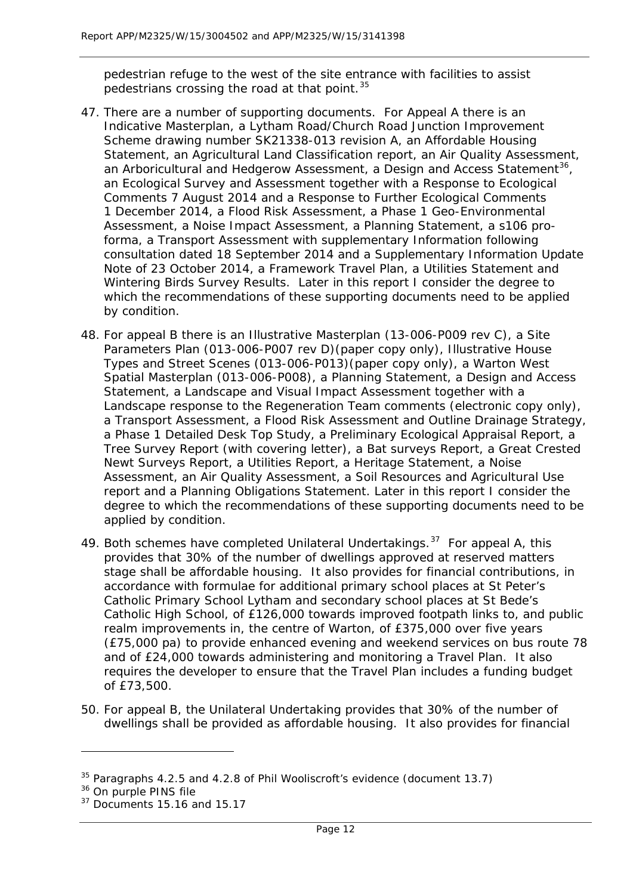pedestrian refuge to the west of the site entrance with facilities to assist pedestrians crossing the road at that point.  $35$ 

- 47. There are a number of supporting documents. For Appeal A there is an Indicative Masterplan, a Lytham Road/Church Road Junction Improvement Scheme drawing number SK21338-013 revision A, an Affordable Housing Statement, an Agricultural Land Classification report, an Air Quality Assessment, an Arboricultural and Hedgerow Assessment, a Design and Access Statement<sup>[36](#page-12-1)</sup>, an Ecological Survey and Assessment together with a Response to Ecological Comments 7 August 2014 and a Response to Further Ecological Comments 1 December 2014, a Flood Risk Assessment, a Phase 1 Geo-Environmental Assessment, a Noise Impact Assessment, a Planning Statement, a s106 proforma, a Transport Assessment with supplementary Information following consultation dated 18 September 2014 and a Supplementary Information Update Note of 23 October 2014, a Framework Travel Plan, a Utilities Statement and Wintering Birds Survey Results. Later in this report I consider the degree to which the recommendations of these supporting documents need to be applied by condition.
- 48. For appeal B there is an Illustrative Masterplan (13-006-P009 rev C), a Site Parameters Plan (013-006-P007 rev D)(paper copy only), Illustrative House Types and Street Scenes (013-006-P013)(paper copy only), a Warton West Spatial Masterplan (013-006-P008), a Planning Statement, a Design and Access Statement, a Landscape and Visual Impact Assessment together with a Landscape response to the Regeneration Team comments (electronic copy only), a Transport Assessment, a Flood Risk Assessment and Outline Drainage Strategy, a Phase 1 Detailed Desk Top Study, a Preliminary Ecological Appraisal Report, a Tree Survey Report (with covering letter), a Bat surveys Report, a Great Crested Newt Surveys Report, a Utilities Report, a Heritage Statement, a Noise Assessment, an Air Quality Assessment, a Soil Resources and Agricultural Use report and a Planning Obligations Statement. Later in this report I consider the degree to which the recommendations of these supporting documents need to be applied by condition.
- 49. Both schemes have completed Unilateral Undertakings.<sup>[37](#page-12-2)</sup> For appeal A, this provides that 30% of the number of dwellings approved at reserved matters stage shall be affordable housing. It also provides for financial contributions, in accordance with formulae for additional primary school places at St Peter's Catholic Primary School Lytham and secondary school places at St Bede's Catholic High School, of £126,000 towards improved footpath links to, and public realm improvements in, the centre of Warton, of £375,000 over five years (£75,000 pa) to provide enhanced evening and weekend services on bus route 78 and of £24,000 towards administering and monitoring a Travel Plan. It also requires the developer to ensure that the Travel Plan includes a funding budget of £73,500.
- 50. For appeal B, the Unilateral Undertaking provides that 30% of the number of dwellings shall be provided as affordable housing. It also provides for financial

<span id="page-12-0"></span> $35$  Paragraphs 4.2.5 and 4.2.8 of Phil Wooliscroft's evidence (document 13.7)

<span id="page-12-1"></span><sup>&</sup>lt;sup>36</sup> On purple PINS file

<span id="page-12-2"></span> $37$  Documents 15.16 and 15.17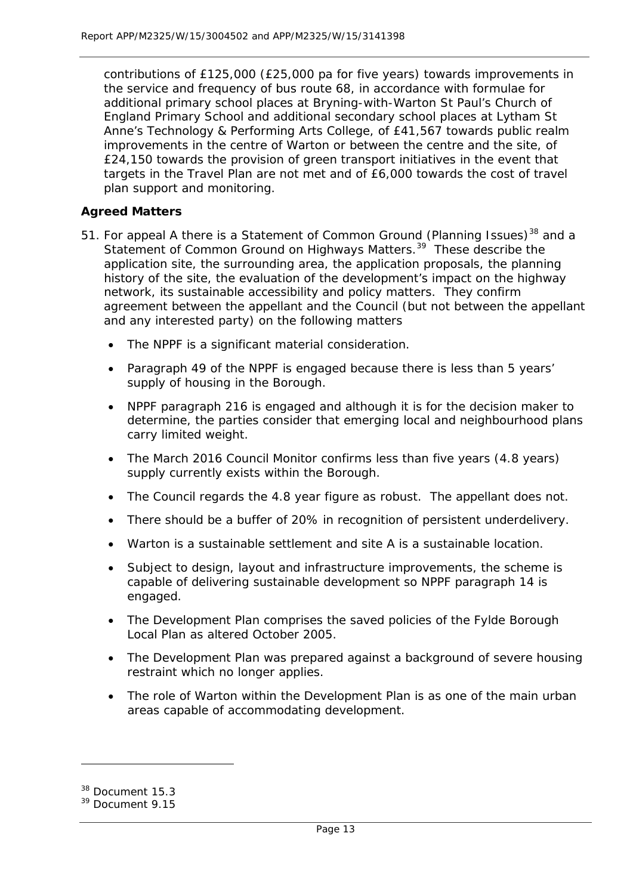contributions of £125,000 (£25,000 pa for five years) towards improvements in the service and frequency of bus route 68, in accordance with formulae for additional primary school places at Bryning-with-Warton St Paul's Church of England Primary School and additional secondary school places at Lytham St Anne's Technology & Performing Arts College, of £41,567 towards public realm improvements in the centre of Warton or between the centre and the site, of £24,150 towards the provision of green transport initiatives in the event that targets in the Travel Plan are not met and of £6,000 towards the cost of travel plan support and monitoring.

# **Agreed Matters**

- 51. For appeal A there is a Statement of Common Ground (Planning Issues)<sup>[38](#page-13-0)</sup> and a Statement of Common Ground on Highways Matters.<sup>[39](#page-13-1)</sup> These describe the application site, the surrounding area, the application proposals, the planning history of the site, the evaluation of the development's impact on the highway network, its sustainable accessibility and policy matters. They confirm agreement between the appellant and the Council (but not between the appellant and any interested party) on the following matters
	- The NPPF is a significant material consideration.
	- Paragraph 49 of the NPPF is engaged because there is less than 5 years' supply of housing in the Borough.
	- NPPF paragraph 216 is engaged and although it is for the decision maker to determine, the parties consider that emerging local and neighbourhood plans carry limited weight.
	- The March 2016 Council Monitor confirms less than five years (4.8 years) supply currently exists within the Borough.
	- The Council regards the 4.8 year figure as robust. The appellant does not.
	- There should be a buffer of 20% in recognition of persistent underdelivery.
	- Warton is a sustainable settlement and site A is a sustainable location.
	- Subject to design, layout and infrastructure improvements, the scheme is capable of delivering sustainable development so NPPF paragraph 14 is engaged.
	- The Development Plan comprises the saved policies of the Fylde Borough Local Plan as altered October 2005.
	- The Development Plan was prepared against a background of severe housing restraint which no longer applies.
	- The role of Warton within the Development Plan is as one of the main urban areas capable of accommodating development.

<span id="page-13-0"></span><sup>&</sup>lt;sup>38</sup> Document 15.3

<span id="page-13-1"></span><sup>&</sup>lt;sup>39</sup> Document 9.15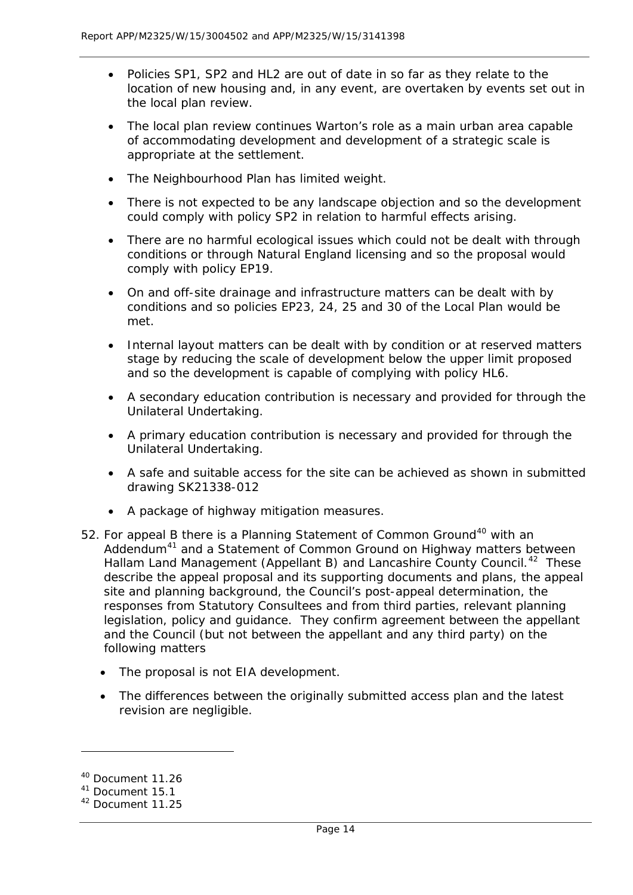- Policies SP1, SP2 and HL2 are out of date in so far as they relate to the location of new housing and, in any event, are overtaken by events set out in the local plan review.
- The local plan review continues Warton's role as a main urban area capable of accommodating development and development of a strategic scale is appropriate at the settlement.
- The Neighbourhood Plan has limited weight.
- There is not expected to be any landscape objection and so the development could comply with policy SP2 in relation to harmful effects arising.
- There are no harmful ecological issues which could not be dealt with through conditions or through Natural England licensing and so the proposal would comply with policy EP19.
- On and off-site drainage and infrastructure matters can be dealt with by conditions and so policies EP23, 24, 25 and 30 of the Local Plan would be met.
- Internal layout matters can be dealt with by condition or at reserved matters stage by reducing the scale of development below the upper limit proposed and so the development is capable of complying with policy HL6.
- A secondary education contribution is necessary and provided for through the Unilateral Undertaking.
- A primary education contribution is necessary and provided for through the Unilateral Undertaking.
- A safe and suitable access for the site can be achieved as shown in submitted drawing SK21338-012
- A package of highway mitigation measures.
- 52. For appeal B there is a Planning Statement of Common Ground<sup>[40](#page-14-0)</sup> with an Addendum<sup>[41](#page-14-1)</sup> and a Statement of Common Ground on Highway matters between Hallam Land Management (Appellant B) and Lancashire County Council.<sup>[42](#page-14-2)</sup> These describe the appeal proposal and its supporting documents and plans, the appeal site and planning background, the Council's post-appeal determination, the responses from Statutory Consultees and from third parties, relevant planning legislation, policy and guidance. They confirm agreement between the appellant and the Council (but not between the appellant and any third party) on the following matters
	- The proposal is not EIA development.
	- The differences between the originally submitted access plan and the latest revision are negligible.

<span id="page-14-0"></span><sup>40</sup> Document 11.26

<span id="page-14-1"></span><sup>41</sup> Document 15.1

<span id="page-14-2"></span><sup>42</sup> Document 11.25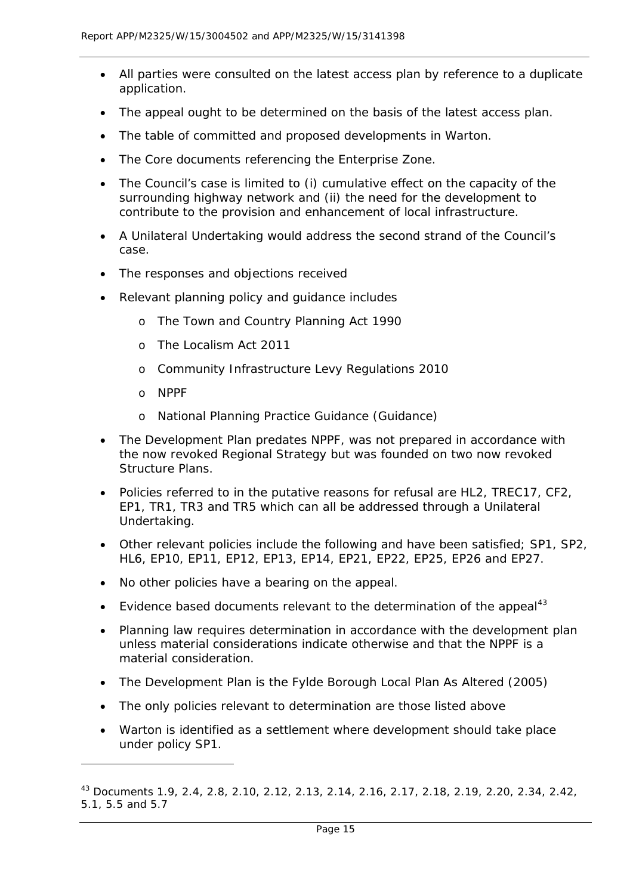- All parties were consulted on the latest access plan by reference to a duplicate application.
- The appeal ought to be determined on the basis of the latest access plan.
- The table of committed and proposed developments in Warton.
- The Core documents referencing the Enterprise Zone.
- The Council's case is limited to (i) cumulative effect on the capacity of the surrounding highway network and (ii) the need for the development to contribute to the provision and enhancement of local infrastructure.
- A Unilateral Undertaking would address the second strand of the Council's case.
- The responses and objections received
- Relevant planning policy and guidance includes
	- o The Town and Country Planning Act 1990
	- o The Localism Act 2011
	- o Community Infrastructure Levy Regulations 2010
	- o NPPF

- o National Planning Practice Guidance (Guidance)
- The Development Plan predates NPPF, was not prepared in accordance with the now revoked Regional Strategy but was founded on two now revoked Structure Plans.
- Policies referred to in the putative reasons for refusal are HL2, TREC17, CF2, EP1, TR1, TR3 and TR5 which can all be addressed through a Unilateral Undertaking.
- Other relevant policies include the following and have been satisfied; SP1, SP2, HL6, EP10, EP11, EP12, EP13, EP14, EP21, EP22, EP25, EP26 and EP27.
- No other policies have a bearing on the appeal.
- Evidence based documents relevant to the determination of the appeal<sup>[43](#page-15-0)</sup>
- Planning law requires determination in accordance with the development plan unless material considerations indicate otherwise and that the NPPF is a material consideration.
- The Development Plan is the Fylde Borough Local Plan As Altered (2005)
- The only policies relevant to determination are those listed above
- Warton is identified as a settlement where development should take place under policy SP1.

<span id="page-15-0"></span><sup>43</sup> Documents 1.9, 2.4, 2.8, 2.10, 2.12, 2.13, 2.14, 2.16, 2.17, 2.18, 2.19, 2.20, 2.34, 2.42, 5.1, 5.5 and 5.7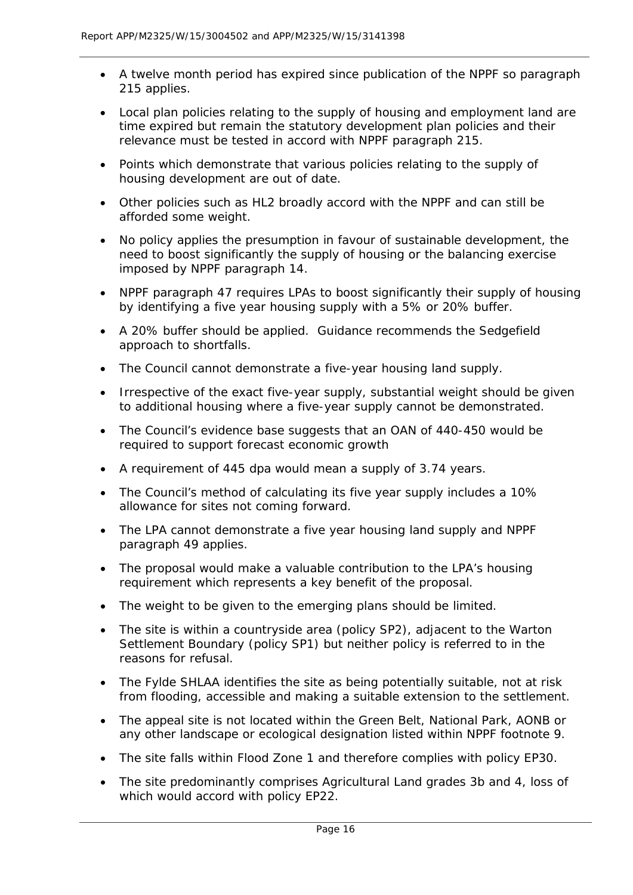- A twelve month period has expired since publication of the NPPF so paragraph 215 applies.
- Local plan policies relating to the supply of housing and employment land are time expired but remain the statutory development plan policies and their relevance must be tested in accord with NPPF paragraph 215.
- Points which demonstrate that various policies relating to the supply of housing development are out of date.
- Other policies such as HL2 broadly accord with the NPPF and can still be afforded some weight.
- No policy applies the presumption in favour of sustainable development, the need to boost significantly the supply of housing or the balancing exercise imposed by NPPF paragraph 14.
- NPPF paragraph 47 requires LPAs to boost significantly their supply of housing by identifying a five year housing supply with a 5% or 20% buffer.
- A 20% buffer should be applied. Guidance recommends the Sedgefield approach to shortfalls.
- The Council cannot demonstrate a five-year housing land supply.
- Irrespective of the exact five-year supply, substantial weight should be given to additional housing where a five-year supply cannot be demonstrated.
- The Council's evidence base suggests that an OAN of 440-450 would be required to support forecast economic growth
- A requirement of 445 dpa would mean a supply of 3.74 years.
- The Council's method of calculating its five year supply includes a 10% allowance for sites not coming forward.
- The LPA cannot demonstrate a five year housing land supply and NPPF paragraph 49 applies.
- The proposal would make a valuable contribution to the LPA's housing requirement which represents a key benefit of the proposal.
- The weight to be given to the emerging plans should be limited.
- The site is within a countryside area (policy SP2), adjacent to the Warton Settlement Boundary (policy SP1) but neither policy is referred to in the reasons for refusal.
- The Fylde SHLAA identifies the site as being potentially suitable, not at risk from flooding, accessible and making a suitable extension to the settlement.
- The appeal site is not located within the Green Belt, National Park, AONB or any other landscape or ecological designation listed within NPPF footnote 9.
- The site falls within Flood Zone 1 and therefore complies with policy EP30.
- The site predominantly comprises Agricultural Land grades 3b and 4, loss of which would accord with policy EP22.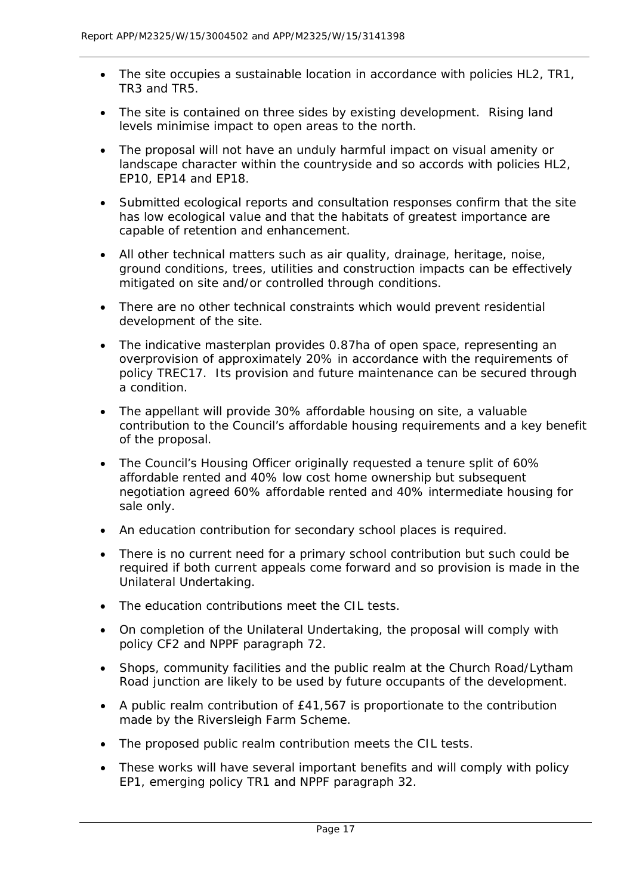- The site occupies a sustainable location in accordance with policies HL2, TR1, TR3 and TR5.
- The site is contained on three sides by existing development. Rising land levels minimise impact to open areas to the north.
- The proposal will not have an unduly harmful impact on visual amenity or landscape character within the countryside and so accords with policies HL2, EP10, EP14 and EP18.
- Submitted ecological reports and consultation responses confirm that the site has low ecological value and that the habitats of greatest importance are capable of retention and enhancement.
- All other technical matters such as air quality, drainage, heritage, noise, ground conditions, trees, utilities and construction impacts can be effectively mitigated on site and/or controlled through conditions.
- There are no other technical constraints which would prevent residential development of the site.
- The indicative masterplan provides 0.87ha of open space, representing an overprovision of approximately 20% in accordance with the requirements of policy TREC17. Its provision and future maintenance can be secured through a condition.
- The appellant will provide 30% affordable housing on site, a valuable contribution to the Council's affordable housing requirements and a key benefit of the proposal.
- The Council's Housing Officer originally requested a tenure split of 60% affordable rented and 40% low cost home ownership but subsequent negotiation agreed 60% affordable rented and 40% intermediate housing for sale only.
- An education contribution for secondary school places is required.
- There is no current need for a primary school contribution but such could be required if both current appeals come forward and so provision is made in the Unilateral Undertaking.
- The education contributions meet the CIL tests.
- On completion of the Unilateral Undertaking, the proposal will comply with policy CF2 and NPPF paragraph 72.
- Shops, community facilities and the public realm at the Church Road/Lytham Road junction are likely to be used by future occupants of the development.
- A public realm contribution of £41,567 is proportionate to the contribution made by the Riversleigh Farm Scheme.
- The proposed public realm contribution meets the CIL tests.
- These works will have several important benefits and will comply with policy EP1, emerging policy TR1 and NPPF paragraph 32.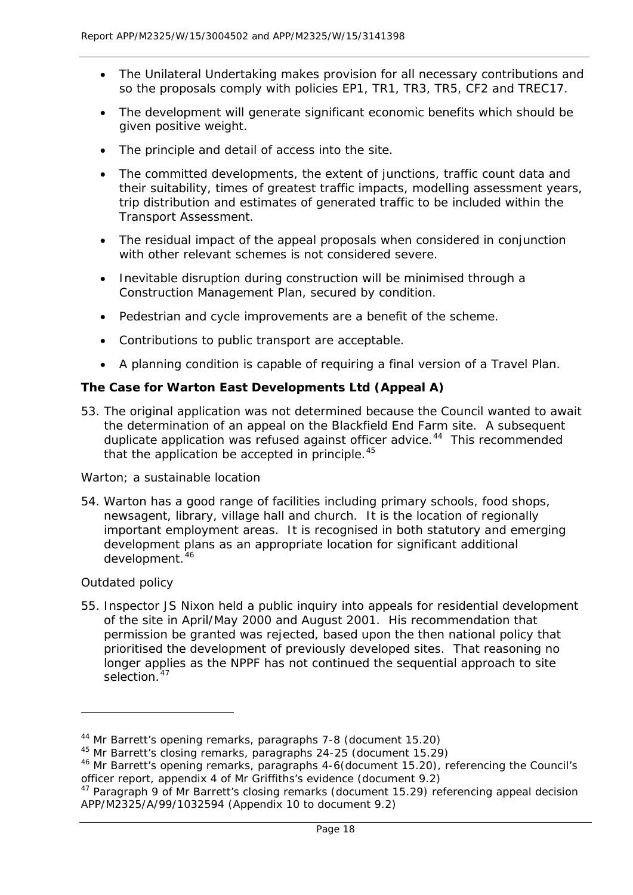- The Unilateral Undertaking makes provision for all necessary contributions and so the proposals comply with policies EP1, TR1, TR3, TR5, CF2 and TREC17.
- The development will generate significant economic benefits which should be given positive weight.
- The principle and detail of access into the site.
- The committed developments, the extent of junctions, traffic count data and their suitability, times of greatest traffic impacts, modelling assessment years, trip distribution and estimates of generated traffic to be included within the Transport Assessment.
- The residual impact of the appeal proposals when considered in conjunction with other relevant schemes is not considered severe.
- Inevitable disruption during construction will be minimised through a Construction Management Plan, secured by condition.
- Pedestrian and cycle improvements are a benefit of the scheme.
- Contributions to public transport are acceptable.
- A planning condition is capable of requiring a final version of a Travel Plan.

# **The Case for Warton East Developments Ltd (Appeal A)**

53. The original application was not determined because the Council wanted to await the determination of an appeal on the Blackfield End Farm site. A subsequent duplicate application was refused against officer advice.<sup>[44](#page-18-0)</sup> This recommended that the application be accepted in principle. $45$ 

# *Warton; a sustainable location*

54. Warton has a good range of facilities including primary schools, food shops, newsagent, library, village hall and church. It is the location of regionally important employment areas. It is recognised in both statutory and emerging development plans as an appropriate location for significant additional development.<sup>[46](#page-18-2)</sup>

# *Outdated policy*

l

55. Inspector JS Nixon held a public inquiry into appeals for residential development of the site in April/May 2000 and August 2001. His recommendation that permission be granted was rejected, based upon the then national policy that prioritised the development of previously developed sites. That reasoning no longer applies as the NPPF has not continued the sequential approach to site selection.<sup>[47](#page-18-3)</sup>

<sup>44</sup> Mr Barrett's opening remarks, paragraphs 7-8 (document 15.20)

<span id="page-18-1"></span><span id="page-18-0"></span><sup>45</sup> Mr Barrett's closing remarks, paragraphs 24-25 (document 15.29)

<span id="page-18-2"></span><sup>&</sup>lt;sup>46</sup> Mr Barrett's opening remarks, paragraphs 4-6(document 15.20), referencing the Council's officer report, appendix 4 of Mr Griffiths's evidence (document 9.2)

<span id="page-18-3"></span><sup>&</sup>lt;sup>47</sup> Paragraph 9 of Mr Barrett's closing remarks (document 15.29) referencing appeal decision APP/M2325/A/99/1032594 (Appendix 10 to document 9.2)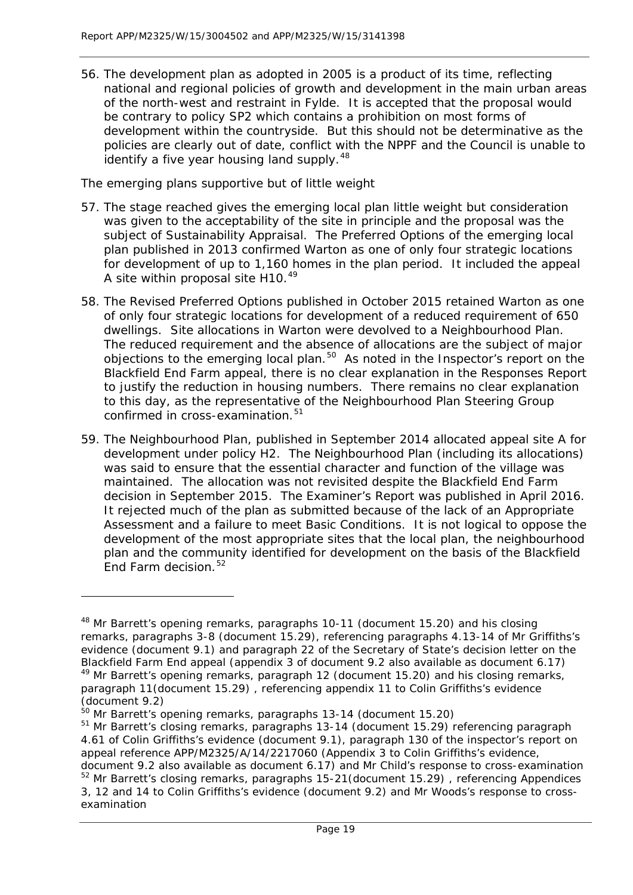56. The development plan as adopted in 2005 is a product of its time, reflecting national and regional policies of growth and development in the main urban areas of the north-west and restraint in Fylde. It is accepted that the proposal would be contrary to policy SP2 which contains a prohibition on most forms of development within the countryside. But this should not be determinative as the policies are clearly out of date, conflict with the NPPF and the Council is unable to identify a five year housing land supply.<sup>[48](#page-19-0)</sup>

# *The emerging plans supportive but of little weight*

- 57. The stage reached gives the emerging local plan little weight but consideration was given to the acceptability of the site in principle and the proposal was the subject of Sustainability Appraisal. The Preferred Options of the emerging local plan published in 2013 confirmed Warton as one of only four strategic locations for development of up to 1,160 homes in the plan period. It included the appeal A site within proposal site H10.[49](#page-19-1)
- 58. The Revised Preferred Options published in October 2015 retained Warton as one of only four strategic locations for development of a reduced requirement of 650 dwellings. Site allocations in Warton were devolved to a Neighbourhood Plan. The reduced requirement and the absence of allocations are the subject of major objections to the emerging local plan.<sup>[50](#page-19-2)</sup> As noted in the Inspector's report on the Blackfield End Farm appeal, there is no clear explanation in the Responses Report to justify the reduction in housing numbers. There remains no clear explanation to this day, as the representative of the Neighbourhood Plan Steering Group confirmed in cross-examination.<sup>[51](#page-19-3)</sup>
- 59. The Neighbourhood Plan, published in September 2014 allocated appeal site A for development under policy H2. The Neighbourhood Plan (including its allocations) was said to ensure that the essential character and function of the village was maintained. The allocation was not revisited despite the Blackfield End Farm decision in September 2015. The Examiner's Report was published in April 2016. It rejected much of the plan as submitted because of the lack of an Appropriate Assessment and a failure to meet Basic Conditions. It is not logical to oppose the development of the most appropriate sites that the local plan, the neighbourhood plan and the community identified for development on the basis of the Blackfield End Farm decision.<sup>[52](#page-19-4)</sup>

<span id="page-19-0"></span><sup>&</sup>lt;sup>48</sup> Mr Barrett's opening remarks, paragraphs 10-11 (document 15.20) and his closing remarks, paragraphs 3-8 (document 15.29), referencing paragraphs 4.13-14 of Mr Griffiths's evidence (document 9.1) and paragraph 22 of the Secretary of State's decision letter on the Blackfield Farm End appeal (appendix 3 of document 9.2 also available as document 6.17) <sup>49</sup> Mr Barrett's opening remarks, paragraph 12 (document 15.20) and his closing remarks,

<span id="page-19-1"></span>paragraph 11(document 15.29) , referencing appendix 11 to Colin Griffiths's evidence (document 9.2)

<span id="page-19-2"></span><sup>50</sup> Mr Barrett's opening remarks, paragraphs 13-14 (document 15.20)

<span id="page-19-3"></span><sup>&</sup>lt;sup>51</sup> Mr Barrett's closing remarks, paragraphs 13-14 (document 15.29) referencing paragraph 4.61 of Colin Griffiths's evidence (document 9.1), paragraph 130 of the inspector's report on appeal reference APP/M2325/A/14/2217060 (Appendix 3 to Colin Griffiths's evidence,

<span id="page-19-4"></span>document 9.2 also available as document 6.17) and Mr Child's response to cross-examination <sup>52</sup> Mr Barrett's closing remarks, paragraphs 15-21(document 15.29), referencing Appendices 3, 12 and 14 to Colin Griffiths's evidence (document 9.2) and Mr Woods's response to crossexamination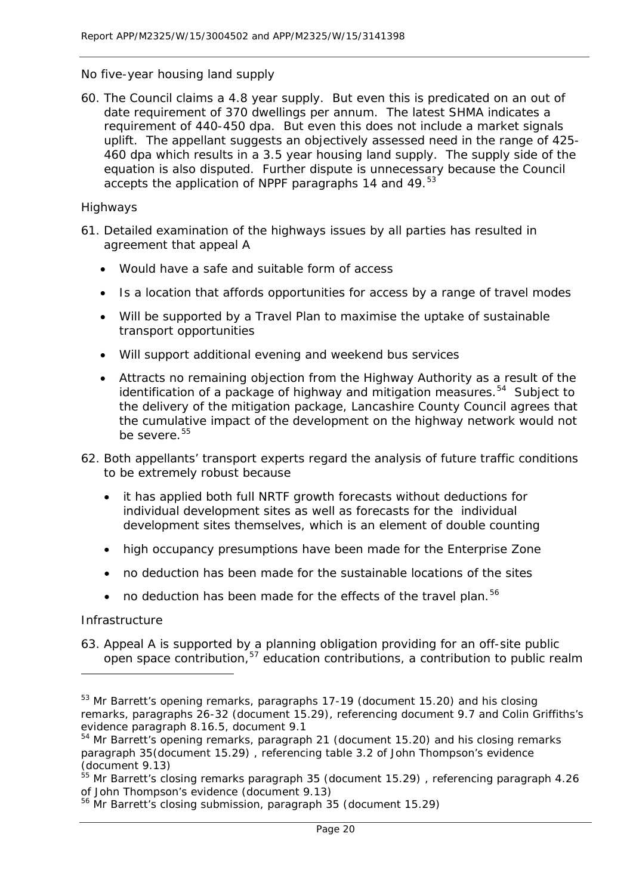#### *No five-year housing land supply*

60. The Council claims a 4.8 year supply. But even this is predicated on an out of date requirement of 370 dwellings per annum. The latest SHMA indicates a requirement of 440-450 dpa. But even this does not include a market signals uplift. The appellant suggests an objectively assessed need in the range of 425- 460 dpa which results in a 3.5 year housing land supply. The supply side of the equation is also disputed. Further dispute is unnecessary because the Council accepts the application of NPPF paragraphs 14 and 49.<sup>[53](#page-20-0)</sup>

#### *Highways*

- 61. Detailed examination of the highways issues by all parties has resulted in agreement that appeal A
	- Would have a safe and suitable form of access
	- Is a location that affords opportunities for access by a range of travel modes
	- Will be supported by a Travel Plan to maximise the uptake of sustainable transport opportunities
	- Will support additional evening and weekend bus services
	- Attracts no remaining objection from the Highway Authority as a result of the identification of a package of highway and mitigation measures.<sup>[54](#page-20-1)</sup> Subject to the delivery of the mitigation package, Lancashire County Council agrees that the cumulative impact of the development on the highway network would not be severe.[55](#page-20-2)
- 62. Both appellants' transport experts regard the analysis of future traffic conditions to be extremely robust because
	- it has applied both full NRTF growth forecasts without deductions for individual development sites as well as forecasts for the individual development sites themselves, which is an element of double counting
	- high occupancy presumptions have been made for the Enterprise Zone
	- no deduction has been made for the sustainable locations of the sites
	- no deduction has been made for the effects of the travel plan.<sup>[56](#page-20-3)</sup>

#### *Infrastructure*

1

<span id="page-20-4"></span>63. Appeal A is supported by a planning obligation providing for an off-site public open space contribution,<sup>[57](#page-20-4)</sup> education contributions, a contribution to public realm

<span id="page-20-0"></span><sup>&</sup>lt;sup>53</sup> Mr Barrett's opening remarks, paragraphs 17-19 (document 15.20) and his closing remarks, paragraphs 26-32 (document 15.29), referencing document 9.7 and Colin Griffiths's evidence paragraph 8.16.5, document 9.1

<span id="page-20-1"></span><sup>54</sup> Mr Barrett's opening remarks, paragraph 21 (document 15.20) and his closing remarks paragraph 35(document 15.29) , referencing table 3.2 of John Thompson's evidence (document 9.13)

<span id="page-20-2"></span><sup>&</sup>lt;sup>55</sup> Mr Barrett's closing remarks paragraph 35 (document 15.29), referencing paragraph 4.26 of John Thompson's evidence (document 9.13)

<span id="page-20-3"></span><sup>56</sup> Mr Barrett's closing submission, paragraph 35 (document 15.29)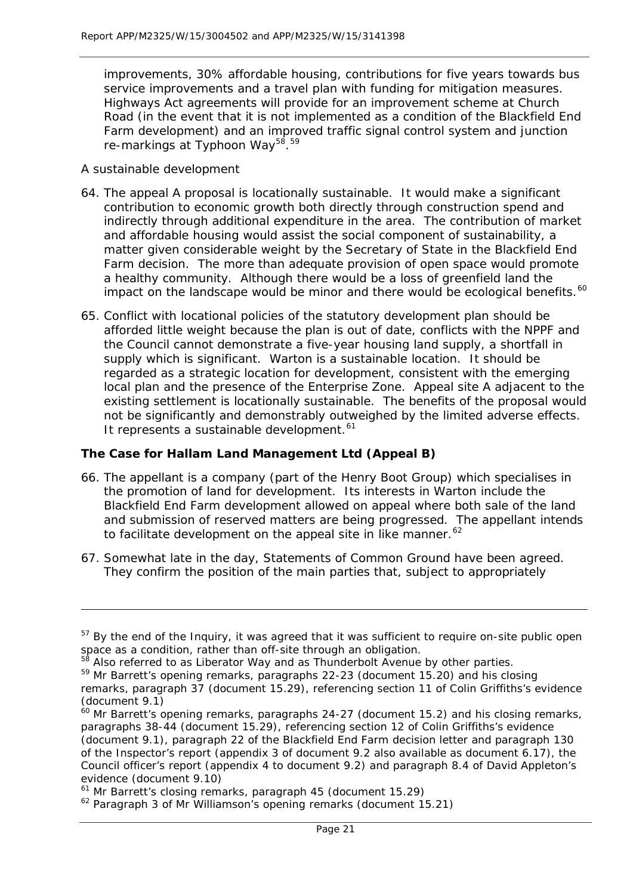improvements, 30% affordable housing, contributions for five years towards bus service improvements and a travel plan with funding for mitigation measures. Highways Act agreements will provide for an improvement scheme at Church Road (in the event that it is not implemented as a condition of the Blackfield End Farm development) and an improved traffic signal control system and junction re-markings at Typhoon Way<sup>[58](#page-21-0)</sup>.<sup>[59](#page-21-1)</sup>

#### *A sustainable development*

1

- 64. The appeal A proposal is locationally sustainable. It would make a significant contribution to economic growth both directly through construction spend and indirectly through additional expenditure in the area. The contribution of market and affordable housing would assist the social component of sustainability, a matter given considerable weight by the Secretary of State in the Blackfield End Farm decision. The more than adequate provision of open space would promote a healthy community. Although there would be a loss of greenfield land the impact on the landscape would be minor and there would be ecological benefits.<sup>[60](#page-21-2)</sup>
- 65. Conflict with locational policies of the statutory development plan should be afforded little weight because the plan is out of date, conflicts with the NPPF and the Council cannot demonstrate a five-year housing land supply, a shortfall in supply which is significant. Warton is a sustainable location. It should be regarded as a strategic location for development, consistent with the emerging local plan and the presence of the Enterprise Zone. Appeal site A adjacent to the existing settlement is locationally sustainable. The benefits of the proposal would not be significantly and demonstrably outweighed by the limited adverse effects. It represents a sustainable development.<sup>[61](#page-21-3)</sup>

#### **The Case for Hallam Land Management Ltd (Appeal B)**

- 66. The appellant is a company (part of the Henry Boot Group) which specialises in the promotion of land for development. Its interests in Warton include the Blackfield End Farm development allowed on appeal where both sale of the land and submission of reserved matters are being progressed. The appellant intends to facilitate development on the appeal site in like manner.<sup>[62](#page-21-4)</sup>
- 67. Somewhat late in the day, Statements of Common Ground have been agreed. They confirm the position of the main parties that, subject to appropriately

<sup>&</sup>lt;sup>57</sup> By the end of the Inquiry, it was agreed that it was sufficient to require on-site public open space as a condition, rather than off-site through an obligation.

<span id="page-21-0"></span><sup>&</sup>lt;sup>58</sup> Also referred to as Liberator Way and as Thunderbolt Avenue by other parties.

<span id="page-21-1"></span><sup>59</sup> Mr Barrett's opening remarks, paragraphs 22-23 (document 15.20) and his closing

remarks, paragraph 37 (document 15.29), referencing section 11 of Colin Griffiths's evidence (document 9.1)

<span id="page-21-2"></span> $60$  Mr Barrett's opening remarks, paragraphs 24-27 (document 15.2) and his closing remarks, paragraphs 38-44 (document 15.29), referencing section 12 of Colin Griffiths's evidence (document 9.1), paragraph 22 of the Blackfield End Farm decision letter and paragraph 130 of the Inspector's report (appendix 3 of document 9.2 also available as document 6.17), the Council officer's report (appendix 4 to document 9.2) and paragraph 8.4 of David Appleton's evidence (document 9.10)

<span id="page-21-3"></span><sup>&</sup>lt;sup>61</sup> Mr Barrett's closing remarks, paragraph 45 (document 15.29)

<span id="page-21-4"></span><sup>&</sup>lt;sup>62</sup> Paragraph 3 of Mr Williamson's opening remarks (document 15.21)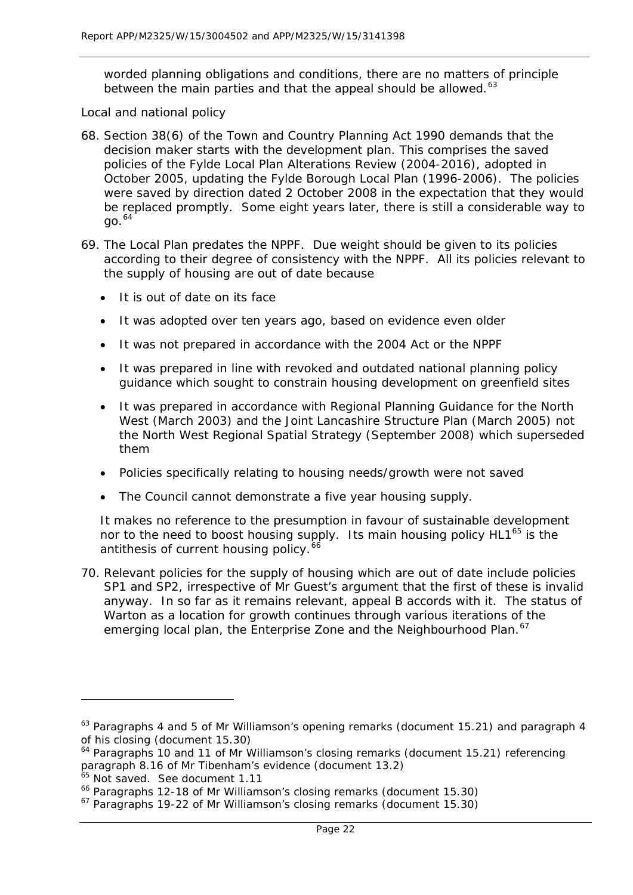worded planning obligations and conditions, there are no matters of principle between the main parties and that the appeal should be allowed.<sup>[63](#page-22-0)</sup>

#### *Local and national policy*

- 68. Section 38(6) of the Town and Country Planning Act 1990 demands that the decision maker starts with the development plan. This comprises the saved policies of the Fylde Local Plan Alterations Review (2004-2016), adopted in October 2005, updating the Fylde Borough Local Plan (1996-2006). The policies were saved by direction dated 2 October 2008 in the expectation that they would be replaced promptly. Some eight years later, there is still a considerable way to  $70^{64}$  $70^{64}$  $70^{64}$
- 69. The Local Plan predates the NPPF. Due weight should be given to its policies according to their degree of consistency with the NPPF. All its policies relevant to the supply of housing are out of date because
	- It is out of date on its face
	- It was adopted over ten years ago, based on evidence even older
	- It was not prepared in accordance with the 2004 Act or the NPPF
	- It was prepared in line with revoked and outdated national planning policy guidance which sought to constrain housing development on greenfield sites
	- It was prepared in accordance with Regional Planning Guidance for the North West (March 2003) and the Joint Lancashire Structure Plan (March 2005) not the North West Regional Spatial Strategy (September 2008) which superseded them
	- Policies specifically relating to housing needs/growth were not saved
	- The Council cannot demonstrate a five year housing supply.

It makes no reference to the presumption in favour of sustainable development nor to the need to boost housing supply. Its main housing policy  $HL1^{65}$  $HL1^{65}$  $HL1^{65}$  is the antithesis of current housing policy.<sup>[66](#page-22-3)</sup>

70. Relevant policies for the supply of housing which are out of date include policies SP1 and SP2, irrespective of Mr Guest's argument that the first of these is invalid anyway. In so far as it remains relevant, appeal B accords with it. The status of Warton as a location for growth continues through various iterations of the emerging local plan, the Enterprise Zone and the Neighbourhood Plan.<sup>[67](#page-22-4)</sup>

<span id="page-22-0"></span><sup>&</sup>lt;sup>63</sup> Paragraphs 4 and 5 of Mr Williamson's opening remarks (document 15.21) and paragraph 4 of his closing (document 15.30)

<span id="page-22-1"></span><sup>&</sup>lt;sup>64</sup> Paragraphs 10 and 11 of Mr Williamson's closing remarks (document 15.21) referencing paragraph 8.16 of Mr Tibenham's evidence (document 13.2)

<sup>&</sup>lt;sup>65</sup> Not saved. See document 1.11

<span id="page-22-3"></span><span id="page-22-2"></span><sup>66</sup> Paragraphs 12-18 of Mr Williamson's closing remarks (document 15.30)

<span id="page-22-4"></span><sup>&</sup>lt;sup>67</sup> Paragraphs 19-22 of Mr Williamson's closing remarks (document 15.30)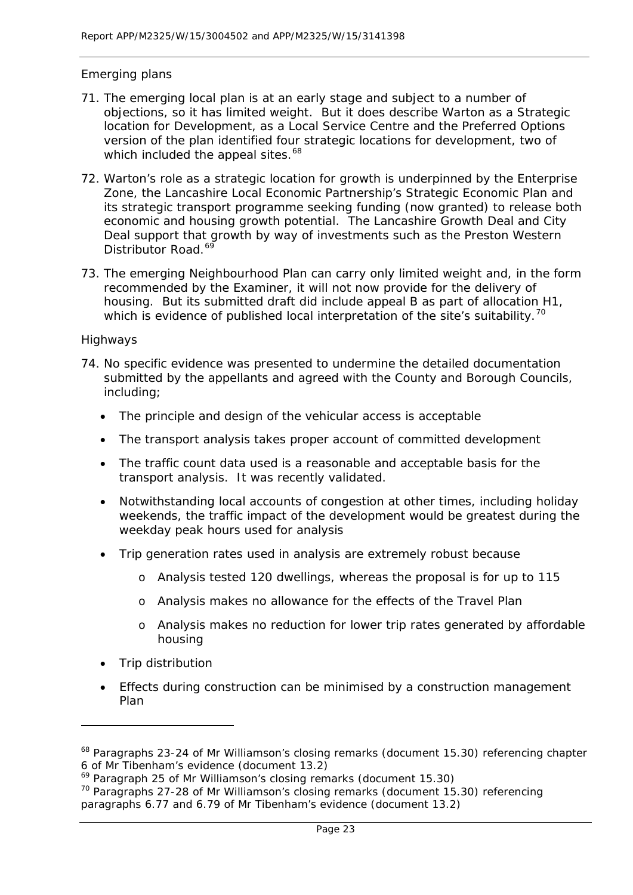# *Emerging plans*

- 71. The emerging local plan is at an early stage and subject to a number of objections, so it has limited weight. But it does describe Warton as a Strategic location for Development, as a Local Service Centre and the Preferred Options version of the plan identified four strategic locations for development, two of which included the appeal sites.<sup>[68](#page-23-0)</sup>
- 72. Warton's role as a strategic location for growth is underpinned by the Enterprise Zone, the Lancashire Local Economic Partnership's Strategic Economic Plan and its strategic transport programme seeking funding (now granted) to release both economic and housing growth potential. The Lancashire Growth Deal and City Deal support that growth by way of investments such as the Preston Western Distributor Road.<sup>6</sup>
- 73. The emerging Neighbourhood Plan can carry only limited weight and, in the form recommended by the Examiner, it will not now provide for the delivery of housing. But its submitted draft did include appeal B as part of allocation H1, which is evidence of published local interpretation of the site's suitability.<sup>[70](#page-23-2)</sup>

## *Highways*

- 74. No specific evidence was presented to undermine the detailed documentation submitted by the appellants and agreed with the County and Borough Councils, including;
	- The principle and design of the vehicular access is acceptable
	- The transport analysis takes proper account of committed development
	- The traffic count data used is a reasonable and acceptable basis for the transport analysis. It was recently validated.
	- Notwithstanding local accounts of congestion at other times, including holiday weekends, the traffic impact of the development would be greatest during the weekday peak hours used for analysis
	- Trip generation rates used in analysis are extremely robust because
		- o Analysis tested 120 dwellings, whereas the proposal is for up to 115
		- o Analysis makes no allowance for the effects of the Travel Plan
		- o Analysis makes no reduction for lower trip rates generated by affordable housing
	- Trip distribution

1

• Effects during construction can be minimised by a construction management Plan

<span id="page-23-0"></span><sup>&</sup>lt;sup>68</sup> Paragraphs 23-24 of Mr Williamson's closing remarks (document 15.30) referencing chapter 6 of Mr Tibenham's evidence (document 13.2)

<span id="page-23-1"></span> $69$  Paragraph 25 of Mr Williamson's closing remarks (document 15.30)

<span id="page-23-2"></span><sup>&</sup>lt;sup>70</sup> Paragraphs 27-28 of Mr Williamson's closing remarks (document 15.30) referencing paragraphs 6.77 and 6.79 of Mr Tibenham's evidence (document 13.2)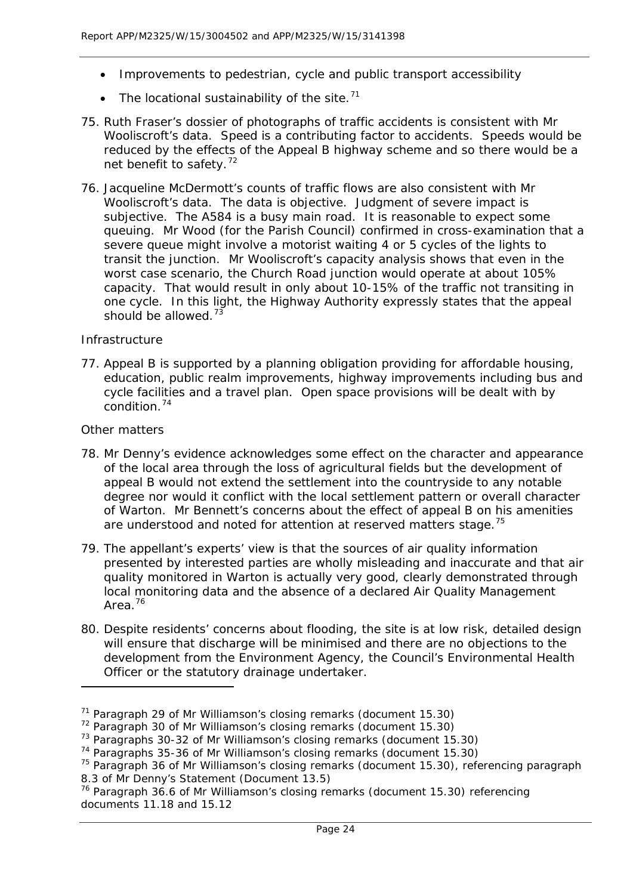- Improvements to pedestrian, cycle and public transport accessibility
- The locational sustainability of the site.<sup>[71](#page-24-0)</sup>
- 75. Ruth Fraser's dossier of photographs of traffic accidents is consistent with Mr Wooliscroft's data. Speed is a contributing factor to accidents. Speeds would be reduced by the effects of the Appeal B highway scheme and so there would be a net benefit to safety.<sup>[72](#page-24-1)</sup>
- 76. Jacqueline McDermott's counts of traffic flows are also consistent with Mr Wooliscroft's data. The data is objective. Judgment of severe impact is subjective. The A584 is a busy main road. It is reasonable to expect some queuing. Mr Wood (for the Parish Council) confirmed in cross-examination that a severe queue might involve a motorist waiting 4 or 5 cycles of the lights to transit the junction. Mr Wooliscroft's capacity analysis shows that even in the worst case scenario, the Church Road junction would operate at about 105% capacity. That would result in only about 10-15% of the traffic not transiting in one cycle. In this light, the Highway Authority expressly states that the appeal should be allowed.<sup>[73](#page-24-2)</sup>

## *Infrastructure*

77. Appeal B is supported by a planning obligation providing for affordable housing, education, public realm improvements, highway improvements including bus and cycle facilities and a travel plan. Open space provisions will be dealt with by condition.[74](#page-24-3)

## *Other matters*

- 78. Mr Denny's evidence acknowledges some effect on the character and appearance of the local area through the loss of agricultural fields but the development of appeal B would not extend the settlement into the countryside to any notable degree nor would it conflict with the local settlement pattern or overall character of Warton. Mr Bennett's concerns about the effect of appeal B on his amenities are understood and noted for attention at reserved matters stage.<sup>[75](#page-24-4)</sup>
- 79. The appellant's experts' view is that the sources of air quality information presented by interested parties are wholly misleading and inaccurate and that air quality monitored in Warton is actually very good, clearly demonstrated through local monitoring data and the absence of a declared Air Quality Management Area.[76](#page-24-5)
- 80. Despite residents' concerns about flooding, the site is at low risk, detailed design will ensure that discharge will be minimised and there are no objections to the development from the Environment Agency, the Council's Environmental Health Officer or the statutory drainage undertaker.

<span id="page-24-0"></span> $71$  Paragraph 29 of Mr Williamson's closing remarks (document 15.30)

<span id="page-24-1"></span> $72$  Paragraph 30 of Mr Williamson's closing remarks (document 15.30)

<span id="page-24-2"></span><sup>&</sup>lt;sup>73</sup> Paragraphs 30-32 of Mr Williamson's closing remarks (document 15.30)

<span id="page-24-3"></span><sup>&</sup>lt;sup>74</sup> Paragraphs 35-36 of Mr Williamson's closing remarks (document 15.30)

<span id="page-24-4"></span><sup>&</sup>lt;sup>75</sup> Paragraph 36 of Mr Williamson's closing remarks (document 15.30), referencing paragraph 8.3 of Mr Denny's Statement (Document 13.5)

<span id="page-24-5"></span><sup>76</sup> Paragraph 36.6 of Mr Williamson's closing remarks (document 15.30) referencing documents 11.18 and 15.12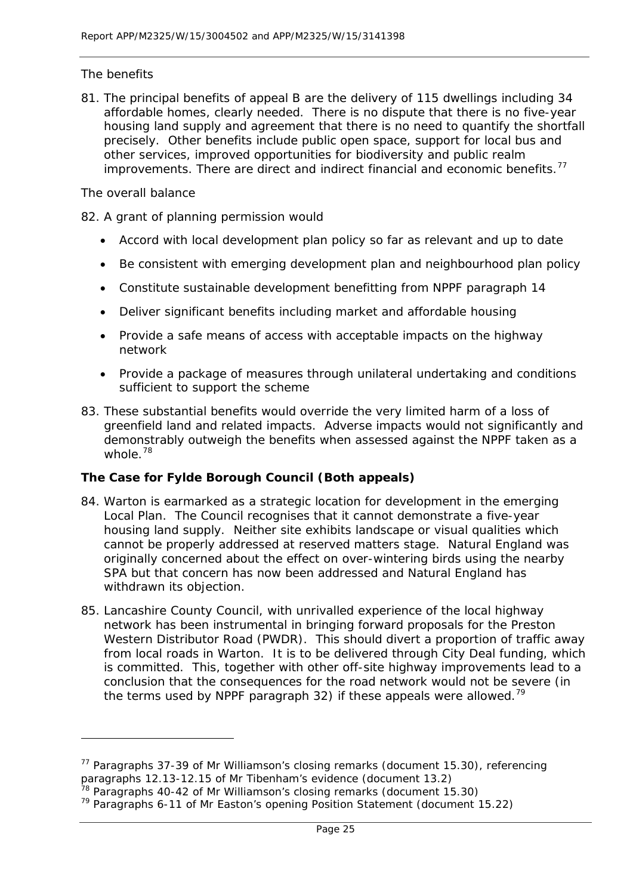# *The benefits*

81. The principal benefits of appeal B are the delivery of 115 dwellings including 34 affordable homes, clearly needed. There is no dispute that there is no five-year housing land supply and agreement that there is no need to quantify the shortfall precisely. Other benefits include public open space, support for local bus and other services, improved opportunities for biodiversity and public realm improvements. There are direct and indirect financial and economic benefits.<sup>[77](#page-25-0)</sup>

## *The overall balance*

1

- 82. A grant of planning permission would
	- Accord with local development plan policy so far as relevant and up to date
	- Be consistent with emerging development plan and neighbourhood plan policy
	- Constitute sustainable development benefitting from NPPF paragraph 14
	- Deliver significant benefits including market and affordable housing
	- Provide a safe means of access with acceptable impacts on the highway network
	- Provide a package of measures through unilateral undertaking and conditions sufficient to support the scheme
- 83. These substantial benefits would override the very limited harm of a loss of greenfield land and related impacts. Adverse impacts would not significantly and demonstrably outweigh the benefits when assessed against the NPPF taken as a whole.<sup>[78](#page-25-1)</sup>

# **The Case for Fylde Borough Council (Both appeals)**

- 84. Warton is earmarked as a strategic location for development in the emerging Local Plan. The Council recognises that it cannot demonstrate a five-year housing land supply. Neither site exhibits landscape or visual qualities which cannot be properly addressed at reserved matters stage. Natural England was originally concerned about the effect on over-wintering birds using the nearby SPA but that concern has now been addressed and Natural England has withdrawn its objection.
- 85. Lancashire County Council, with unrivalled experience of the local highway network has been instrumental in bringing forward proposals for the Preston Western Distributor Road (PWDR). This should divert a proportion of traffic away from local roads in Warton. It is to be delivered through City Deal funding, which is committed. This, together with other off-site highway improvements lead to a conclusion that the consequences for the road network would not be severe (in the terms used by NPPF paragraph 32) if these appeals were allowed.<sup>[79](#page-25-2)</sup>

<span id="page-25-0"></span> $77$  Paragraphs 37-39 of Mr Williamson's closing remarks (document 15.30), referencing paragraphs 12.13-12.15 of Mr Tibenham's evidence (document 13.2)

<span id="page-25-1"></span> $78$  Paragraphs 40-42 of Mr Williamson's closing remarks (document 15.30)

<span id="page-25-2"></span><sup>79</sup> Paragraphs 6-11 of Mr Easton's opening Position Statement (document 15.22)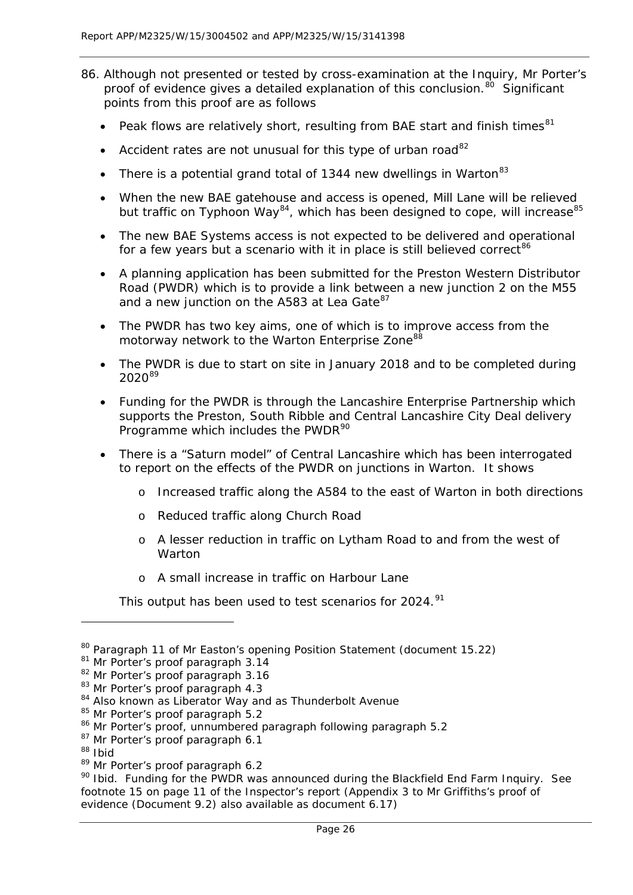- 86. Although not presented or tested by cross-examination at the Inquiry, Mr Porter's proof of evidence gives a detailed explanation of this conclusion.<sup>[80](#page-26-0)</sup> Significant points from this proof are as follows
	- Peak flows are relatively short, resulting from BAE start and finish times<sup>[81](#page-26-1)</sup>
	- Accident rates are not unusual for this type of urban road<sup>[82](#page-26-2)</sup>
	- There is a potential grand total of 1344 new dwellings in Warton<sup>[83](#page-26-3)</sup>
	- When the new BAE gatehouse and access is opened, Mill Lane will be relieved but traffic on Typhoon Way<sup>[84](#page-26-4)</sup>, which has been designed to cope, will increase<sup>[85](#page-26-5)</sup>
	- The new BAE Systems access is not expected to be delivered and operational for a few years but a scenario with it in place is still believed correct<sup>[86](#page-26-6)</sup>
	- A planning application has been submitted for the Preston Western Distributor Road (PWDR) which is to provide a link between a new junction 2 on the M55 and a new junction on the A583 at Lea Gate<sup>[87](#page-26-7)</sup>
	- The PWDR has two key aims, one of which is to improve access from the motorway network to the Warton Enterprise Zone<sup>[88](#page-26-8)</sup>
	- The PWDR is due to start on site in January 2018 and to be completed during 2020<sup>[89](#page-26-9)</sup>
	- Funding for the PWDR is through the Lancashire Enterprise Partnership which supports the Preston, South Ribble and Central Lancashire City Deal delivery Programme which includes the PWDR<sup>[90](#page-26-10)</sup>
	- There is a "Saturn model" of Central Lancashire which has been interrogated to report on the effects of the PWDR on junctions in Warton. It shows
		- o Increased traffic along the A584 to the east of Warton in both directions
		- o Reduced traffic along Church Road
		- o A lesser reduction in traffic on Lytham Road to and from the west of Warton
		- o A small increase in traffic on Harbour Lane

This output has been used to test scenarios for 2024.<sup>[91](#page-26-4)</sup>

<span id="page-26-0"></span><sup>80</sup> Paragraph 11 of Mr Easton's opening Position Statement (document 15.22)

<span id="page-26-1"></span><sup>&</sup>lt;sup>81</sup> Mr Porter's proof paragraph 3.14

<span id="page-26-2"></span><sup>82</sup> Mr Porter's proof paragraph 3.16

<span id="page-26-3"></span><sup>83</sup> Mr Porter's proof paragraph 4.3

<span id="page-26-4"></span><sup>84</sup> Also known as Liberator Way and as Thunderbolt Avenue

<span id="page-26-5"></span><sup>&</sup>lt;sup>85</sup> Mr Porter's proof paragraph 5.2

<span id="page-26-6"></span><sup>86</sup> Mr Porter's proof, unnumbered paragraph following paragraph 5.2

<span id="page-26-7"></span><sup>&</sup>lt;sup>87</sup> Mr Porter's proof paragraph 6.1

<span id="page-26-8"></span><sup>88</sup> Ibid

<span id="page-26-9"></span><sup>89</sup> Mr Porter's proof paragraph 6.2

<span id="page-26-10"></span><sup>&</sup>lt;sup>90</sup> Ibid. Funding for the PWDR was announced during the Blackfield End Farm Inquiry. See footnote 15 on page 11 of the Inspector's report (Appendix 3 to Mr Griffiths's proof of evidence (Document 9.2) also available as document 6.17)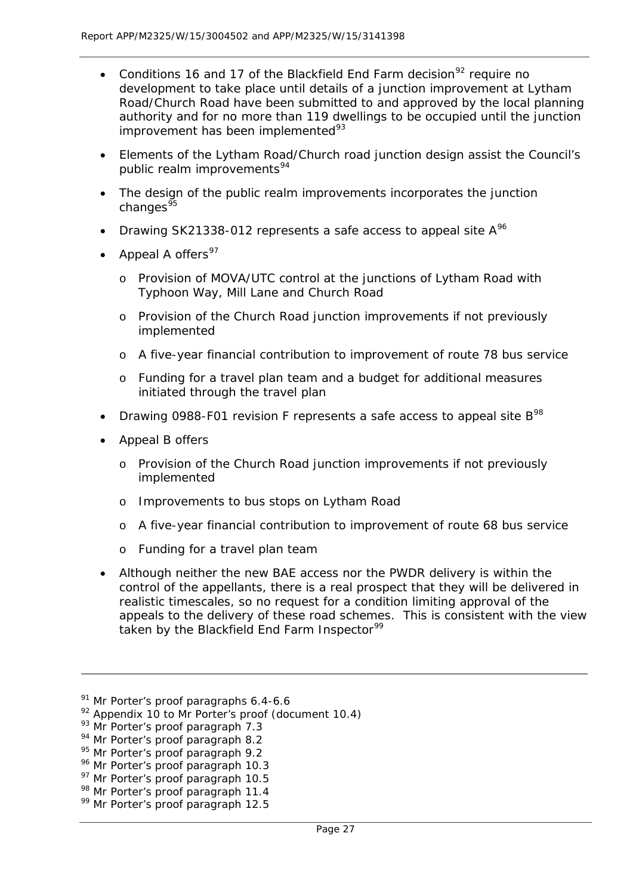- Conditions 16 and 17 of the Blackfield End Farm decision<sup>[92](#page-27-0)</sup> require no development to take place until details of a junction improvement at Lytham Road/Church Road have been submitted to and approved by the local planning authority and for no more than 119 dwellings to be occupied until the junction improvement has been implemented<sup>[93](#page-27-1)</sup>
- Elements of the Lytham Road/Church road junction design assist the Council's public realm improvements<sup>[94](#page-27-2)</sup>
- The design of the public realm improvements incorporates the junction changes $\frac{95}{5}$  $\frac{95}{5}$  $\frac{95}{5}$
- Drawing SK21338-012 represents a safe access to appeal site  $A^{96}$  $A^{96}$  $A^{96}$
- Appeal A offers<sup>[97](#page-27-5)</sup>
	- o Provision of MOVA/UTC control at the junctions of Lytham Road with Typhoon Way, Mill Lane and Church Road
	- o Provision of the Church Road junction improvements if not previously implemented
	- o A five-year financial contribution to improvement of route 78 bus service
	- o Funding for a travel plan team and a budget for additional measures initiated through the travel plan
- Drawing 0[98](#page-27-6)8-F01 revision F represents a safe access to appeal site  $B^{98}$
- Appeal B offers
	- o Provision of the Church Road junction improvements if not previously implemented
	- o Improvements to bus stops on Lytham Road
	- o A five-year financial contribution to improvement of route 68 bus service
	- o Funding for a travel plan team
- Although neither the new BAE access nor the PWDR delivery is within the control of the appellants, there is a real prospect that they will be delivered in realistic timescales, so no request for a condition limiting approval of the appeals to the delivery of these road schemes. This is consistent with the view taken by the Blackfield End Farm Inspector<sup>[99](#page-27-7)</sup>

<sup>&</sup>lt;sup>91</sup> Mr Porter's proof paragraphs 6.4-6.6

<span id="page-27-0"></span> $92$  Appendix 10 to Mr Porter's proof (document 10.4)

<span id="page-27-1"></span><sup>&</sup>lt;sup>93</sup> Mr Porter's proof paragraph 7.3

<span id="page-27-2"></span><sup>&</sup>lt;sup>94</sup> Mr Porter's proof paragraph 8.2

<span id="page-27-3"></span><sup>&</sup>lt;sup>95</sup> Mr Porter's proof paragraph 9.2

<span id="page-27-4"></span><sup>&</sup>lt;sup>96</sup> Mr Porter's proof paragraph 10.3

<span id="page-27-5"></span><sup>&</sup>lt;sup>97</sup> Mr Porter's proof paragraph 10.5

<span id="page-27-6"></span><sup>98</sup> Mr Porter's proof paragraph 11.4

<span id="page-27-7"></span><sup>&</sup>lt;sup>99</sup> Mr Porter's proof paragraph 12.5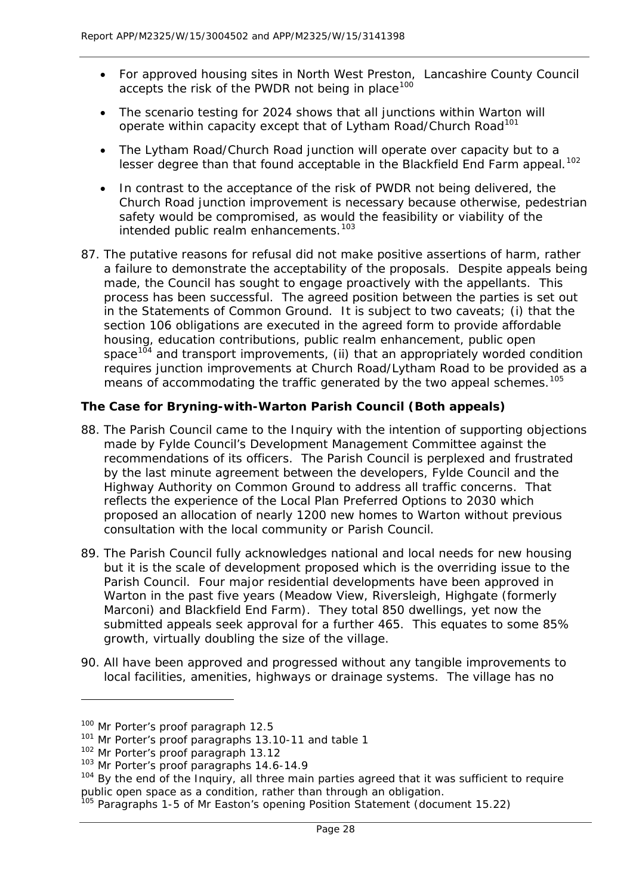- For approved housing sites in North West Preston, Lancashire County Council accepts the risk of the PWDR not being in place<sup>[100](#page-28-0)</sup>
- The scenario testing for 2024 shows that all junctions within Warton will operate within capacity except that of Lytham Road/Church Road<sup>[101](#page-28-1)</sup>
- The Lytham Road/Church Road junction will operate over capacity but to a lesser degree than that found acceptable in the Blackfield End Farm appeal.<sup>[102](#page-28-2)</sup>
- In contrast to the acceptance of the risk of PWDR not being delivered, the Church Road junction improvement is necessary because otherwise, pedestrian safety would be compromised, as would the feasibility or viability of the intended public realm enhancements.<sup>[103](#page-28-3)</sup>
- 87. The putative reasons for refusal did not make positive assertions of harm, rather a failure to demonstrate the acceptability of the proposals. Despite appeals being made, the Council has sought to engage proactively with the appellants. This process has been successful. The agreed position between the parties is set out in the Statements of Common Ground. It is subject to two caveats; (i) that the section 106 obligations are executed in the agreed form to provide affordable housing, education contributions, public realm enhancement, public open space<sup>[104](#page-28-4)</sup> and transport improvements, (ii) that an appropriately worded condition requires junction improvements at Church Road/Lytham Road to be provided as a means of accommodating the traffic generated by the two appeal schemes.<sup>[105](#page-28-5)</sup>

# **The Case for Bryning-with-Warton Parish Council (Both appeals)**

- 88. The Parish Council came to the Inquiry with the intention of supporting objections made by Fylde Council's Development Management Committee against the recommendations of its officers. The Parish Council is perplexed and frustrated by the last minute agreement between the developers, Fylde Council and the Highway Authority on Common Ground to address all traffic concerns. That reflects the experience of the Local Plan Preferred Options to 2030 which proposed an allocation of nearly 1200 new homes to Warton without previous consultation with the local community or Parish Council.
- 89. The Parish Council fully acknowledges national and local needs for new housing but it is the scale of development proposed which is the overriding issue to the Parish Council. Four major residential developments have been approved in Warton in the past five years (Meadow View, Riversleigh, Highgate (formerly Marconi) and Blackfield End Farm). They total 850 dwellings, yet now the submitted appeals seek approval for a further 465. This equates to some 85% growth, virtually doubling the size of the village.
- 90. All have been approved and progressed without any tangible improvements to local facilities, amenities, highways or drainage systems. The village has no

<span id="page-28-0"></span><sup>100</sup> Mr Porter's proof paragraph 12.5

<span id="page-28-1"></span><sup>&</sup>lt;sup>101</sup> Mr Porter's proof paragraphs 13.10-11 and table 1

<span id="page-28-2"></span><sup>&</sup>lt;sup>102</sup> Mr Porter's proof paragraph 13.12

<span id="page-28-3"></span><sup>&</sup>lt;sup>103</sup> Mr Porter's proof paragraphs 14.6-14.9

<span id="page-28-4"></span><sup>&</sup>lt;sup>104</sup> By the end of the Inquiry, all three main parties agreed that it was sufficient to require public open space as a condition, rather than through an obligation.

<span id="page-28-5"></span><sup>&</sup>lt;sup>105</sup> Paragraphs 1-5 of Mr Easton's opening Position Statement (document 15.22)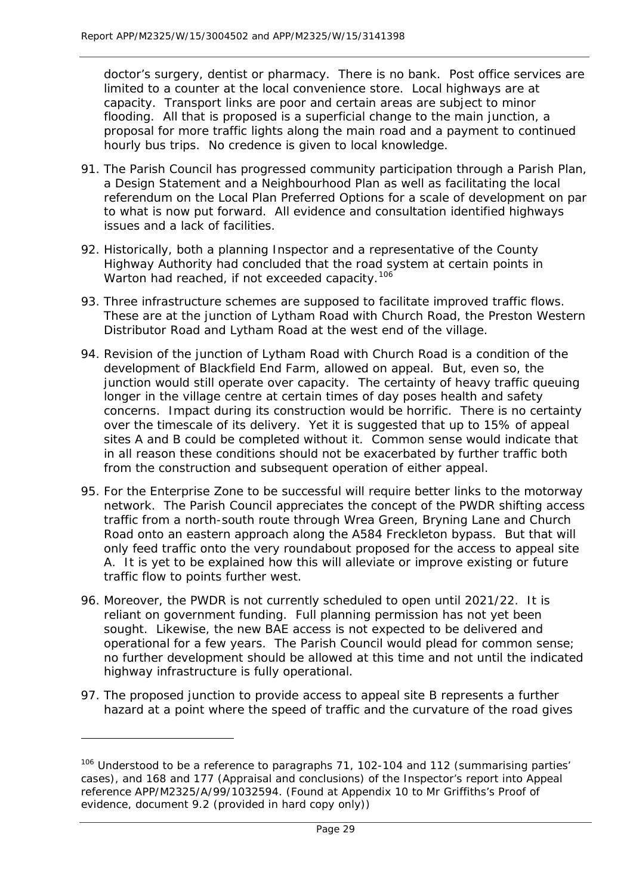doctor's surgery, dentist or pharmacy. There is no bank. Post office services are limited to a counter at the local convenience store. Local highways are at capacity. Transport links are poor and certain areas are subject to minor flooding. All that is proposed is a superficial change to the main junction, a proposal for more traffic lights along the main road and a payment to continued hourly bus trips. No credence is given to local knowledge.

- 91. The Parish Council has progressed community participation through a Parish Plan, a Design Statement and a Neighbourhood Plan as well as facilitating the local referendum on the Local Plan Preferred Options for a scale of development on par to what is now put forward. All evidence and consultation identified highways issues and a lack of facilities.
- 92. Historically, both a planning Inspector and a representative of the County Highway Authority had concluded that the road system at certain points in Warton had reached, if not exceeded capacity.<sup>[106](#page-29-0)</sup>
- 93. Three infrastructure schemes are supposed to facilitate improved traffic flows. These are at the junction of Lytham Road with Church Road, the Preston Western Distributor Road and Lytham Road at the west end of the village.
- 94. Revision of the junction of Lytham Road with Church Road is a condition of the development of Blackfield End Farm, allowed on appeal. But, even so, the junction would still operate over capacity. The certainty of heavy traffic queuing longer in the village centre at certain times of day poses health and safety concerns. Impact during its construction would be horrific. There is no certainty over the timescale of its delivery. Yet it is suggested that up to 15% of appeal sites A and B could be completed without it. Common sense would indicate that in all reason these conditions should not be exacerbated by further traffic both from the construction and subsequent operation of either appeal.
- 95. For the Enterprise Zone to be successful will require better links to the motorway network. The Parish Council appreciates the concept of the PWDR shifting access traffic from a north-south route through Wrea Green, Bryning Lane and Church Road onto an eastern approach along the A584 Freckleton bypass. But that will only feed traffic onto the very roundabout proposed for the access to appeal site A. It is yet to be explained how this will alleviate or improve existing or future traffic flow to points further west.
- 96. Moreover, the PWDR is not currently scheduled to open until 2021/22. It is reliant on government funding. Full planning permission has not yet been sought. Likewise, the new BAE access is not expected to be delivered and operational for a few years. The Parish Council would plead for common sense; no further development should be allowed at this time and not until the indicated highway infrastructure is fully operational.
- 97. The proposed junction to provide access to appeal site B represents a further hazard at a point where the speed of traffic and the curvature of the road gives

<span id="page-29-0"></span><sup>&</sup>lt;sup>106</sup> Understood to be a reference to paragraphs 71, 102-104 and 112 (summarising parties' cases), and 168 and 177 (Appraisal and conclusions) of the Inspector's report into Appeal reference APP/M2325/A/99/1032594. (Found at Appendix 10 to Mr Griffiths's Proof of evidence, document 9.2 (provided in hard copy only))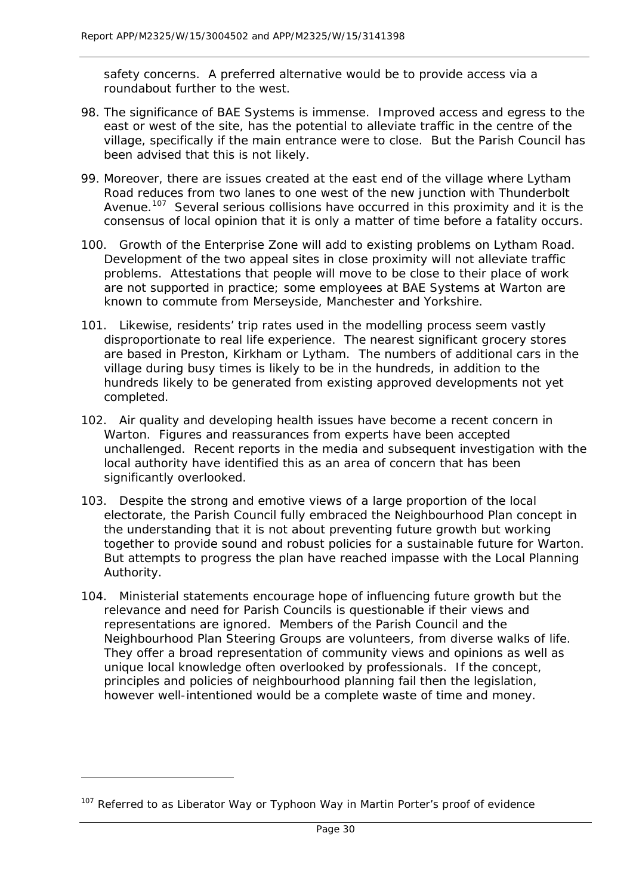safety concerns. A preferred alternative would be to provide access via a roundabout further to the west.

- 98. The significance of BAE Systems is immense. Improved access and egress to the east or west of the site, has the potential to alleviate traffic in the centre of the village, specifically if the main entrance were to close. But the Parish Council has been advised that this is not likely.
- 99. Moreover, there are issues created at the east end of the village where Lytham Road reduces from two lanes to one west of the new junction with Thunderbolt Avenue.<sup>107</sup> Several serious collisions have occurred in this proximity and it is the consensus of local opinion that it is only a matter of time before a fatality occurs.
- 100. Growth of the Enterprise Zone will add to existing problems on Lytham Road. Development of the two appeal sites in close proximity will not alleviate traffic problems. Attestations that people will move to be close to their place of work are not supported in practice; some employees at BAE Systems at Warton are known to commute from Merseyside, Manchester and Yorkshire.
- 101. Likewise, residents' trip rates used in the modelling process seem vastly disproportionate to real life experience. The nearest significant grocery stores are based in Preston, Kirkham or Lytham. The numbers of additional cars in the village during busy times is likely to be in the hundreds, in addition to the hundreds likely to be generated from existing approved developments not yet completed.
- 102. Air quality and developing health issues have become a recent concern in Warton. Figures and reassurances from experts have been accepted unchallenged. Recent reports in the media and subsequent investigation with the local authority have identified this as an area of concern that has been significantly overlooked.
- 103. Despite the strong and emotive views of a large proportion of the local electorate, the Parish Council fully embraced the Neighbourhood Plan concept in the understanding that it is not about preventing future growth but working together to provide sound and robust policies for a sustainable future for Warton. But attempts to progress the plan have reached impasse with the Local Planning Authority.
- 104. Ministerial statements encourage hope of influencing future growth but the relevance and need for Parish Councils is questionable if their views and representations are ignored. Members of the Parish Council and the Neighbourhood Plan Steering Groups are volunteers, from diverse walks of life. They offer a broad representation of community views and opinions as well as unique local knowledge often overlooked by professionals. If the concept, principles and policies of neighbourhood planning fail then the legislation, however well-intentioned would be a complete waste of time and money.

<span id="page-30-0"></span> $107$  Referred to as Liberator Way or Typhoon Way in Martin Porter's proof of evidence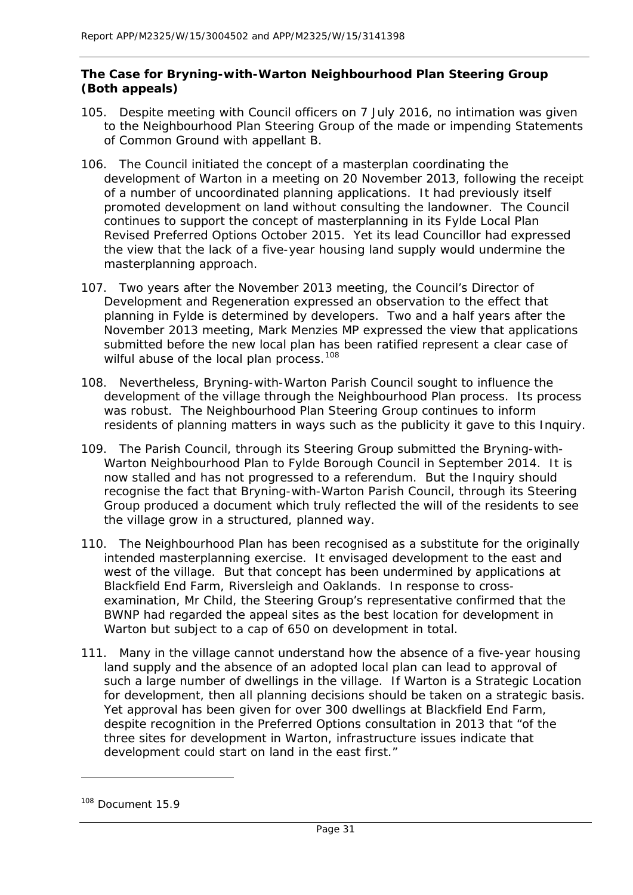# **The Case for Bryning-with-Warton Neighbourhood Plan Steering Group (Both appeals)**

- 105. Despite meeting with Council officers on 7 July 2016, no intimation was given to the Neighbourhood Plan Steering Group of the made or impending Statements of Common Ground with appellant B.
- 106. The Council initiated the concept of a masterplan coordinating the development of Warton in a meeting on 20 November 2013, following the receipt of a number of uncoordinated planning applications. It had previously itself promoted development on land without consulting the landowner. The Council continues to support the concept of masterplanning in its Fylde Local Plan Revised Preferred Options October 2015. Yet its lead Councillor had expressed the view that the lack of a five-year housing land supply would undermine the masterplanning approach.
- 107. Two years after the November 2013 meeting, the Council's Director of Development and Regeneration expressed an observation to the effect that planning in Fylde is determined by developers. Two and a half years after the November 2013 meeting, Mark Menzies MP expressed the view that applications submitted before the new local plan has been ratified represent a clear case of wilful abuse of the local plan process.<sup>[108](#page-31-0)</sup>
- 108. Nevertheless, Bryning-with-Warton Parish Council sought to influence the development of the village through the Neighbourhood Plan process. Its process was robust. The Neighbourhood Plan Steering Group continues to inform residents of planning matters in ways such as the publicity it gave to this Inquiry.
- 109. The Parish Council, through its Steering Group submitted the Bryning-with-Warton Neighbourhood Plan to Fylde Borough Council in September 2014. It is now stalled and has not progressed to a referendum. But the Inquiry should recognise the fact that Bryning-with-Warton Parish Council, through its Steering Group produced a document which truly reflected the will of the residents to see the village grow in a structured, planned way.
- 110. The Neighbourhood Plan has been recognised as a substitute for the originally intended masterplanning exercise. It envisaged development to the east and west of the village. But that concept has been undermined by applications at Blackfield End Farm, Riversleigh and Oaklands. In response to crossexamination, Mr Child, the Steering Group's representative confirmed that the BWNP had regarded the appeal sites as the best location for development in Warton but subject to a cap of 650 on development in total.
- 111. Many in the village cannot understand how the absence of a five-year housing land supply and the absence of an adopted local plan can lead to approval of such a large number of dwellings in the village. If Warton is a Strategic Location for development, then all planning decisions should be taken on a strategic basis. Yet approval has been given for over 300 dwellings at Blackfield End Farm, despite recognition in the Preferred Options consultation in 2013 that "of the three sites for development in Warton, infrastructure issues indicate that development could start on land in the east first."

<span id="page-31-0"></span><sup>&</sup>lt;sup>108</sup> Document 15.9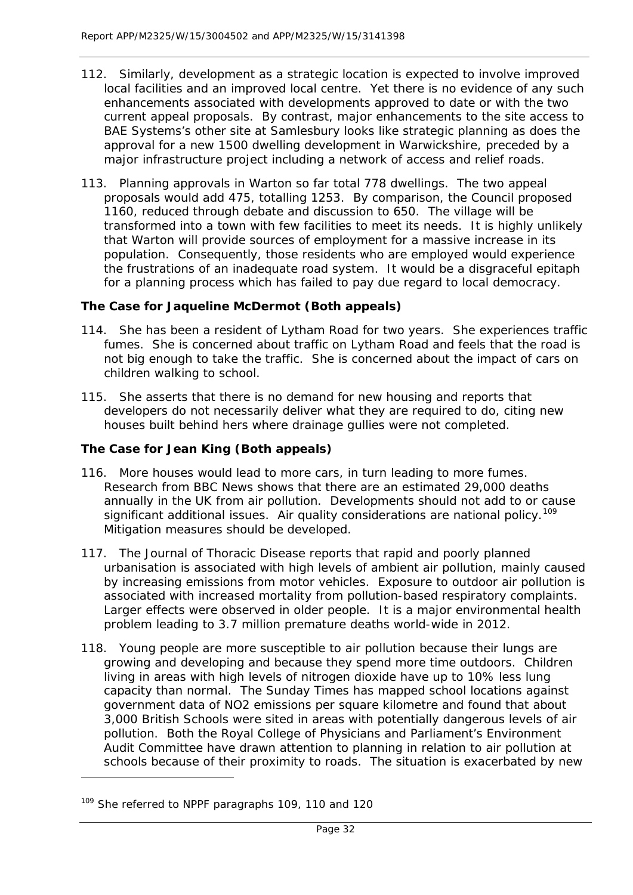- 112. Similarly, development as a strategic location is expected to involve improved local facilities and an improved local centre. Yet there is no evidence of any such enhancements associated with developments approved to date or with the two current appeal proposals. By contrast, major enhancements to the site access to BAE Systems's other site at Samlesbury looks like strategic planning as does the approval for a new 1500 dwelling development in Warwickshire, preceded by a major infrastructure project including a network of access and relief roads.
- 113. Planning approvals in Warton so far total 778 dwellings. The two appeal proposals would add 475, totalling 1253. By comparison, the Council proposed 1160, reduced through debate and discussion to 650. The village will be transformed into a town with few facilities to meet its needs. It is highly unlikely that Warton will provide sources of employment for a massive increase in its population. Consequently, those residents who are employed would experience the frustrations of an inadequate road system. It would be a disgraceful epitaph for a planning process which has failed to pay due regard to local democracy.

# **The Case for Jaqueline McDermot (Both appeals)**

- 114. She has been a resident of Lytham Road for two years. She experiences traffic fumes. She is concerned about traffic on Lytham Road and feels that the road is not big enough to take the traffic. She is concerned about the impact of cars on children walking to school.
- 115. She asserts that there is no demand for new housing and reports that developers do not necessarily deliver what they are required to do, citing new houses built behind hers where drainage gullies were not completed.

# **The Case for Jean King (Both appeals)**

- 116. More houses would lead to more cars, in turn leading to more fumes. Research from BBC News shows that there are an estimated 29,000 deaths annually in the UK from air pollution. Developments should not add to or cause significant additional issues. Air quality considerations are national policy.<sup>[109](#page-32-0)</sup> Mitigation measures should be developed.
- 117. The Journal of Thoracic Disease reports that rapid and poorly planned urbanisation is associated with high levels of ambient air pollution, mainly caused by increasing emissions from motor vehicles. Exposure to outdoor air pollution is associated with increased mortality from pollution-based respiratory complaints. Larger effects were observed in older people. It is a major environmental health problem leading to 3.7 million premature deaths world-wide in 2012.
- 118. Young people are more susceptible to air pollution because their lungs are growing and developing and because they spend more time outdoors. Children living in areas with high levels of nitrogen dioxide have up to 10% less lung capacity than normal. The Sunday Times has mapped school locations against government data of NO2 emissions per square kilometre and found that about 3,000 British Schools were sited in areas with potentially dangerous levels of air pollution. Both the Royal College of Physicians and Parliament's Environment Audit Committee have drawn attention to planning in relation to air pollution at schools because of their proximity to roads. The situation is exacerbated by new

<span id="page-32-0"></span><sup>&</sup>lt;sup>109</sup> She referred to NPPF paragraphs 109, 110 and 120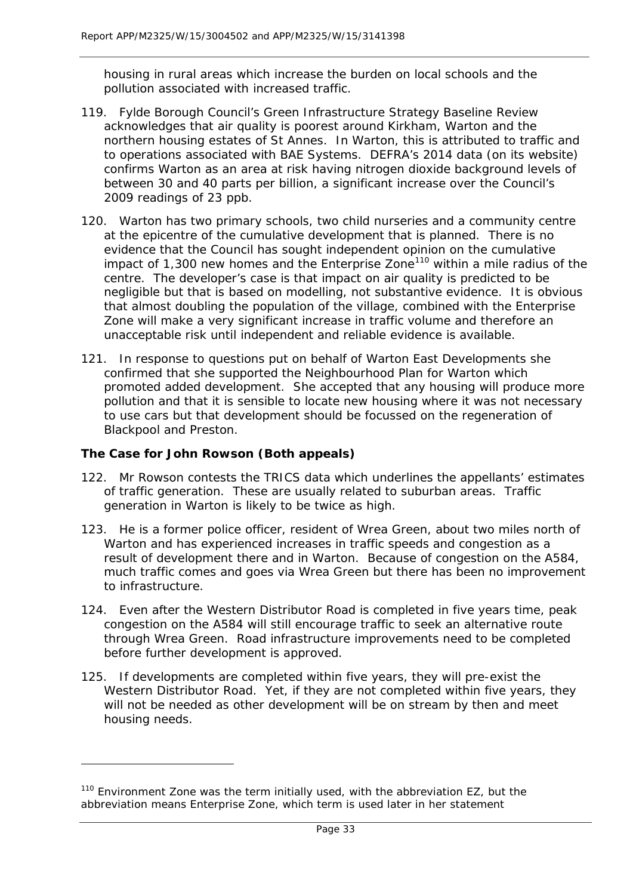housing in rural areas which increase the burden on local schools and the pollution associated with increased traffic.

- 119. Fylde Borough Council's Green Infrastructure Strategy Baseline Review acknowledges that air quality is poorest around Kirkham, Warton and the northern housing estates of St Annes. In Warton, this is attributed to traffic and to operations associated with BAE Systems. DEFRA's 2014 data (on its website) confirms Warton as an area at risk having nitrogen dioxide background levels of between 30 and 40 parts per billion, a significant increase over the Council's 2009 readings of 23 ppb.
- 120. Warton has two primary schools, two child nurseries and a community centre at the epicentre of the cumulative development that is planned. There is no evidence that the Council has sought independent opinion on the cumulative impact of 1,300 new homes and the Enterprise Zone<sup>[110](#page-33-0)</sup> within a mile radius of the centre. The developer's case is that impact on air quality is predicted to be negligible but that is based on modelling, not substantive evidence. It is obvious that almost doubling the population of the village, combined with the Enterprise Zone will make a very significant increase in traffic volume and therefore an unacceptable risk until independent and reliable evidence is available.
- 121. In response to questions put on behalf of Warton East Developments she confirmed that she supported the Neighbourhood Plan for Warton which promoted added development. She accepted that any housing will produce more pollution and that it is sensible to locate new housing where it was not necessary to use cars but that development should be focussed on the regeneration of Blackpool and Preston.

# **The Case for John Rowson (Both appeals)**

- 122. Mr Rowson contests the TRICS data which underlines the appellants' estimates of traffic generation. These are usually related to suburban areas. Traffic generation in Warton is likely to be twice as high.
- 123. He is a former police officer, resident of Wrea Green, about two miles north of Warton and has experienced increases in traffic speeds and congestion as a result of development there and in Warton. Because of congestion on the A584, much traffic comes and goes via Wrea Green but there has been no improvement to infrastructure.
- 124. Even after the Western Distributor Road is completed in five years time, peak congestion on the A584 will still encourage traffic to seek an alternative route through Wrea Green. Road infrastructure improvements need to be completed before further development is approved.
- 125. If developments are completed within five years, they will pre-exist the Western Distributor Road. Yet, if they are not completed within five years, they will not be needed as other development will be on stream by then and meet housing needs.

<span id="page-33-0"></span><sup>&</sup>lt;sup>110</sup> Environment Zone was the term initially used, with the abbreviation EZ, but the abbreviation means Enterprise Zone, which term is used later in her statement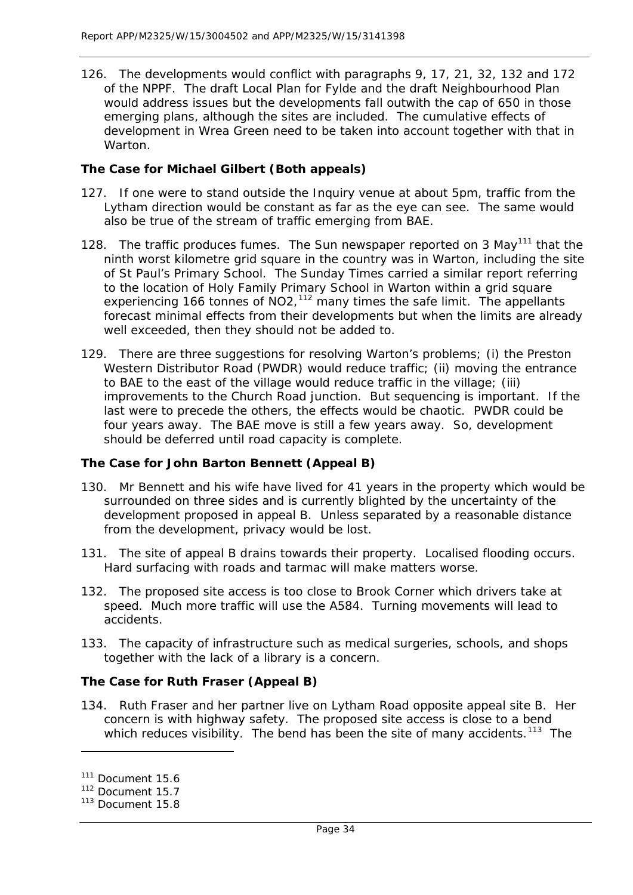126. The developments would conflict with paragraphs 9, 17, 21, 32, 132 and 172 of the NPPF. The draft Local Plan for Fylde and the draft Neighbourhood Plan would address issues but the developments fall outwith the cap of 650 in those emerging plans, although the sites are included. The cumulative effects of development in Wrea Green need to be taken into account together with that in Warton.

# **The Case for Michael Gilbert (Both appeals)**

- 127. If one were to stand outside the Inquiry venue at about 5pm, traffic from the Lytham direction would be constant as far as the eye can see. The same would also be true of the stream of traffic emerging from BAE.
- 128. The traffic produces fumes. The Sun newspaper reported on 3 May<sup>[111](#page-34-0)</sup> that the ninth worst kilometre grid square in the country was in Warton, including the site of St Paul's Primary School. The Sunday Times carried a similar report referring to the location of Holy Family Primary School in Warton within a grid square experiencing 166 tonnes of  $NO2$ ,<sup>[112](#page-34-1)</sup> many times the safe limit. The appellants forecast minimal effects from their developments but when the limits are already well exceeded, then they should not be added to.
- 129. There are three suggestions for resolving Warton's problems; (i) the Preston Western Distributor Road (PWDR) would reduce traffic; (ii) moving the entrance to BAE to the east of the village would reduce traffic in the village; (iii) improvements to the Church Road junction. But sequencing is important. If the last were to precede the others, the effects would be chaotic. PWDR could be four years away. The BAE move is still a few years away. So, development should be deferred until road capacity is complete.

# **The Case for John Barton Bennett (Appeal B)**

- 130. Mr Bennett and his wife have lived for 41 years in the property which would be surrounded on three sides and is currently blighted by the uncertainty of the development proposed in appeal B. Unless separated by a reasonable distance from the development, privacy would be lost.
- 131. The site of appeal B drains towards their property. Localised flooding occurs. Hard surfacing with roads and tarmac will make matters worse.
- 132. The proposed site access is too close to Brook Corner which drivers take at speed. Much more traffic will use the A584. Turning movements will lead to accidents.
- 133. The capacity of infrastructure such as medical surgeries, schools, and shops together with the lack of a library is a concern.

# **The Case for Ruth Fraser (Appeal B)**

134. Ruth Fraser and her partner live on Lytham Road opposite appeal site B. Her concern is with highway safety. The proposed site access is close to a bend which reduces visibility. The bend has been the site of many accidents.<sup>113</sup> The

<span id="page-34-0"></span><sup>&</sup>lt;sup>111</sup> Document 15.6

<span id="page-34-1"></span><sup>112</sup> Document 15.7

<span id="page-34-2"></span> $113$  Document 15.8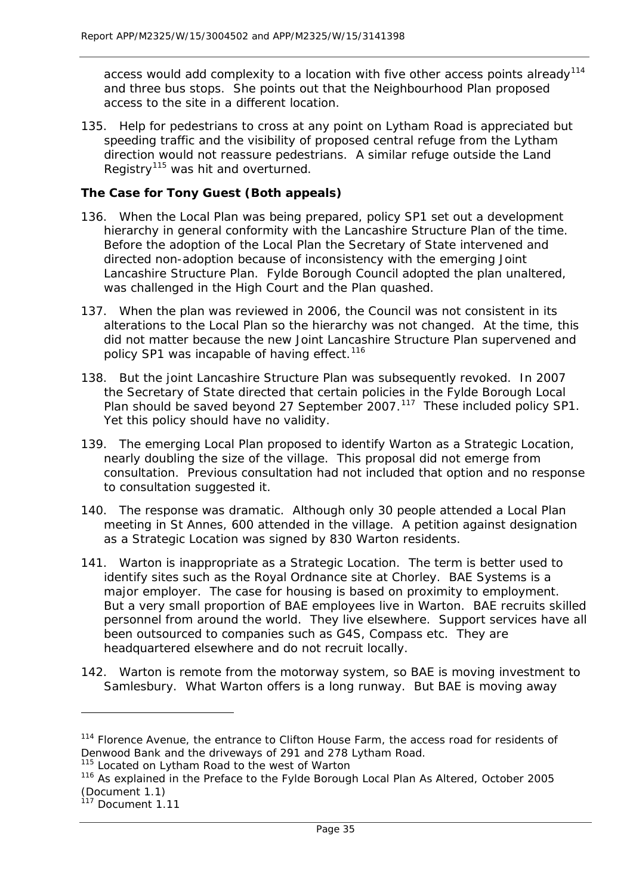access would add complexity to a location with five other access points already<sup>[114](#page-35-0)</sup> and three bus stops. She points out that the Neighbourhood Plan proposed access to the site in a different location.

135. Help for pedestrians to cross at any point on Lytham Road is appreciated but speeding traffic and the visibility of proposed central refuge from the Lytham direction would not reassure pedestrians. A similar refuge outside the Land Registry<sup>[115](#page-35-1)</sup> was hit and overturned.

## **The Case for Tony Guest (Both appeals)**

- 136. When the Local Plan was being prepared, policy SP1 set out a development hierarchy in general conformity with the Lancashire Structure Plan of the time. Before the adoption of the Local Plan the Secretary of State intervened and directed non-adoption because of inconsistency with the emerging Joint Lancashire Structure Plan. Fylde Borough Council adopted the plan unaltered, was challenged in the High Court and the Plan quashed.
- 137. When the plan was reviewed in 2006, the Council was not consistent in its alterations to the Local Plan so the hierarchy was not changed. At the time, this did not matter because the new Joint Lancashire Structure Plan supervened and policy SP1 was incapable of having effect.<sup>[116](#page-35-2)</sup>
- 138. But the joint Lancashire Structure Plan was subsequently revoked. In 2007 the Secretary of State directed that certain policies in the Fylde Borough Local Plan should be saved beyond 27 September 2007.<sup>117</sup> These included policy SP1. Yet this policy should have no validity.
- 139. The emerging Local Plan proposed to identify Warton as a Strategic Location, nearly doubling the size of the village. This proposal did not emerge from consultation. Previous consultation had not included that option and no response to consultation suggested it.
- 140. The response was dramatic. Although only 30 people attended a Local Plan meeting in St Annes, 600 attended in the village. A petition against designation as a Strategic Location was signed by 830 Warton residents.
- 141. Warton is inappropriate as a Strategic Location. The term is better used to identify sites such as the Royal Ordnance site at Chorley. BAE Systems is a major employer. The case for housing is based on proximity to employment. But a very small proportion of BAE employees live in Warton. BAE recruits skilled personnel from around the world. They live elsewhere. Support services have all been outsourced to companies such as G4S, Compass etc. They are headquartered elsewhere and do not recruit locally.
- 142. Warton is remote from the motorway system, so BAE is moving investment to Samlesbury. What Warton offers is a long runway. But BAE is moving away

<span id="page-35-0"></span><sup>&</sup>lt;sup>114</sup> Florence Avenue, the entrance to Clifton House Farm, the access road for residents of Denwood Bank and the driveways of 291 and 278 Lytham Road.

<span id="page-35-1"></span><sup>&</sup>lt;sup>115</sup> Located on Lytham Road to the west of Warton

<span id="page-35-2"></span><sup>&</sup>lt;sup>116</sup> As explained in the Preface to the Fylde Borough Local Plan As Altered, October 2005 (Document 1.1)

<span id="page-35-3"></span> $117$  Document 1.11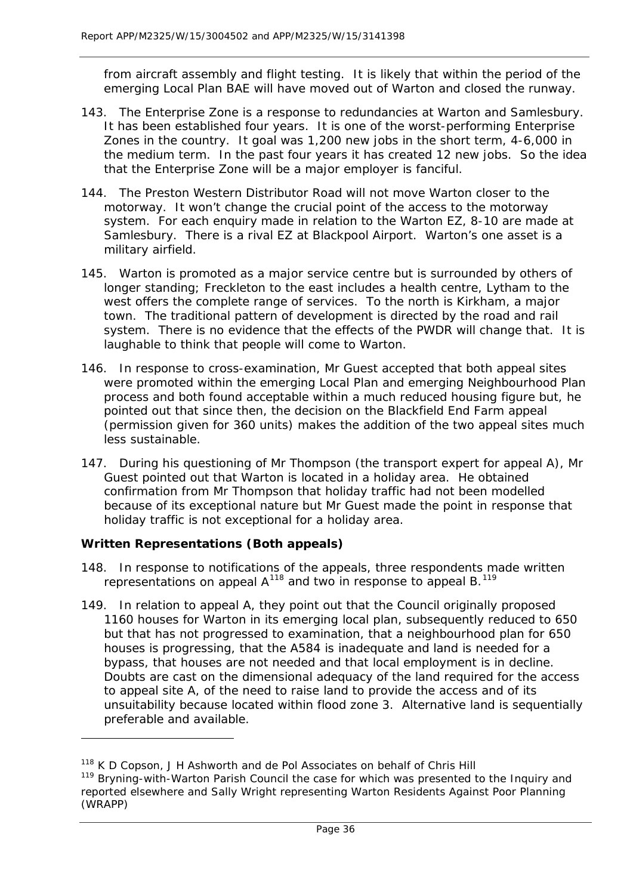from aircraft assembly and flight testing. It is likely that within the period of the emerging Local Plan BAE will have moved out of Warton and closed the runway.

- 143. The Enterprise Zone is a response to redundancies at Warton and Samlesbury. It has been established four years. It is one of the worst-performing Enterprise Zones in the country. It goal was 1,200 new jobs in the short term, 4-6,000 in the medium term. In the past four years it has created 12 new jobs. So the idea that the Enterprise Zone will be a major employer is fanciful.
- 144. The Preston Western Distributor Road will not move Warton closer to the motorway. It won't change the crucial point of the access to the motorway system. For each enquiry made in relation to the Warton EZ, 8-10 are made at Samlesbury. There is a rival EZ at Blackpool Airport. Warton's one asset is a military airfield.
- 145. Warton is promoted as a major service centre but is surrounded by others of longer standing; Freckleton to the east includes a health centre, Lytham to the west offers the complete range of services. To the north is Kirkham, a major town. The traditional pattern of development is directed by the road and rail system. There is no evidence that the effects of the PWDR will change that. It is laughable to think that people will come to Warton.
- 146. In response to cross-examination, Mr Guest accepted that both appeal sites were promoted within the emerging Local Plan and emerging Neighbourhood Plan process and both found acceptable within a much reduced housing figure but, he pointed out that since then, the decision on the Blackfield End Farm appeal (permission given for 360 units) makes the addition of the two appeal sites much less sustainable.
- 147. During his questioning of Mr Thompson (the transport expert for appeal A), Mr Guest pointed out that Warton is located in a holiday area. He obtained confirmation from Mr Thompson that holiday traffic had not been modelled because of its exceptional nature but Mr Guest made the point in response that holiday traffic is not exceptional for a holiday area.

## **Written Representations (Both appeals)**

- 148. In response to notifications of the appeals, three respondents made written representations on appeal A<sup>[118](#page-36-0)</sup> and two in response to appeal B.<sup>[119](#page-36-1)</sup>
- 149. In relation to appeal A, they point out that the Council originally proposed 1160 houses for Warton in its emerging local plan, subsequently reduced to 650 but that has not progressed to examination, that a neighbourhood plan for 650 houses is progressing, that the A584 is inadequate and land is needed for a bypass, that houses are not needed and that local employment is in decline. Doubts are cast on the dimensional adequacy of the land required for the access to appeal site A, of the need to raise land to provide the access and of its unsuitability because located within flood zone 3. Alternative land is sequentially preferable and available.

<span id="page-36-0"></span><sup>&</sup>lt;sup>118</sup> K D Copson, J H Ashworth and de Pol Associates on behalf of Chris Hill

<span id="page-36-1"></span><sup>&</sup>lt;sup>119</sup> Bryning-with-Warton Parish Council the case for which was presented to the Inquiry and reported elsewhere and Sally Wright representing Warton Residents Against Poor Planning (WRAPP)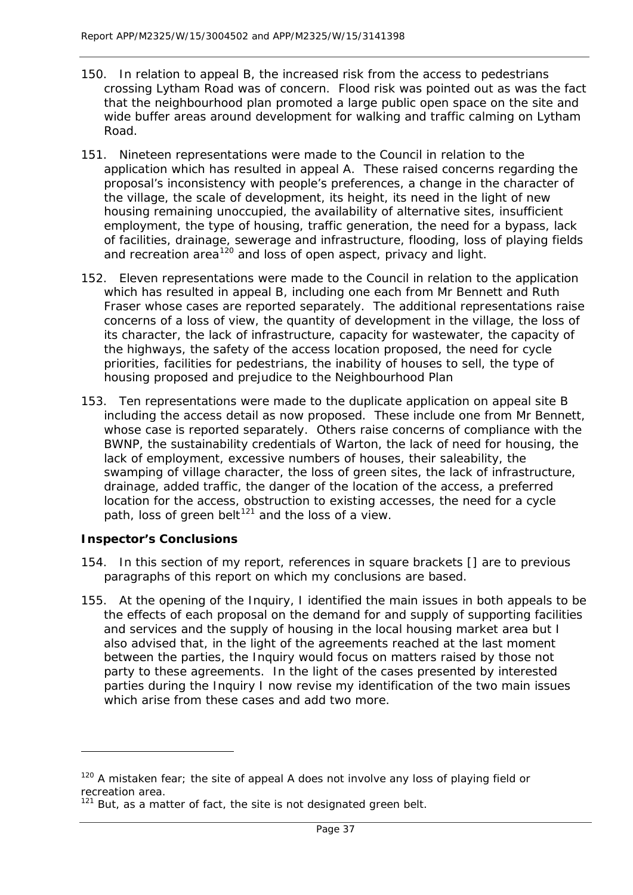- 150. In relation to appeal B, the increased risk from the access to pedestrians crossing Lytham Road was of concern. Flood risk was pointed out as was the fact that the neighbourhood plan promoted a large public open space on the site and wide buffer areas around development for walking and traffic calming on Lytham Road.
- 151. Nineteen representations were made to the Council in relation to the application which has resulted in appeal A. These raised concerns regarding the proposal's inconsistency with people's preferences, a change in the character of the village, the scale of development, its height, its need in the light of new housing remaining unoccupied, the availability of alternative sites, insufficient employment, the type of housing, traffic generation, the need for a bypass, lack of facilities, drainage, sewerage and infrastructure, flooding, loss of playing fields and recreation area<sup>[120](#page-37-0)</sup> and loss of open aspect, privacy and light.
- 152. Eleven representations were made to the Council in relation to the application which has resulted in appeal B, including one each from Mr Bennett and Ruth Fraser whose cases are reported separately. The additional representations raise concerns of a loss of view, the quantity of development in the village, the loss of its character, the lack of infrastructure, capacity for wastewater, the capacity of the highways, the safety of the access location proposed, the need for cycle priorities, facilities for pedestrians, the inability of houses to sell, the type of housing proposed and prejudice to the Neighbourhood Plan
- 153. Ten representations were made to the duplicate application on appeal site B including the access detail as now proposed. These include one from Mr Bennett, whose case is reported separately. Others raise concerns of compliance with the BWNP, the sustainability credentials of Warton, the lack of need for housing, the lack of employment, excessive numbers of houses, their saleability, the swamping of village character, the loss of green sites, the lack of infrastructure, drainage, added traffic, the danger of the location of the access, a preferred location for the access, obstruction to existing accesses, the need for a cycle path, loss of green belt<sup>[121](#page-37-1)</sup> and the loss of a view.

## **Inspector's Conclusions**

l

- 154. In this section of my report, references in square brackets [] are to previous paragraphs of this report on which my conclusions are based.
- 155. At the opening of the Inquiry, I identified the main issues in both appeals to be the effects of each proposal on the demand for and supply of supporting facilities and services and the supply of housing in the local housing market area but I also advised that, in the light of the agreements reached at the last moment between the parties, the Inquiry would focus on matters raised by those not party to these agreements. In the light of the cases presented by interested parties during the Inquiry I now revise my identification of the two main issues which arise from these cases and add two more.

<span id="page-37-0"></span> $120$  A mistaken fear; the site of appeal A does not involve any loss of playing field or recreation area.

<span id="page-37-1"></span> $121$  But, as a matter of fact, the site is not designated green belt.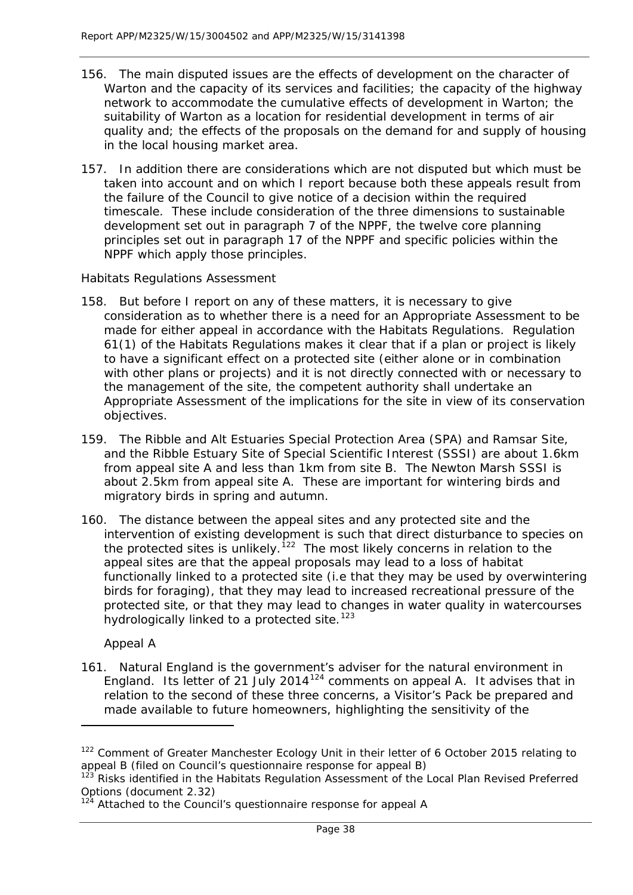- 156. The main disputed issues are the effects of development on the character of Warton and the capacity of its services and facilities; the capacity of the highway network to accommodate the cumulative effects of development in Warton; the suitability of Warton as a location for residential development in terms of air quality and; the effects of the proposals on the demand for and supply of housing in the local housing market area.
- 157. In addition there are considerations which are not disputed but which must be taken into account and on which I report because both these appeals result from the failure of the Council to give notice of a decision within the required timescale. These include consideration of the three dimensions to sustainable development set out in paragraph 7 of the NPPF, the twelve core planning principles set out in paragraph 17 of the NPPF and specific policies within the NPPF which apply those principles.

## *Habitats Regulations Assessment*

- 158. But before I report on any of these matters, it is necessary to give consideration as to whether there is a need for an Appropriate Assessment to be made for either appeal in accordance with the Habitats Regulations. Regulation 61(1) of the Habitats Regulations makes it clear that if a plan or project is likely to have a significant effect on a protected site (either alone or in combination with other plans or projects) and it is not directly connected with or necessary to the management of the site, the competent authority shall undertake an Appropriate Assessment of the implications for the site in view of its conservation objectives.
- 159. The Ribble and Alt Estuaries Special Protection Area (SPA) and Ramsar Site, and the Ribble Estuary Site of Special Scientific Interest (SSSI) are about 1.6km from appeal site A and less than 1km from site B. The Newton Marsh SSSI is about 2.5km from appeal site A. These are important for wintering birds and migratory birds in spring and autumn.
- 160. The distance between the appeal sites and any protected site and the intervention of existing development is such that direct disturbance to species on the protected sites is unlikely.<sup>[122](#page-38-0)</sup> The most likely concerns in relation to the appeal sites are that the appeal proposals may lead to a loss of habitat functionally linked to a protected site (i.e that they may be used by overwintering birds for foraging), that they may lead to increased recreational pressure of the protected site, or that they may lead to changes in water quality in watercourses hydrologically linked to a protected site.<sup>[123](#page-38-1)</sup>

## *Appeal A*

1

161. Natural England is the government's adviser for the natural environment in England. Its letter of 21 July 2014[124](#page-38-2) comments on appeal A. It advises that in relation to the second of these three concerns, a Visitor's Pack be prepared and made available to future homeowners, highlighting the sensitivity of the

<span id="page-38-0"></span><sup>&</sup>lt;sup>122</sup> Comment of Greater Manchester Ecology Unit in their letter of 6 October 2015 relating to appeal B (filed on Council's questionnaire response for appeal B)

<span id="page-38-1"></span><sup>&</sup>lt;sup>123</sup> Risks identified in the Habitats Regulation Assessment of the Local Plan Revised Preferred Options (document 2.32)

<span id="page-38-2"></span><sup>&</sup>lt;sup>124</sup> Attached to the Council's questionnaire response for appeal A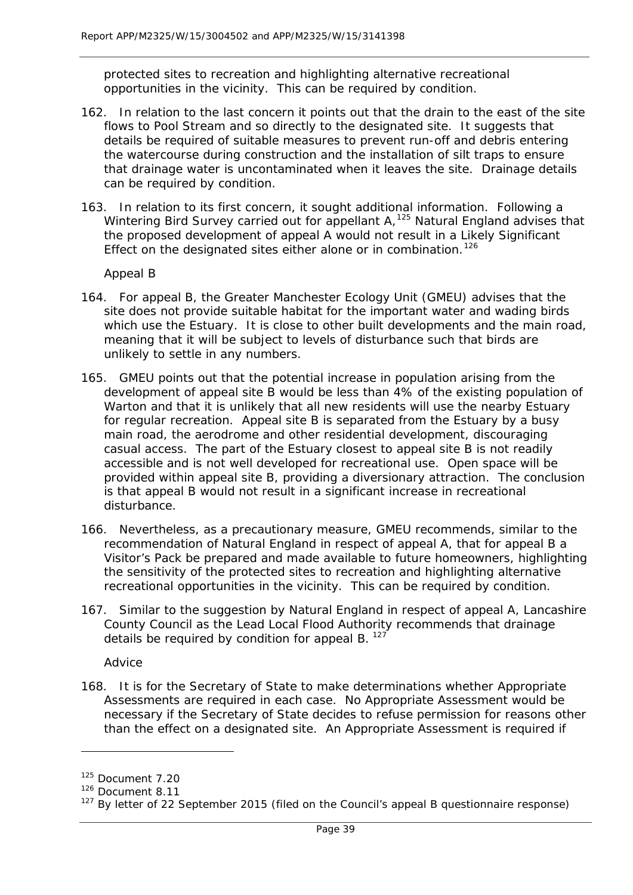protected sites to recreation and highlighting alternative recreational opportunities in the vicinity. This can be required by condition.

- 162. In relation to the last concern it points out that the drain to the east of the site flows to Pool Stream and so directly to the designated site. It suggests that details be required of suitable measures to prevent run-off and debris entering the watercourse during construction and the installation of silt traps to ensure that drainage water is uncontaminated when it leaves the site. Drainage details can be required by condition.
- 163. In relation to its first concern, it sought additional information. Following a Wintering Bird Survey carried out for appellant A,<sup>[125](#page-39-0)</sup> Natural England advises that the proposed development of appeal A would not result in a Likely Significant Effect on the designated sites either alone or in combination.<sup>[126](#page-39-1)</sup>

#### *Appeal B*

- 164. For appeal B, the Greater Manchester Ecology Unit (GMEU) advises that the site does not provide suitable habitat for the important water and wading birds which use the Estuary. It is close to other built developments and the main road, meaning that it will be subject to levels of disturbance such that birds are unlikely to settle in any numbers.
- 165. GMEU points out that the potential increase in population arising from the development of appeal site B would be less than 4% of the existing population of Warton and that it is unlikely that all new residents will use the nearby Estuary for regular recreation. Appeal site B is separated from the Estuary by a busy main road, the aerodrome and other residential development, discouraging casual access. The part of the Estuary closest to appeal site B is not readily accessible and is not well developed for recreational use. Open space will be provided within appeal site B, providing a diversionary attraction. The conclusion is that appeal B would not result in a significant increase in recreational disturbance.
- 166. Nevertheless, as a precautionary measure, GMEU recommends, similar to the recommendation of Natural England in respect of appeal A, that for appeal B a Visitor's Pack be prepared and made available to future homeowners, highlighting the sensitivity of the protected sites to recreation and highlighting alternative recreational opportunities in the vicinity. This can be required by condition.
- 167. Similar to the suggestion by Natural England in respect of appeal A, Lancashire County Council as the Lead Local Flood Authority recommends that drainage details be required by condition for appeal B. [127](#page-39-2)

#### *Advice*

168. It is for the Secretary of State to make determinations whether Appropriate Assessments are required in each case. No Appropriate Assessment would be necessary if the Secretary of State decides to refuse permission for reasons other than the effect on a designated site. An Appropriate Assessment is required if

l

<span id="page-39-0"></span><sup>125</sup> Document 7.20

<span id="page-39-1"></span><sup>126</sup> Document 8.11

<span id="page-39-2"></span> $127$  By letter of 22 September 2015 (filed on the Council's appeal B questionnaire response)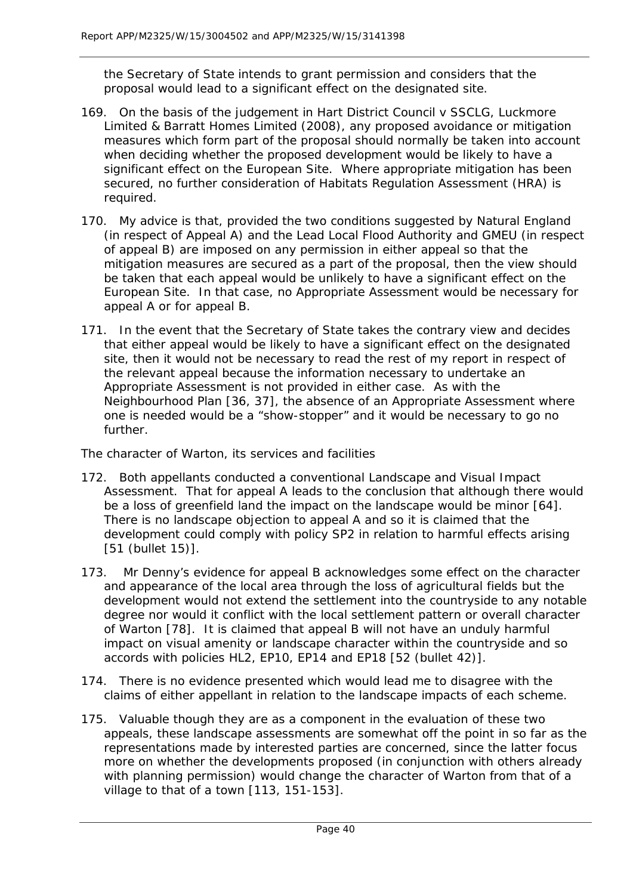the Secretary of State intends to grant permission and considers that the proposal would lead to a significant effect on the designated site.

- 169. On the basis of the judgement in *Hart District Council v SSCLG, Luckmore Limited & Barratt Homes Limited (2008)*, any proposed avoidance or mitigation measures which form part of the proposal should normally be taken into account when deciding whether the proposed development would be likely to have a significant effect on the European Site. Where appropriate mitigation has been secured, no further consideration of Habitats Regulation Assessment (HRA) is required.
- 170. My advice is that, provided the two conditions suggested by Natural England (in respect of Appeal A) and the Lead Local Flood Authority and GMEU (in respect of appeal B) are imposed on any permission in either appeal so that the mitigation measures are secured as a part of the proposal, then the view should be taken that each appeal would be unlikely to have a significant effect on the European Site. In that case, no Appropriate Assessment would be necessary for appeal A or for appeal B.
- 171. In the event that the Secretary of State takes the contrary view and decides that either appeal would be likely to have a significant effect on the designated site, then it would not be necessary to read the rest of my report in respect of the relevant appeal because the information necessary to undertake an Appropriate Assessment is not provided in either case. As with the Neighbourhood Plan [36, 37], the absence of an Appropriate Assessment where one is needed would be a "show-stopper" and it would be necessary to go no further.

#### *The character of Warton, its services and facilities*

- 172. Both appellants conducted a conventional Landscape and Visual Impact Assessment. That for appeal A leads to the conclusion that although there would be a loss of greenfield land the impact on the landscape would be minor [64]. There is no landscape objection to appeal A and so it is claimed that the development could comply with policy SP2 in relation to harmful effects arising [51 (bullet 15)].
- 173. Mr Denny's evidence for appeal B acknowledges some effect on the character and appearance of the local area through the loss of agricultural fields but the development would not extend the settlement into the countryside to any notable degree nor would it conflict with the local settlement pattern or overall character of Warton [78]. It is claimed that appeal B will not have an unduly harmful impact on visual amenity or landscape character within the countryside and so accords with policies HL2, EP10, EP14 and EP18 [52 (bullet 42)].
- 174. There is no evidence presented which would lead me to disagree with the claims of either appellant in relation to the landscape impacts of each scheme.
- 175. Valuable though they are as a component in the evaluation of these two appeals, these landscape assessments are somewhat off the point in so far as the representations made by interested parties are concerned, since the latter focus more on whether the developments proposed (in conjunction with others already with planning permission) would change the character of Warton from that of a village to that of a town [113, 151-153].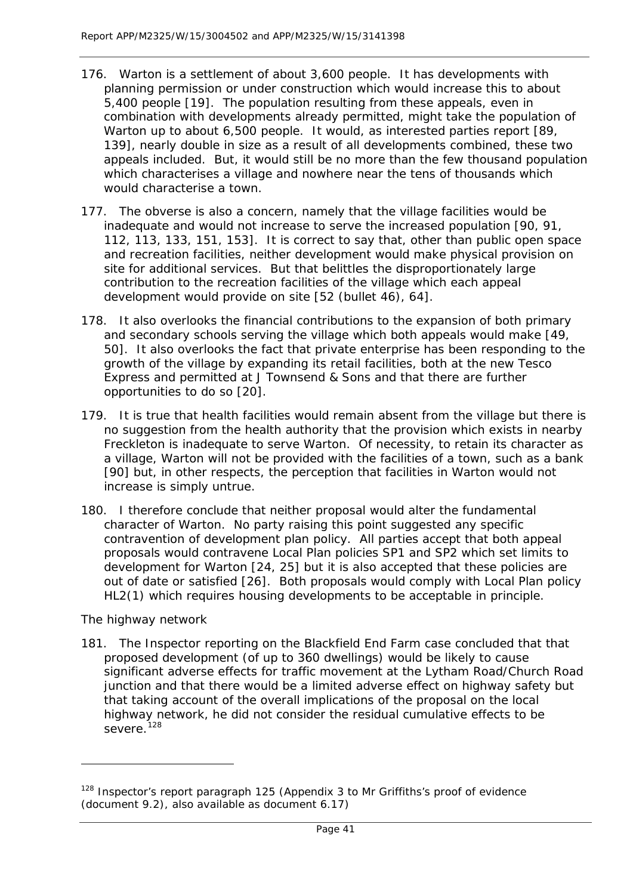- 176. Warton is a settlement of about 3,600 people. It has developments with planning permission or under construction which would increase this to about 5,400 people [19]. The population resulting from these appeals, even in combination with developments already permitted, might take the population of Warton up to about 6,500 people. It would, as interested parties report [89, 139], nearly double in size as a result of all developments combined, these two appeals included. But, it would still be no more than the few thousand population which characterises a village and nowhere near the tens of thousands which would characterise a town.
- 177. The obverse is also a concern, namely that the village facilities would be inadequate and would not increase to serve the increased population [90, 91, 112, 113, 133, 151, 153]. It is correct to say that, other than public open space and recreation facilities, neither development would make physical provision on site for additional services. But that belittles the disproportionately large contribution to the recreation facilities of the village which each appeal development would provide on site [52 (bullet 46), 64].
- 178. It also overlooks the financial contributions to the expansion of both primary and secondary schools serving the village which both appeals would make [49, 50]. It also overlooks the fact that private enterprise has been responding to the growth of the village by expanding its retail facilities, both at the new Tesco Express and permitted at J Townsend & Sons and that there are further opportunities to do so [20].
- 179. It is true that health facilities would remain absent from the village but there is no suggestion from the health authority that the provision which exists in nearby Freckleton is inadequate to serve Warton. Of necessity, to retain its character as a village, Warton will not be provided with the facilities of a town, such as a bank [90] but, in other respects, the perception that facilities in Warton would not increase is simply untrue.
- 180. I therefore conclude that neither proposal would alter the fundamental character of Warton. No party raising this point suggested any specific contravention of development plan policy. All parties accept that both appeal proposals would contravene Local Plan policies SP1 and SP2 which set limits to development for Warton [24, 25] but it is also accepted that these policies are out of date or satisfied [26]. Both proposals would comply with Local Plan policy HL2(1) which requires housing developments to be acceptable in principle.

## *The highway network*

1

181. The Inspector reporting on the Blackfield End Farm case concluded that that proposed development (of up to 360 dwellings) would be likely to cause significant adverse effects for traffic movement at the Lytham Road/Church Road junction and that there would be a limited adverse effect on highway safety but that taking account of the overall implications of the proposal on the local highway network, he did not consider the residual cumulative effects to be severe.<sup>[128](#page-41-0)</sup>

<span id="page-41-0"></span><sup>&</sup>lt;sup>128</sup> Inspector's report paragraph 125 (Appendix 3 to Mr Griffiths's proof of evidence (document 9.2), also available as document 6.17)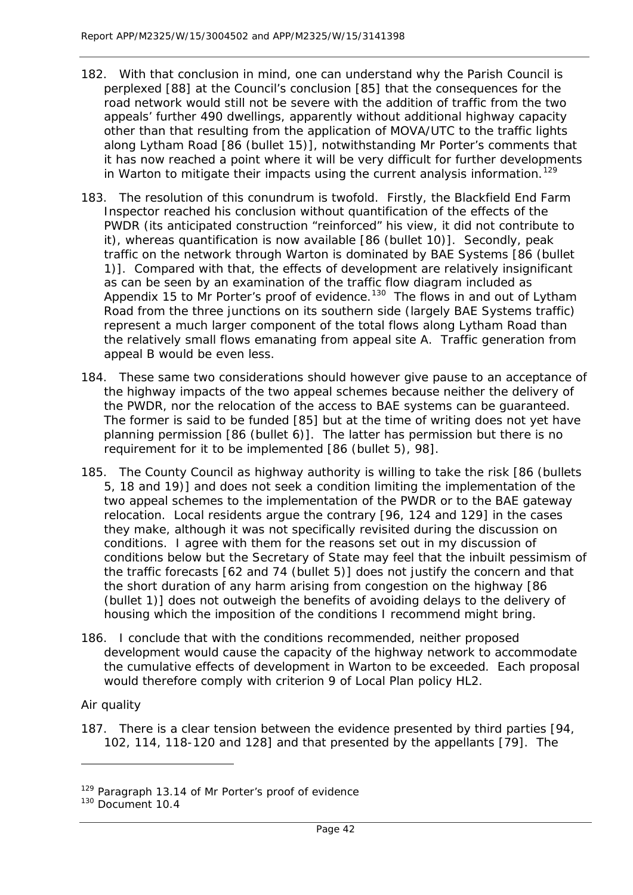- 182. With that conclusion in mind, one can understand why the Parish Council is perplexed [88] at the Council's conclusion [85] that the consequences for the road network would still not be severe with the addition of traffic from the two appeals' further 490 dwellings, apparently without additional highway capacity other than that resulting from the application of MOVA/UTC to the traffic lights along Lytham Road [86 (bullet 15)], notwithstanding Mr Porter's comments that it has now reached a point where it will be very difficult for further developments in Warton to mitigate their impacts using the current analysis information.<sup>[129](#page-42-0)</sup>
- 183. The resolution of this conundrum is twofold. Firstly, the Blackfield End Farm Inspector reached his conclusion without quantification of the effects of the PWDR (its anticipated construction "reinforced" his view, it did not contribute to it), whereas quantification is now available [86 (bullet 10)]. Secondly, peak traffic on the network through Warton is dominated by BAE Systems [86 (bullet 1)]. Compared with that, the effects of development are relatively insignificant as can be seen by an examination of the traffic flow diagram included as Appendix 15 to Mr Porter's proof of evidence.<sup>[130](#page-42-1)</sup> The flows in and out of Lytham Road from the three junctions on its southern side (largely BAE Systems traffic) represent a much larger component of the total flows along Lytham Road than the relatively small flows emanating from appeal site A. Traffic generation from appeal B would be even less.
- 184. These same two considerations should however give pause to an acceptance of the highway impacts of the two appeal schemes because neither the delivery of the PWDR, nor the relocation of the access to BAE systems can be guaranteed. The former is said to be funded [85] but at the time of writing does not yet have planning permission [86 (bullet 6)]. The latter has permission but there is no requirement for it to be implemented [86 (bullet 5), 98].
- 185. The County Council as highway authority is willing to take the risk [86 (bullets 5, 18 and 19)] and does not seek a condition limiting the implementation of the two appeal schemes to the implementation of the PWDR or to the BAE gateway relocation. Local residents argue the contrary [96, 124 and 129] in the cases they make, although it was not specifically revisited during the discussion on conditions. I agree with them for the reasons set out in my discussion of conditions below but the Secretary of State may feel that the inbuilt pessimism of the traffic forecasts [62 and 74 (bullet 5)] does not justify the concern and that the short duration of any harm arising from congestion on the highway [86 (bullet 1)] does not outweigh the benefits of avoiding delays to the delivery of housing which the imposition of the conditions I recommend might bring.
- 186. I conclude that with the conditions recommended, neither proposed development would cause the capacity of the highway network to accommodate the cumulative effects of development in Warton to be exceeded. Each proposal would therefore comply with criterion 9 of Local Plan policy HL2.

## *Air quality*

1

187. There is a clear tension between the evidence presented by third parties [94, 102, 114, 118-120 and 128] and that presented by the appellants [79]. The

<span id="page-42-0"></span><sup>&</sup>lt;sup>129</sup> Paragraph 13.14 of Mr Porter's proof of evidence

<span id="page-42-1"></span><sup>&</sup>lt;sup>130</sup> Document 10.4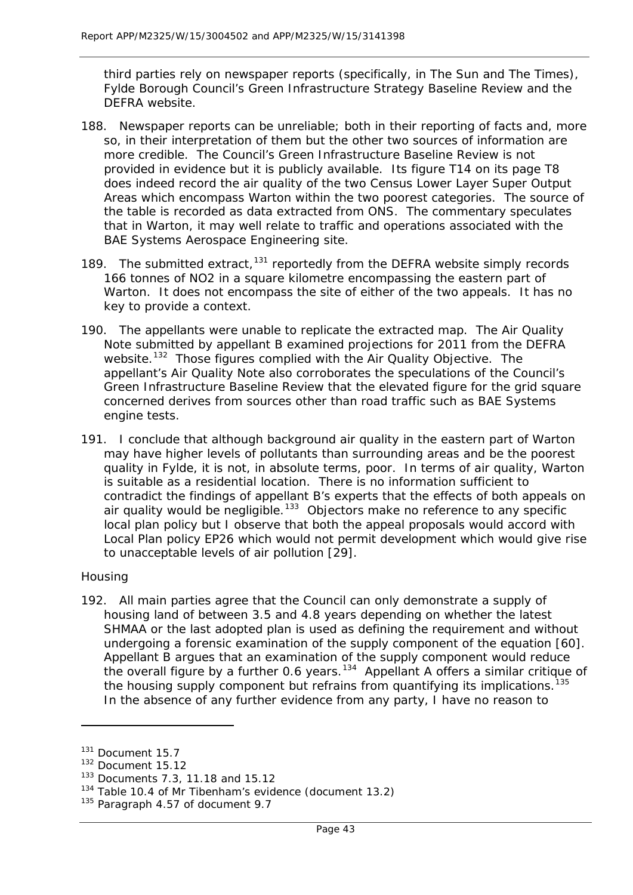third parties rely on newspaper reports (specifically, in The Sun and The Times), Fylde Borough Council's Green Infrastructure Strategy Baseline Review and the DEFRA website.

- 188. Newspaper reports can be unreliable; both in their reporting of facts and, more so, in their interpretation of them but the other two sources of information are more credible. The Council's Green Infrastructure Baseline Review is not provided in evidence but it is publicly available. Its figure T14 on its page T8 does indeed record the air quality of the two Census Lower Layer Super Output Areas which encompass Warton within the two poorest categories. The source of the table is recorded as data extracted from ONS. The commentary speculates that in Warton, it may well relate to traffic and operations associated with the BAE Systems Aerospace Engineering site.
- 189. The submitted extract,<sup>[131](#page-43-0)</sup> reportedly from the DEFRA website simply records 166 tonnes of NO2 in a square kilometre encompassing the eastern part of Warton. It does not encompass the site of either of the two appeals. It has no key to provide a context.
- 190. The appellants were unable to replicate the extracted map. The Air Quality Note submitted by appellant B examined projections for 2011 from the DEFRA website.<sup>132</sup> Those figures complied with the Air Quality Objective. The appellant's Air Quality Note also corroborates the speculations of the Council's Green Infrastructure Baseline Review that the elevated figure for the grid square concerned derives from sources other than road traffic such as BAE Systems engine tests.
- 191. I conclude that although background air quality in the eastern part of Warton may have higher levels of pollutants than surrounding areas and be the poorest quality in Fylde, it is not, in absolute terms, poor. In terms of air quality, Warton is suitable as a residential location. There is no information sufficient to contradict the findings of appellant B's experts that the effects of both appeals on air quality would be negligible.<sup>[133](#page-43-2)</sup> Objectors make no reference to any specific local plan policy but I observe that both the appeal proposals would accord with Local Plan policy EP26 which would not permit development which would give rise to unacceptable levels of air pollution [29].

#### *Housing*

1

192. All main parties agree that the Council can only demonstrate a supply of housing land of between 3.5 and 4.8 years depending on whether the latest SHMAA or the last adopted plan is used as defining the requirement and without undergoing a forensic examination of the supply component of the equation [60]. Appellant B argues that an examination of the supply component would reduce the overall figure by a further 0.6 years.<sup>134</sup> Appellant A offers a similar critique of the housing supply component but refrains from quantifying its implications.<sup>135</sup> In the absence of any further evidence from any party, I have no reason to

<span id="page-43-0"></span><sup>131</sup> Document 15.7

<span id="page-43-1"></span><sup>132</sup> Document 15.12

<span id="page-43-2"></span><sup>133</sup> Documents 7.3, 11.18 and 15.12

<span id="page-43-3"></span><sup>&</sup>lt;sup>134</sup> Table 10.4 of Mr Tibenham's evidence (document 13.2)

<span id="page-43-4"></span><sup>&</sup>lt;sup>135</sup> Paragraph 4.57 of document 9.7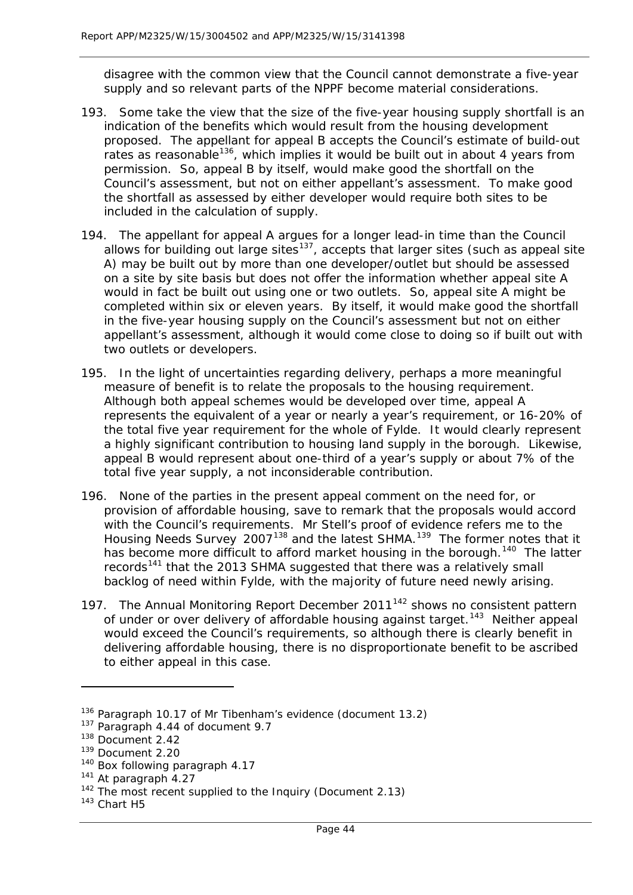disagree with the common view that the Council cannot demonstrate a five-year supply and so relevant parts of the NPPF become material considerations.

- 193. Some take the view that the size of the five-year housing supply shortfall is an indication of the benefits which would result from the housing development proposed. The appellant for appeal B accepts the Council's estimate of build-out rates as reasonable<sup>136</sup>, which implies it would be built out in about 4 years from permission. So, appeal B by itself, would make good the shortfall on the Council's assessment, but not on either appellant's assessment. To make good the shortfall as assessed by either developer would require both sites to be included in the calculation of supply.
- 194. The appellant for appeal A argues for a longer lead-in time than the Council allows for building out large sites<sup>137</sup>, accepts that larger sites (such as appeal site A) may be built out by more than one developer/outlet but should be assessed on a site by site basis but does not offer the information whether appeal site A would in fact be built out using one or two outlets. So, appeal site A might be completed within six or eleven years. By itself, it would make good the shortfall in the five-year housing supply on the Council's assessment but not on either appellant's assessment, although it would come close to doing so if built out with two outlets or developers.
- 195. In the light of uncertainties regarding delivery, perhaps a more meaningful measure of benefit is to relate the proposals to the housing requirement. Although both appeal schemes would be developed over time, appeal A represents the equivalent of a year or nearly a year's requirement, or 16-20% of the total five year requirement for the whole of Fylde. It would clearly represent a highly significant contribution to housing land supply in the borough. Likewise, appeal B would represent about one-third of a year's supply or about 7% of the total five year supply, a not inconsiderable contribution.
- 196. None of the parties in the present appeal comment on the need for, or provision of affordable housing, save to remark that the proposals would accord with the Council's requirements. Mr Stell's proof of evidence refers me to the Housing Needs Survey 2007<sup>[138](#page-44-2)</sup> and the latest SHMA.<sup>[139](#page-44-3)</sup> The former notes that it has become more difficult to afford market housing in the borough.<sup>140</sup> The latter records<sup>[141](#page-44-5)</sup> that the 2013 SHMA suggested that there was a relatively small backlog of need within Fylde, with the majority of future need newly arising.
- 197. The Annual Monitoring Report December 2011<sup>[142](#page-44-6)</sup> shows no consistent pattern of under or over delivery of affordable housing against target.<sup>[143](#page-44-7)</sup> Neither appeal would exceed the Council's requirements, so although there is clearly benefit in delivering affordable housing, there is no disproportionate benefit to be ascribed to either appeal in this case.

l

<span id="page-44-0"></span><sup>&</sup>lt;sup>136</sup> Paragraph 10.17 of Mr Tibenham's evidence (document 13.2)

<span id="page-44-1"></span><sup>137</sup> Paragraph 4.44 of document 9.7

<span id="page-44-2"></span><sup>138</sup> Document 2.42

<span id="page-44-3"></span><sup>139</sup> Document 2.20

<span id="page-44-4"></span><sup>&</sup>lt;sup>140</sup> Box following paragraph 4.17

<span id="page-44-5"></span><sup>141</sup> At paragraph 4.27

<span id="page-44-6"></span><sup>&</sup>lt;sup>142</sup> The most recent supplied to the Inquiry (Document 2.13)

<span id="page-44-7"></span><sup>143</sup> Chart H5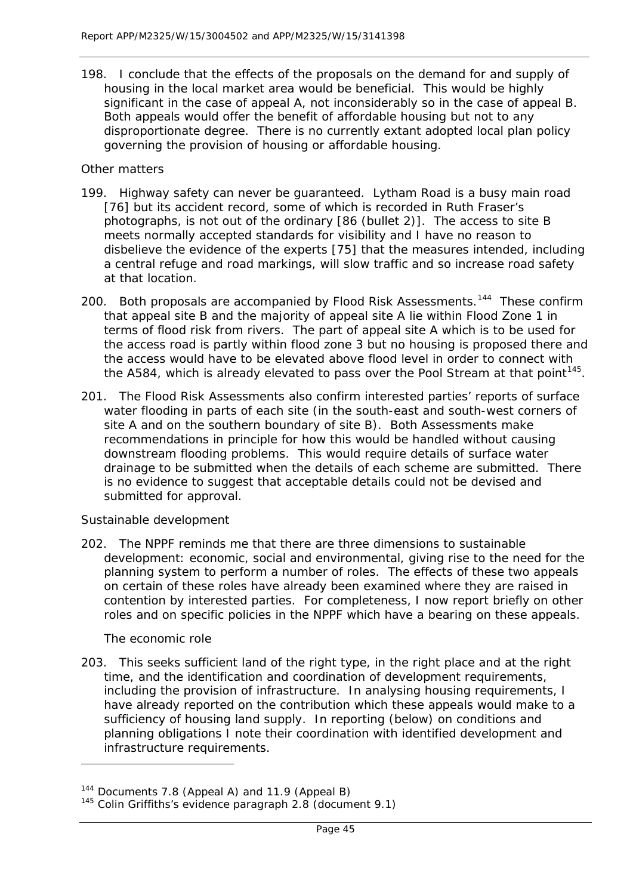198. I conclude that the effects of the proposals on the demand for and supply of housing in the local market area would be beneficial. This would be highly significant in the case of appeal A, not inconsiderably so in the case of appeal B. Both appeals would offer the benefit of affordable housing but not to any disproportionate degree. There is no currently extant adopted local plan policy governing the provision of housing or affordable housing.

#### *Other matters*

- 199. Highway safety can never be guaranteed. Lytham Road is a busy main road [76] but its accident record, some of which is recorded in Ruth Fraser's photographs, is not out of the ordinary [86 (bullet 2)]. The access to site B meets normally accepted standards for visibility and I have no reason to disbelieve the evidence of the experts [75] that the measures intended, including a central refuge and road markings, will slow traffic and so increase road safety at that location.
- 200. Both proposals are accompanied by Flood Risk Assessments.<sup>144</sup> These confirm that appeal site B and the majority of appeal site A lie within Flood Zone 1 in terms of flood risk from rivers. The part of appeal site A which is to be used for the access road is partly within flood zone 3 but no housing is proposed there and the access would have to be elevated above flood level in order to connect with the A584, which is already elevated to pass over the Pool Stream at that point<sup>[145](#page-45-1)</sup>.
- 201. The Flood Risk Assessments also confirm interested parties' reports of surface water flooding in parts of each site (in the south-east and south-west corners of site A and on the southern boundary of site B). Both Assessments make recommendations in principle for how this would be handled without causing downstream flooding problems. This would require details of surface water drainage to be submitted when the details of each scheme are submitted. There is no evidence to suggest that acceptable details could not be devised and submitted for approval.

## *Sustainable development*

202. The NPPF reminds me that there are three dimensions to sustainable development: economic, social and environmental, giving rise to the need for the planning system to perform a number of roles. The effects of these two appeals on certain of these roles have already been examined where they are raised in contention by interested parties. For completeness, I now report briefly on other roles and on specific policies in the NPPF which have a bearing on these appeals.

## *The economic role*

1

203. This seeks sufficient land of the right type, in the right place and at the right time, and the identification and coordination of development requirements, including the provision of infrastructure. In analysing housing requirements, I have already reported on the contribution which these appeals would make to a sufficiency of housing land supply. In reporting (below) on conditions and planning obligations I note their coordination with identified development and infrastructure requirements.

<span id="page-45-0"></span><sup>144</sup> Documents 7.8 (Appeal A) and 11.9 (Appeal B)

<span id="page-45-1"></span><sup>145</sup> Colin Griffiths's evidence paragraph 2.8 (document 9.1)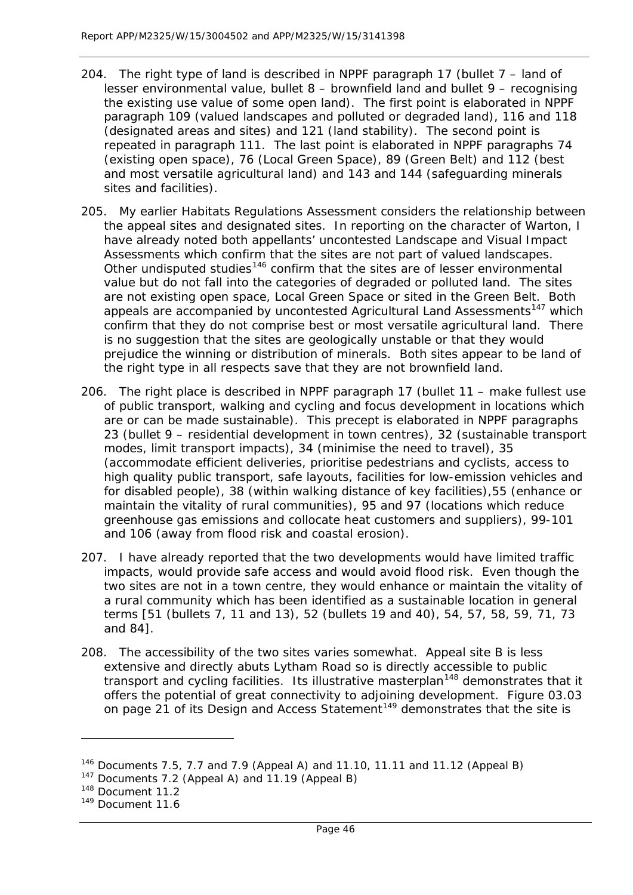- 204. The right type of land is described in NPPF paragraph 17 (bullet 7 land of lesser environmental value, bullet 8 – brownfield land and bullet 9 – recognising the existing use value of some open land). The first point is elaborated in NPPF paragraph 109 (valued landscapes and polluted or degraded land), 116 and 118 (designated areas and sites) and 121 (land stability). The second point is repeated in paragraph 111. The last point is elaborated in NPPF paragraphs 74 (existing open space), 76 (Local Green Space), 89 (Green Belt) and 112 (best and most versatile agricultural land) and 143 and 144 (safeguarding minerals sites and facilities).
- 205. My earlier Habitats Regulations Assessment considers the relationship between the appeal sites and designated sites. In reporting on the character of Warton, I have already noted both appellants' uncontested Landscape and Visual Impact Assessments which confirm that the sites are not part of valued landscapes. Other undisputed studies<sup>[146](#page-46-0)</sup> confirm that the sites are of lesser environmental value but do not fall into the categories of degraded or polluted land. The sites are not existing open space, Local Green Space or sited in the Green Belt. Both appeals are accompanied by uncontested Agricultural Land Assessments<sup>[147](#page-46-1)</sup> which confirm that they do not comprise best or most versatile agricultural land. There is no suggestion that the sites are geologically unstable or that they would prejudice the winning or distribution of minerals. Both sites appear to be land of the right type in all respects save that they are not brownfield land.
- 206. The right place is described in NPPF paragraph 17 (bullet 11 make fullest use of public transport, walking and cycling and focus development in locations which are or can be made sustainable). This precept is elaborated in NPPF paragraphs 23 (bullet 9 – residential development in town centres), 32 (sustainable transport modes, limit transport impacts), 34 (minimise the need to travel), 35 (accommodate efficient deliveries, prioritise pedestrians and cyclists, access to high quality public transport, safe layouts, facilities for low-emission vehicles and for disabled people), 38 (within walking distance of key facilities),55 (enhance or maintain the vitality of rural communities), 95 and 97 (locations which reduce greenhouse gas emissions and collocate heat customers and suppliers), 99-101 and 106 (away from flood risk and coastal erosion).
- 207. I have already reported that the two developments would have limited traffic impacts, would provide safe access and would avoid flood risk. Even though the two sites are not in a town centre, they would enhance or maintain the vitality of a rural community which has been identified as a sustainable location in general terms [51 (bullets 7, 11 and 13), 52 (bullets 19 and 40), 54, 57, 58, 59, 71, 73 and 84].
- 208. The accessibility of the two sites varies somewhat. Appeal site B is less extensive and directly abuts Lytham Road so is directly accessible to public transport and cycling facilities. Its illustrative masterplan<sup>[148](#page-46-2)</sup> demonstrates that it offers the potential of great connectivity to adjoining development. Figure 03.03 on page 21 of its Design and Access Statement<sup>[149](#page-46-3)</sup> demonstrates that the site is

<span id="page-46-0"></span><sup>&</sup>lt;sup>146</sup> Documents 7.5, 7.7 and 7.9 (Appeal A) and 11.10, 11.11 and 11.12 (Appeal B)

<span id="page-46-1"></span><sup>&</sup>lt;sup>147</sup> Documents 7.2 (Appeal A) and 11.19 (Appeal B)

<span id="page-46-2"></span><sup>148</sup> Document 11.2

<span id="page-46-3"></span><sup>149</sup> Document 11.6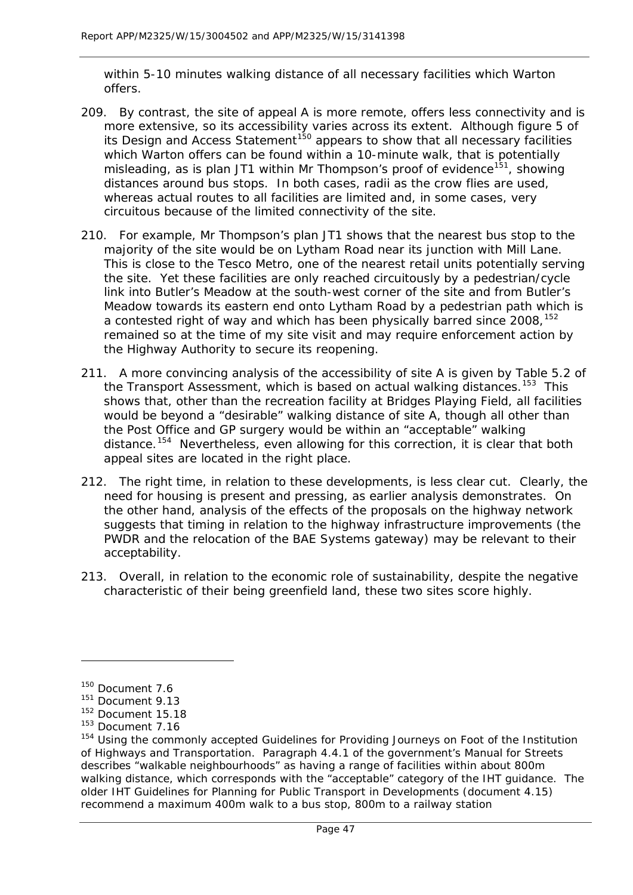within 5-10 minutes walking distance of all necessary facilities which Warton offers.

- 209. By contrast, the site of appeal A is more remote, offers less connectivity and is more extensive, so its accessibility varies across its extent. Although figure 5 of its Design and Access Statement<sup>[150](#page-47-0)</sup> appears to show that all necessary facilities which Warton offers can be found within a 10-minute walk, that is potentially misleading, as is plan JT1 within Mr Thompson's proof of evidence<sup>[151](#page-47-1)</sup>, showing distances around bus stops. In both cases, radii as the crow flies are used, whereas actual routes to all facilities are limited and, in some cases, very circuitous because of the limited connectivity of the site.
- 210. For example, Mr Thompson's plan JT1 shows that the nearest bus stop to the majority of the site would be on Lytham Road near its junction with Mill Lane. This is close to the Tesco Metro, one of the nearest retail units potentially serving the site. Yet these facilities are only reached circuitously by a pedestrian/cycle link into Butler's Meadow at the south-west corner of the site and from Butler's Meadow towards its eastern end onto Lytham Road by a pedestrian path which is a contested right of way and which has been physically barred since 2008, <sup>[152](#page-47-2)</sup> remained so at the time of my site visit and may require enforcement action by the Highway Authority to secure its reopening.
- 211. A more convincing analysis of the accessibility of site A is given by Table 5.2 of the Transport Assessment, which is based on actual walking distances.<sup>153</sup> This shows that, other than the recreation facility at Bridges Playing Field, all facilities would be beyond a "desirable" walking distance of site A, though all other than the Post Office and GP surgery would be within an "acceptable" walking distance.[154](#page-47-4) Nevertheless, even allowing for this correction, it is clear that both appeal sites are located in the right place.
- 212. The right time, in relation to these developments, is less clear cut. Clearly, the need for housing is present and pressing, as earlier analysis demonstrates. On the other hand, analysis of the effects of the proposals on the highway network suggests that timing in relation to the highway infrastructure improvements (the PWDR and the relocation of the BAE Systems gateway) may be relevant to their acceptability.
- 213. Overall, in relation to the economic role of sustainability, despite the negative characteristic of their being greenfield land, these two sites score highly.

<span id="page-47-0"></span><sup>150</sup> Document 7.6

<span id="page-47-1"></span><sup>151</sup> Document 9.13

<span id="page-47-2"></span><sup>&</sup>lt;sup>152</sup> Document 15.18

<span id="page-47-3"></span><sup>153</sup> Document 7.16

<span id="page-47-4"></span><sup>154</sup> Using the commonly accepted *Guidelines for Providing Journeys on Foot* of the Institution of Highways and Transportation. Paragraph 4.4.1 of the government's *Manual for Streets* describes "walkable neighbourhoods" as having a range of facilities within about 800m walking distance, which corresponds with the "acceptable" category of the IHT guidance. The older IHT *Guidelines for Planning for Public Transport in Developments* (document 4.15) recommend a maximum 400m walk to a bus stop, 800m to a railway station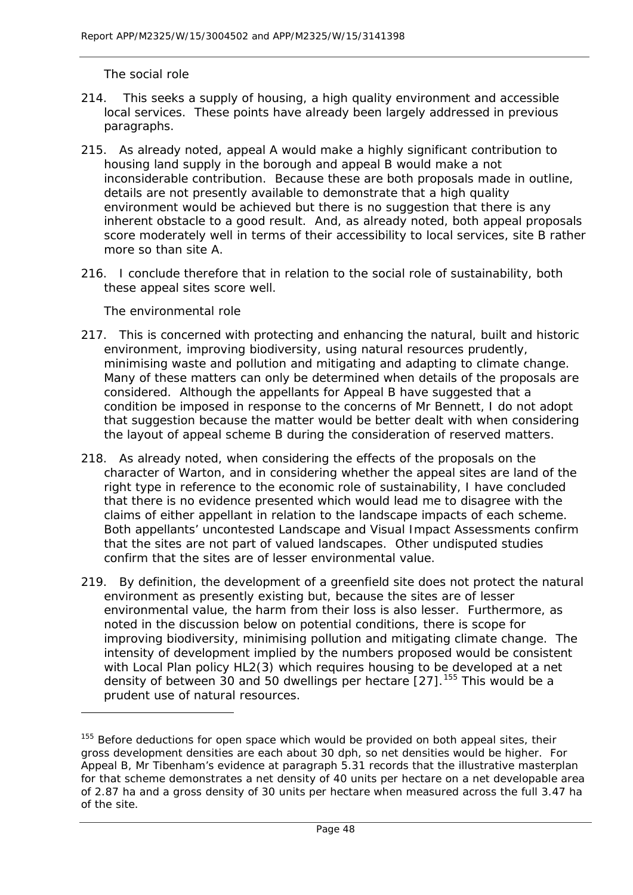#### *The social role*

- 214. This seeks a supply of housing, a high quality environment and accessible local services. These points have already been largely addressed in previous paragraphs.
- 215. As already noted, appeal A would make a highly significant contribution to housing land supply in the borough and appeal B would make a not inconsiderable contribution. Because these are both proposals made in outline, details are not presently available to demonstrate that a high quality environment would be achieved but there is no suggestion that there is any inherent obstacle to a good result. And, as already noted, both appeal proposals score moderately well in terms of their accessibility to local services, site B rather more so than site A.
- 216. I conclude therefore that in relation to the social role of sustainability, both these appeal sites score well.

## *The environmental role*

l

- 217. This is concerned with protecting and enhancing the natural, built and historic environment, improving biodiversity, using natural resources prudently, minimising waste and pollution and mitigating and adapting to climate change. Many of these matters can only be determined when details of the proposals are considered. Although the appellants for Appeal B have suggested that a condition be imposed in response to the concerns of Mr Bennett, I do not adopt that suggestion because the matter would be better dealt with when considering the layout of appeal scheme B during the consideration of reserved matters.
- 218. As already noted, when considering the effects of the proposals on the character of Warton, and in considering whether the appeal sites are land of the right type in reference to the economic role of sustainability, I have concluded that there is no evidence presented which would lead me to disagree with the claims of either appellant in relation to the landscape impacts of each scheme. Both appellants' uncontested Landscape and Visual Impact Assessments confirm that the sites are not part of valued landscapes. Other undisputed studies confirm that the sites are of lesser environmental value.
- 219. By definition, the development of a greenfield site does not protect the natural environment as presently existing but, because the sites are of lesser environmental value, the harm from their loss is also lesser. Furthermore, as noted in the discussion below on potential conditions, there is scope for improving biodiversity, minimising pollution and mitigating climate change. The intensity of development implied by the numbers proposed would be consistent with Local Plan policy HL2(3) which requires housing to be developed at a net density of between 30 and 50 dwellings per hectare  $[27]$ .<sup>[155](#page-48-0)</sup> This would be a prudent use of natural resources.

<span id="page-48-0"></span> $155$  Before deductions for open space which would be provided on both appeal sites, their gross development densities are each about 30 dph, so net densities would be higher. For Appeal B, Mr Tibenham's evidence at paragraph 5.31 records that the illustrative masterplan for that scheme demonstrates a net density of 40 units per hectare on a net developable area of 2.87 ha and a gross density of 30 units per hectare when measured across the full 3.47 ha of the site.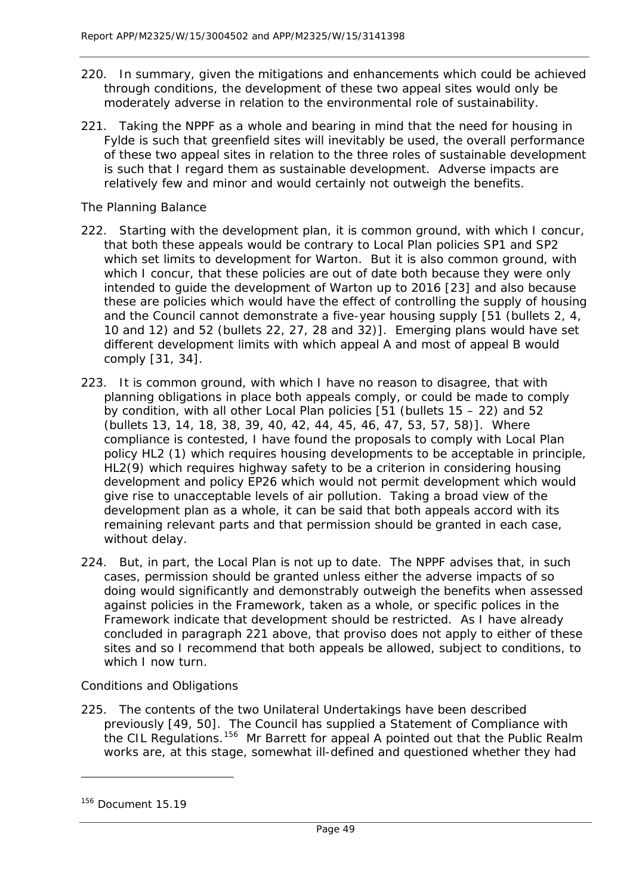- 220. In summary, given the mitigations and enhancements which could be achieved through conditions, the development of these two appeal sites would only be moderately adverse in relation to the environmental role of sustainability.
- 221. Taking the NPPF as a whole and bearing in mind that the need for housing in Fylde is such that greenfield sites will inevitably be used, the overall performance of these two appeal sites in relation to the three roles of sustainable development is such that I regard them as sustainable development. Adverse impacts are relatively few and minor and would certainly not outweigh the benefits.

#### *The Planning Balance*

- 222. Starting with the development plan, it is common ground, with which I concur, that both these appeals would be contrary to Local Plan policies SP1 and SP2 which set limits to development for Warton. But it is also common ground, with which I concur, that these policies are out of date both because they were only intended to guide the development of Warton up to 2016 [23] and also because these are policies which would have the effect of controlling the supply of housing and the Council cannot demonstrate a five-year housing supply [51 (bullets 2, 4, 10 and 12) and 52 (bullets 22, 27, 28 and 32)]. Emerging plans would have set different development limits with which appeal A and most of appeal B would comply [31, 34].
- 223. It is common ground, with which I have no reason to disagree, that with planning obligations in place both appeals comply, or could be made to comply by condition, with all other Local Plan policies [51 (bullets 15 – 22) and 52 (bullets 13, 14, 18, 38, 39, 40, 42, 44, 45, 46, 47, 53, 57, 58)]. Where compliance is contested, I have found the proposals to comply with Local Plan policy HL2 (1) which requires housing developments to be acceptable in principle, HL2(9) which requires highway safety to be a criterion in considering housing development and policy EP26 which would not permit development which would give rise to unacceptable levels of air pollution. Taking a broad view of the development plan as a whole, it can be said that both appeals accord with its remaining relevant parts and that permission should be granted in each case, without delay.
- 224. But, in part, the Local Plan is not up to date. The NPPF advises that, in such cases, permission should be granted unless either the adverse impacts of so doing would significantly and demonstrably outweigh the benefits when assessed against policies in the Framework, taken as a whole, or specific polices in the Framework indicate that development should be restricted. As I have already concluded in paragraph 221 above, that proviso does not apply to either of these sites and so I recommend that both appeals be allowed, subject to conditions, to which I now turn.

## *Conditions and Obligations*

225. The contents of the two Unilateral Undertakings have been described previously [49, 50]. The Council has supplied a Statement of Compliance with the CIL Regulations.<sup>[156](#page-49-0)</sup> Mr Barrett for appeal A pointed out that the Public Realm works are, at this stage, somewhat ill-defined and questioned whether they had

l

<span id="page-49-0"></span> $156$  Document 15.19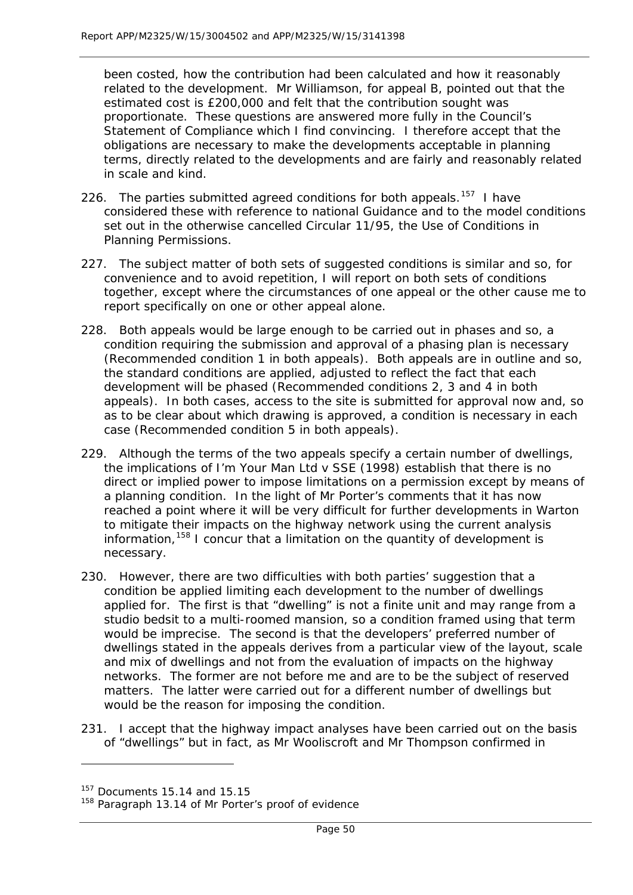been costed, how the contribution had been calculated and how it reasonably related to the development. Mr Williamson, for appeal B, pointed out that the estimated cost is £200,000 and felt that the contribution sought was proportionate. These questions are answered more fully in the Council's Statement of Compliance which I find convincing. I therefore accept that the obligations are necessary to make the developments acceptable in planning terms, directly related to the developments and are fairly and reasonably related in scale and kind.

- 226. The parties submitted agreed conditions for both appeals.<sup>[157](#page-50-0)</sup> I have considered these with reference to national Guidance and to the model conditions set out in the otherwise cancelled Circular 11/95, *the Use of Conditions in Planning Permissions*.
- 227. The subject matter of both sets of suggested conditions is similar and so, for convenience and to avoid repetition, I will report on both sets of conditions together, except where the circumstances of one appeal or the other cause me to report specifically on one or other appeal alone.
- 228. Both appeals would be large enough to be carried out in phases and so, a condition requiring the submission and approval of a phasing plan is necessary (Recommended condition 1 in both appeals). Both appeals are in outline and so, the standard conditions are applied, adjusted to reflect the fact that each development will be phased (Recommended conditions 2, 3 and 4 in both appeals). In both cases, access to the site is submitted for approval now and, so as to be clear about which drawing is approved, a condition is necessary in each case (Recommended condition 5 in both appeals).
- 229. Although the terms of the two appeals specify a certain number of dwellings, the implications of *I'm Your Man Ltd v SSE (1998)* establish that there is no direct or implied power to impose limitations on a permission except by means of a planning condition. In the light of Mr Porter's comments that it has now reached a point where it will be very difficult for further developments in Warton to mitigate their impacts on the highway network using the current analysis information,  $158$  I concur that a limitation on the quantity of development is necessary.
- 230. However, there are two difficulties with both parties' suggestion that a condition be applied limiting each development to the number of dwellings applied for. The first is that "dwelling" is not a finite unit and may range from a studio bedsit to a multi-roomed mansion, so a condition framed using that term would be imprecise. The second is that the developers' preferred number of dwellings stated in the appeals derives from a particular view of the layout, scale and mix of dwellings and not from the evaluation of impacts on the highway networks. The former are not before me and are to be the subject of reserved matters. The latter were carried out for a different number of dwellings but would be the reason for imposing the condition.
- 231. I accept that the highway impact analyses have been carried out on the basis of "dwellings" but in fact, as Mr Wooliscroft and Mr Thompson confirmed in

<span id="page-50-0"></span><sup>&</sup>lt;sup>157</sup> Documents 15.14 and 15.15

<span id="page-50-1"></span><sup>&</sup>lt;sup>158</sup> Paragraph 13.14 of Mr Porter's proof of evidence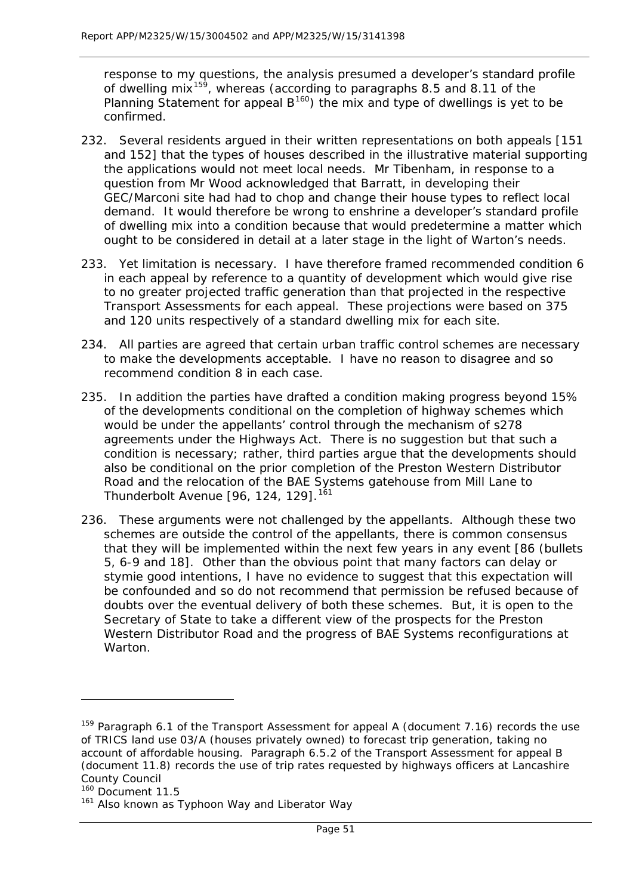response to my questions, the analysis presumed a developer's standard profile of dwelling mix<sup>[159](#page-51-0)</sup>, whereas (according to paragraphs 8.5 and 8.11 of the Planning Statement for appeal  $B^{160}$  $B^{160}$  $B^{160}$ ) the mix and type of dwellings is yet to be confirmed.

- 232. Several residents argued in their written representations on both appeals [151 and 152] that the types of houses described in the illustrative material supporting the applications would not meet local needs. Mr Tibenham, in response to a question from Mr Wood acknowledged that Barratt, in developing their GEC/Marconi site had had to chop and change their house types to reflect local demand. It would therefore be wrong to enshrine a developer's standard profile of dwelling mix into a condition because that would predetermine a matter which ought to be considered in detail at a later stage in the light of Warton's needs.
- 233. Yet limitation is necessary. I have therefore framed recommended condition 6 in each appeal by reference to a quantity of development which would give rise to no greater projected traffic generation than that projected in the respective Transport Assessments for each appeal. These projections were based on 375 and 120 units respectively of a standard dwelling mix for each site.
- 234. All parties are agreed that certain urban traffic control schemes are necessary to make the developments acceptable. I have no reason to disagree and so recommend condition 8 in each case.
- 235. In addition the parties have drafted a condition making progress beyond 15% of the developments conditional on the completion of highway schemes which would be under the appellants' control through the mechanism of s278 agreements under the Highways Act. There is no suggestion but that such a condition is necessary; rather, third parties argue that the developments should also be conditional on the prior completion of the Preston Western Distributor Road and the relocation of the BAE Systems gatehouse from Mill Lane to Thunderbolt Avenue [96, 124, 129].<sup>[161](#page-51-2)</sup>
- 236. These arguments were not challenged by the appellants. Although these two schemes are outside the control of the appellants, there is common consensus that they will be implemented within the next few years in any event [86 (bullets 5, 6-9 and 18]. Other than the obvious point that many factors can delay or stymie good intentions, I have no evidence to suggest that this expectation will be confounded and so do not recommend that permission be refused because of doubts over the eventual delivery of both these schemes. But, it is open to the Secretary of State to take a different view of the prospects for the Preston Western Distributor Road and the progress of BAE Systems reconfigurations at **Warton**

<span id="page-51-0"></span><sup>&</sup>lt;sup>159</sup> Paragraph 6.1 of the Transport Assessment for appeal A (document 7.16) records the use of TRICS land use 03/A (houses privately owned) to forecast trip generation, taking no account of affordable housing. Paragraph 6.5.2 of the Transport Assessment for appeal B (document 11.8) records the use of trip rates requested by highways officers at Lancashire County Council

<span id="page-51-1"></span><sup>&</sup>lt;sup>160</sup> Document 11.5

<span id="page-51-2"></span><sup>&</sup>lt;sup>161</sup> Also known as Typhoon Way and Liberator Way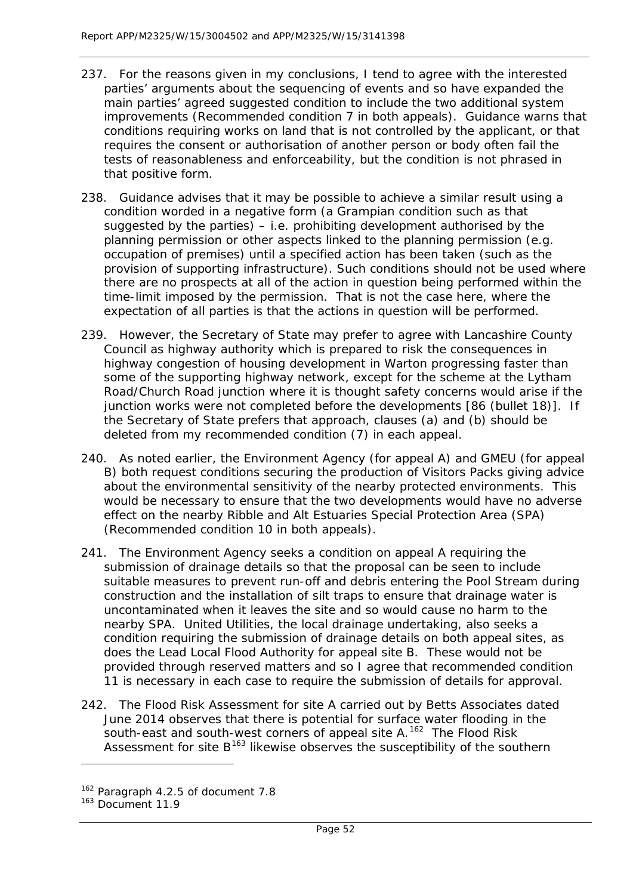- 237. For the reasons given in my conclusions, I tend to agree with the interested parties' arguments about the sequencing of events and so have expanded the main parties' agreed suggested condition to include the two additional system improvements (Recommended condition 7 in both appeals). Guidance warns that conditions requiring works on land that is not controlled by the applicant, or that requires the consent or authorisation of another person or body often fail the tests of reasonableness and enforceability, but the condition is not phrased in that positive form.
- 238. Guidance advises that it may be possible to achieve a similar result using a condition worded in a negative form (a *Grampian* condition such as that suggested by the parties)  $-$  i.e. prohibiting development authorised by the planning permission or other aspects linked to the planning permission (e.g. occupation of premises) until a specified action has been taken (such as the provision of supporting infrastructure). Such conditions should not be used where there are no prospects at all of the action in question being performed within the time-limit imposed by the permission. That is not the case here, where the expectation of all parties is that the actions in question will be performed.
- 239. However, the Secretary of State may prefer to agree with Lancashire County Council as highway authority which is prepared to risk the consequences in highway congestion of housing development in Warton progressing faster than some of the supporting highway network, except for the scheme at the Lytham Road/Church Road junction where it is thought safety concerns would arise if the junction works were not completed before the developments [86 (bullet 18)]. If the Secretary of State prefers that approach, clauses (a) and (b) should be deleted from my recommended condition (7) in each appeal.
- 240. As noted earlier, the Environment Agency (for appeal A) and GMEU (for appeal B) both request conditions securing the production of Visitors Packs giving advice about the environmental sensitivity of the nearby protected environments. This would be necessary to ensure that the two developments would have no adverse effect on the nearby Ribble and Alt Estuaries Special Protection Area (SPA) (Recommended condition 10 in both appeals).
- 241. The Environment Agency seeks a condition on appeal A requiring the submission of drainage details so that the proposal can be seen to include suitable measures to prevent run-off and debris entering the Pool Stream during construction and the installation of silt traps to ensure that drainage water is uncontaminated when it leaves the site and so would cause no harm to the nearby SPA. United Utilities, the local drainage undertaking, also seeks a condition requiring the submission of drainage details on both appeal sites, as does the Lead Local Flood Authority for appeal site B. These would not be provided through reserved matters and so I agree that recommended condition 11 is necessary in each case to require the submission of details for approval.
- 242. The Flood Risk Assessment for site A carried out by Betts Associates dated June 2014 observes that there is potential for surface water flooding in the south-east and south-west corners of appeal site A.<sup>162</sup> The Flood Risk Assessment for site  $B^{163}$  $B^{163}$  $B^{163}$  likewise observes the susceptibility of the southern

<span id="page-52-0"></span><sup>162</sup> Paragraph 4.2.5 of document 7.8

<span id="page-52-1"></span><sup>163</sup> Document 11.9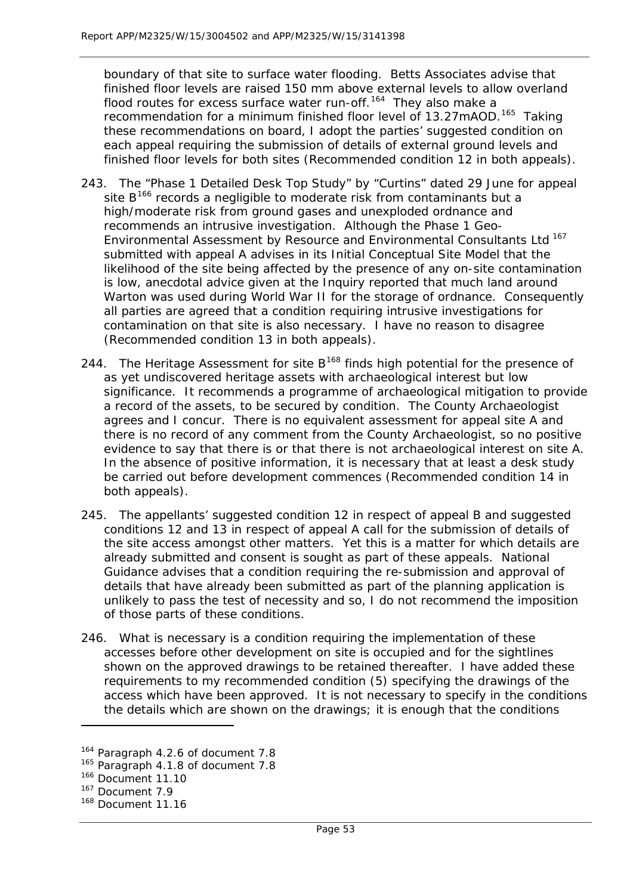boundary of that site to surface water flooding. Betts Associates advise that finished floor levels are raised 150 mm above external levels to allow overland flood routes for excess surface water run-off.[164](#page-53-0) They also make a recommendation for a minimum finished floor level of 13.27mAOD.<sup>[165](#page-53-1)</sup> Taking these recommendations on board, I adopt the parties' suggested condition on each appeal requiring the submission of details of external ground levels and finished floor levels for both sites (Recommended condition 12 in both appeals).

- 243. The "Phase 1 Detailed Desk Top Study" by "Curtins" dated 29 June for appeal site  $B^{166}$  $B^{166}$  $B^{166}$  records a negligible to moderate risk from contaminants but a high/moderate risk from ground gases and unexploded ordnance and recommends an intrusive investigation. Although the Phase 1 Geo-Environmental Assessment by Resource and Environmental Consultants Ltd [167](#page-53-3) submitted with appeal A advises in its Initial Conceptual Site Model that the likelihood of the site being affected by the presence of any on-site contamination is low, anecdotal advice given at the Inquiry reported that much land around Warton was used during World War II for the storage of ordnance. Consequently all parties are agreed that a condition requiring intrusive investigations for contamination on that site is also necessary. I have no reason to disagree (Recommended condition 13 in both appeals).
- 244. The Heritage Assessment for site  $B^{168}$  $B^{168}$  $B^{168}$  finds high potential for the presence of as yet undiscovered heritage assets with archaeological interest but low significance. It recommends a programme of archaeological mitigation to provide a record of the assets, to be secured by condition. The County Archaeologist agrees and I concur. There is no equivalent assessment for appeal site A and there is no record of any comment from the County Archaeologist, so no positive evidence to say that there is or that there is not archaeological interest on site A. In the absence of positive information, it is necessary that at least a desk study be carried out before development commences (Recommended condition 14 in both appeals).
- 245. The appellants' suggested condition 12 in respect of appeal B and suggested conditions 12 and 13 in respect of appeal A call for the submission of details of the site access amongst other matters. Yet this is a matter for which details are already submitted and consent is sought as part of these appeals. National Guidance advises that a condition requiring the re-submission and approval of details that have already been submitted as part of the planning application is unlikely to pass the test of necessity and so, I do not recommend the imposition of those parts of these conditions.
- 246. What is necessary is a condition requiring the implementation of these accesses before other development on site is occupied and for the sightlines shown on the approved drawings to be retained thereafter. I have added these requirements to my recommended condition (5) specifying the drawings of the access which have been approved. It is not necessary to specify in the conditions the details which are shown on the drawings; it is enough that the conditions

<span id="page-53-0"></span><sup>164</sup> Paragraph 4.2.6 of document 7.8

<span id="page-53-1"></span><sup>&</sup>lt;sup>165</sup> Paragraph 4.1.8 of document 7.8

<sup>166</sup> Document 11.10

<span id="page-53-3"></span><span id="page-53-2"></span><sup>167</sup> Document 7.9

<span id="page-53-4"></span><sup>&</sup>lt;sup>168</sup> Document 11.16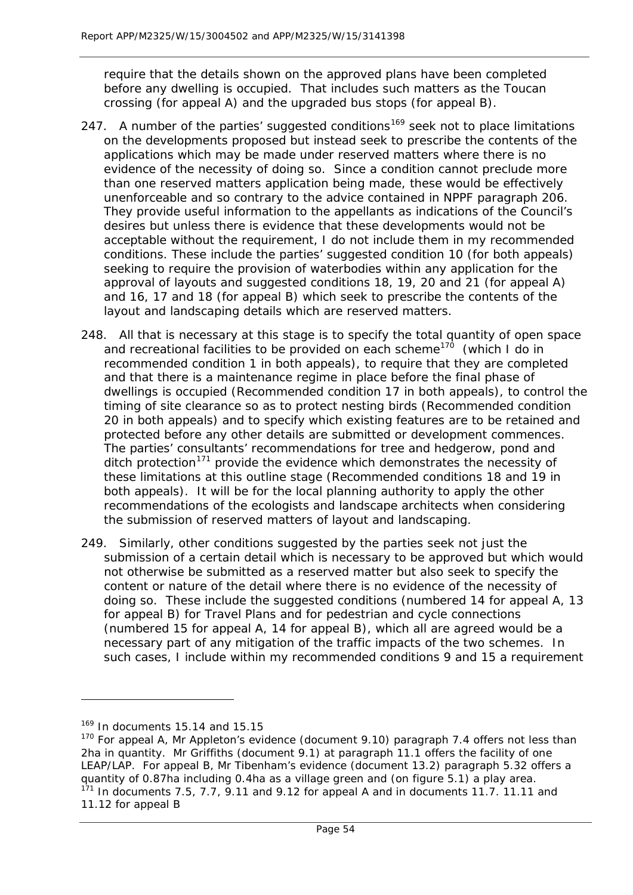require that the details shown on the approved plans have been completed before any dwelling is occupied. That includes such matters as the Toucan crossing (for appeal A) and the upgraded bus stops (for appeal B).

- 247. A number of the parties' suggested conditions<sup>[169](#page-54-0)</sup> seek not to place limitations on the developments proposed but instead seek to prescribe the contents of the applications which may be made under reserved matters where there is no evidence of the necessity of doing so. Since a condition cannot preclude more than one reserved matters application being made, these would be effectively unenforceable and so contrary to the advice contained in NPPF paragraph 206. They provide useful information to the appellants as indications of the Council's desires but unless there is evidence that these developments would not be acceptable without the requirement, I do not include them in my recommended conditions. These include the parties' suggested condition 10 (for both appeals) seeking to require the provision of waterbodies within any application for the approval of layouts and suggested conditions 18, 19, 20 and 21 (for appeal A) and 16, 17 and 18 (for appeal B) which seek to prescribe the contents of the layout and landscaping details which are reserved matters.
- 248. All that is necessary at this stage is to specify the total quantity of open space and recreational facilities to be provided on each scheme<sup>[170](#page-54-1)</sup> (which I do in recommended condition 1 in both appeals), to require that they are completed and that there is a maintenance regime in place before the final phase of dwellings is occupied (Recommended condition 17 in both appeals), to control the timing of site clearance so as to protect nesting birds (Recommended condition 20 in both appeals) and to specify which existing features are to be retained and protected before any other details are submitted or development commences. The parties' consultants' recommendations for tree and hedgerow, pond and ditch protection<sup>[171](#page-54-2)</sup> provide the evidence which demonstrates the necessity of these limitations at this outline stage (Recommended conditions 18 and 19 in both appeals). It will be for the local planning authority to apply the other recommendations of the ecologists and landscape architects when considering the submission of reserved matters of layout and landscaping.
- 249. Similarly, other conditions suggested by the parties seek not just the submission of a certain detail which is necessary to be approved but which would not otherwise be submitted as a reserved matter but also seek to specify the content or nature of the detail where there is no evidence of the necessity of doing so. These include the suggested conditions (numbered 14 for appeal A, 13 for appeal B) for Travel Plans and for pedestrian and cycle connections (numbered 15 for appeal A, 14 for appeal B), which all are agreed would be a necessary part of any mitigation of the traffic impacts of the two schemes. In such cases, I include within my recommended conditions 9 and 15 a requirement

 $169$  In documents 15.14 and 15.15

<span id="page-54-2"></span><span id="page-54-1"></span><span id="page-54-0"></span> $170$  For appeal A, Mr Appleton's evidence (document 9.10) paragraph 7.4 offers not less than 2ha in quantity. Mr Griffiths (document 9.1) at paragraph 11.1 offers the facility of one LEAP/LAP. For appeal B, Mr Tibenham's evidence (document 13.2) paragraph 5.32 offers a quantity of 0.87ha including 0.4ha as a village green and (on figure 5.1) a play area.  $1<sup>71</sup>$  In documents 7.5, 7.7, 9.11 and 9.12 for appeal A and in documents 11.7. 11.11 and 11.12 for appeal B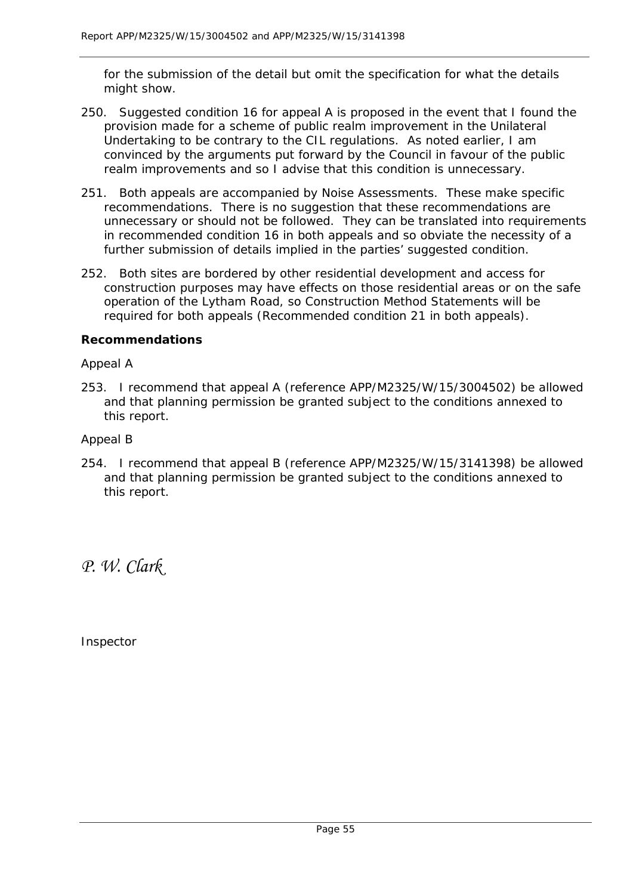for the submission of the detail but omit the specification for what the details might show.

- 250. Suggested condition 16 for appeal A is proposed in the event that I found the provision made for a scheme of public realm improvement in the Unilateral Undertaking to be contrary to the CIL regulations. As noted earlier, I am convinced by the arguments put forward by the Council in favour of the public realm improvements and so I advise that this condition is unnecessary.
- 251. Both appeals are accompanied by Noise Assessments. These make specific recommendations. There is no suggestion that these recommendations are unnecessary or should not be followed. They can be translated into requirements in recommended condition 16 in both appeals and so obviate the necessity of a further submission of details implied in the parties' suggested condition.
- 252. Both sites are bordered by other residential development and access for construction purposes may have effects on those residential areas or on the safe operation of the Lytham Road, so Construction Method Statements will be required for both appeals (Recommended condition 21 in both appeals).

#### **Recommendations**

#### *Appeal A*

253. I recommend that appeal A (reference APP/M2325/W/15/3004502) be allowed and that planning permission be granted subject to the conditions annexed to this report.

#### *Appeal B*

254. I recommend that appeal B (reference APP/M2325/W/15/3141398) be allowed and that planning permission be granted subject to the conditions annexed to this report.

*P. W. Clark*

Inspector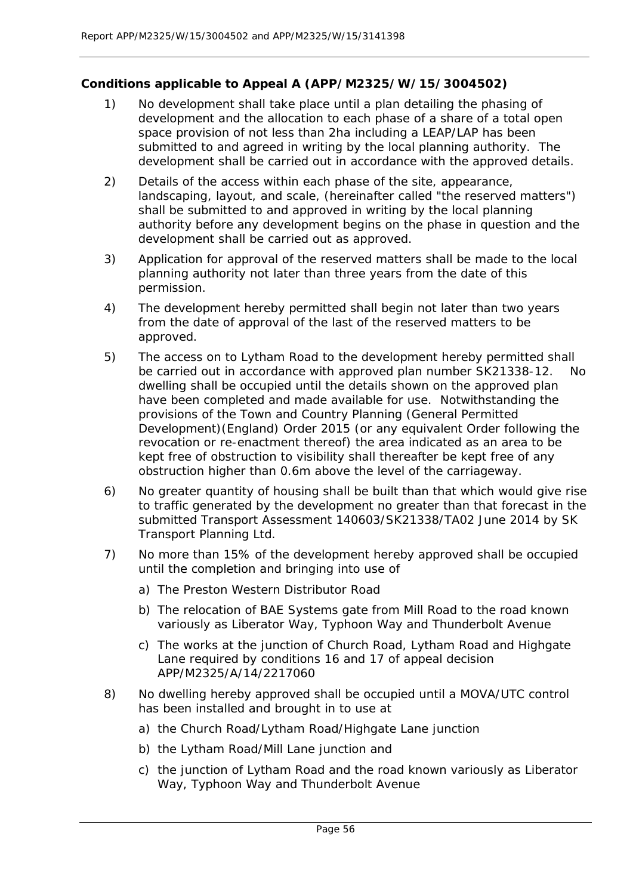## **Conditions applicable to Appeal A (APP/M2325/W/15/3004502)**

- 1) No development shall take place until a plan detailing the phasing of development and the allocation to each phase of a share of a total open space provision of not less than 2ha including a LEAP/LAP has been submitted to and agreed in writing by the local planning authority. The development shall be carried out in accordance with the approved details.
- 2) Details of the access within each phase of the site, appearance, landscaping, layout, and scale, (hereinafter called "the reserved matters") shall be submitted to and approved in writing by the local planning authority before any development begins on the phase in question and the development shall be carried out as approved.
- 3) Application for approval of the reserved matters shall be made to the local planning authority not later than three years from the date of this permission.
- 4) The development hereby permitted shall begin not later than two years from the date of approval of the last of the reserved matters to be approved.
- 5) The access on to Lytham Road to the development hereby permitted shall be carried out in accordance with approved plan number SK21338-12. No dwelling shall be occupied until the details shown on the approved plan have been completed and made available for use. Notwithstanding the provisions of the Town and Country Planning (General Permitted Development)(England) Order 2015 (or any equivalent Order following the revocation or re-enactment thereof) the area indicated as an area to be kept free of obstruction to visibility shall thereafter be kept free of any obstruction higher than 0.6m above the level of the carriageway.
- 6) No greater quantity of housing shall be built than that which would give rise to traffic generated by the development no greater than that forecast in the submitted Transport Assessment 140603/SK21338/TA02 June 2014 by SK Transport Planning Ltd.
- 7) No more than 15% of the development hereby approved shall be occupied until the completion and bringing into use of
	- a) The Preston Western Distributor Road
	- b) The relocation of BAE Systems gate from Mill Road to the road known variously as Liberator Way, Typhoon Way and Thunderbolt Avenue
	- c) The works at the junction of Church Road, Lytham Road and Highgate Lane required by conditions 16 and 17 of appeal decision APP/M2325/A/14/2217060
- 8) No dwelling hereby approved shall be occupied until a MOVA/UTC control has been installed and brought in to use at
	- a) the Church Road/Lytham Road/Highgate Lane junction
	- b) the Lytham Road/Mill Lane junction and
	- c) the junction of Lytham Road and the road known variously as Liberator Way, Typhoon Way and Thunderbolt Avenue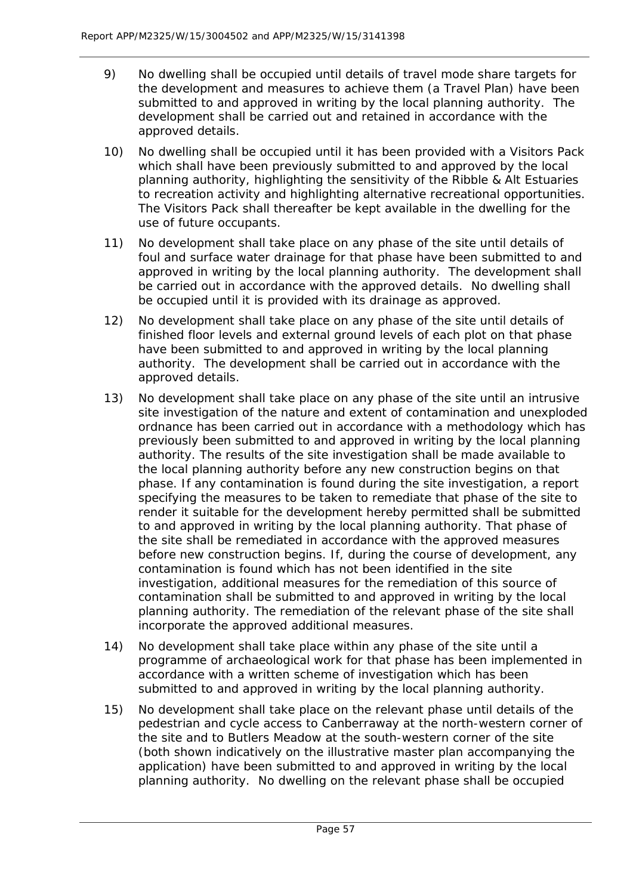- 9) No dwelling shall be occupied until details of travel mode share targets for the development and measures to achieve them (a Travel Plan) have been submitted to and approved in writing by the local planning authority. The development shall be carried out and retained in accordance with the approved details.
- 10) No dwelling shall be occupied until it has been provided with a Visitors Pack which shall have been previously submitted to and approved by the local planning authority, highlighting the sensitivity of the Ribble & Alt Estuaries to recreation activity and highlighting alternative recreational opportunities. The Visitors Pack shall thereafter be kept available in the dwelling for the use of future occupants.
- 11) No development shall take place on any phase of the site until details of foul and surface water drainage for that phase have been submitted to and approved in writing by the local planning authority. The development shall be carried out in accordance with the approved details. No dwelling shall be occupied until it is provided with its drainage as approved.
- 12) No development shall take place on any phase of the site until details of finished floor levels and external ground levels of each plot on that phase have been submitted to and approved in writing by the local planning authority. The development shall be carried out in accordance with the approved details.
- 13) No development shall take place on any phase of the site until an intrusive site investigation of the nature and extent of contamination and unexploded ordnance has been carried out in accordance with a methodology which has previously been submitted to and approved in writing by the local planning authority. The results of the site investigation shall be made available to the local planning authority before any new construction begins on that phase. If any contamination is found during the site investigation, a report specifying the measures to be taken to remediate that phase of the site to render it suitable for the development hereby permitted shall be submitted to and approved in writing by the local planning authority. That phase of the site shall be remediated in accordance with the approved measures before new construction begins. If, during the course of development, any contamination is found which has not been identified in the site investigation, additional measures for the remediation of this source of contamination shall be submitted to and approved in writing by the local planning authority. The remediation of the relevant phase of the site shall incorporate the approved additional measures.
- 14) No development shall take place within any phase of the site until a programme of archaeological work for that phase has been implemented in accordance with a written scheme of investigation which has been submitted to and approved in writing by the local planning authority.
- 15) No development shall take place on the relevant phase until details of the pedestrian and cycle access to Canberraway at the north-western corner of the site and to Butlers Meadow at the south-western corner of the site (both shown indicatively on the illustrative master plan accompanying the application) have been submitted to and approved in writing by the local planning authority. No dwelling on the relevant phase shall be occupied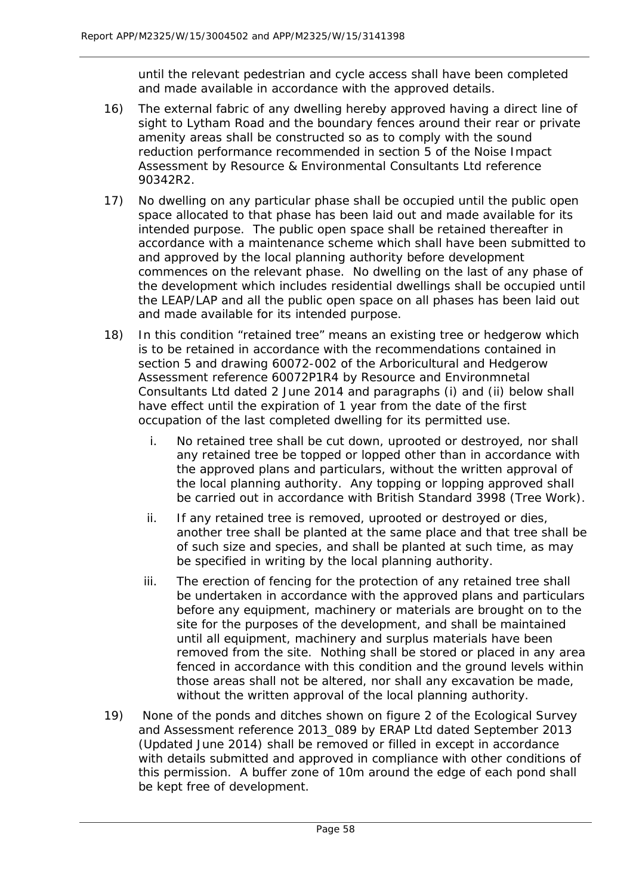until the relevant pedestrian and cycle access shall have been completed and made available in accordance with the approved details.

- 16) The external fabric of any dwelling hereby approved having a direct line of sight to Lytham Road and the boundary fences around their rear or private amenity areas shall be constructed so as to comply with the sound reduction performance recommended in section 5 of the Noise Impact Assessment by Resource & Environmental Consultants Ltd reference 90342R2.
- 17) No dwelling on any particular phase shall be occupied until the public open space allocated to that phase has been laid out and made available for its intended purpose. The public open space shall be retained thereafter in accordance with a maintenance scheme which shall have been submitted to and approved by the local planning authority before development commences on the relevant phase. No dwelling on the last of any phase of the development which includes residential dwellings shall be occupied until the LEAP/LAP and all the public open space on all phases has been laid out and made available for its intended purpose.
- 18) In this condition "retained tree" means an existing tree or hedgerow which is to be retained in accordance with the recommendations contained in section 5 and drawing 60072-002 of the Arboricultural and Hedgerow Assessment reference 60072P1R4 by Resource and Environmnetal Consultants Ltd dated 2 June 2014 and paragraphs (i) and (ii) below shall have effect until the expiration of 1 year from the date of the first occupation of the last completed dwelling for its permitted use.
	- i. No retained tree shall be cut down, uprooted or destroyed, nor shall any retained tree be topped or lopped other than in accordance with the approved plans and particulars, without the written approval of the local planning authority. Any topping or lopping approved shall be carried out in accordance with British Standard 3998 (Tree Work).
	- ii. If any retained tree is removed, uprooted or destroyed or dies, another tree shall be planted at the same place and that tree shall be of such size and species, and shall be planted at such time, as may be specified in writing by the local planning authority.
	- iii. The erection of fencing for the protection of any retained tree shall be undertaken in accordance with the approved plans and particulars before any equipment, machinery or materials are brought on to the site for the purposes of the development, and shall be maintained until all equipment, machinery and surplus materials have been removed from the site. Nothing shall be stored or placed in any area fenced in accordance with this condition and the ground levels within those areas shall not be altered, nor shall any excavation be made, without the written approval of the local planning authority.
- 19) None of the ponds and ditches shown on figure 2 of the Ecological Survey and Assessment reference 2013 089 by ERAP Ltd dated September 2013 (Updated June 2014) shall be removed or filled in except in accordance with details submitted and approved in compliance with other conditions of this permission. A buffer zone of 10m around the edge of each pond shall be kept free of development.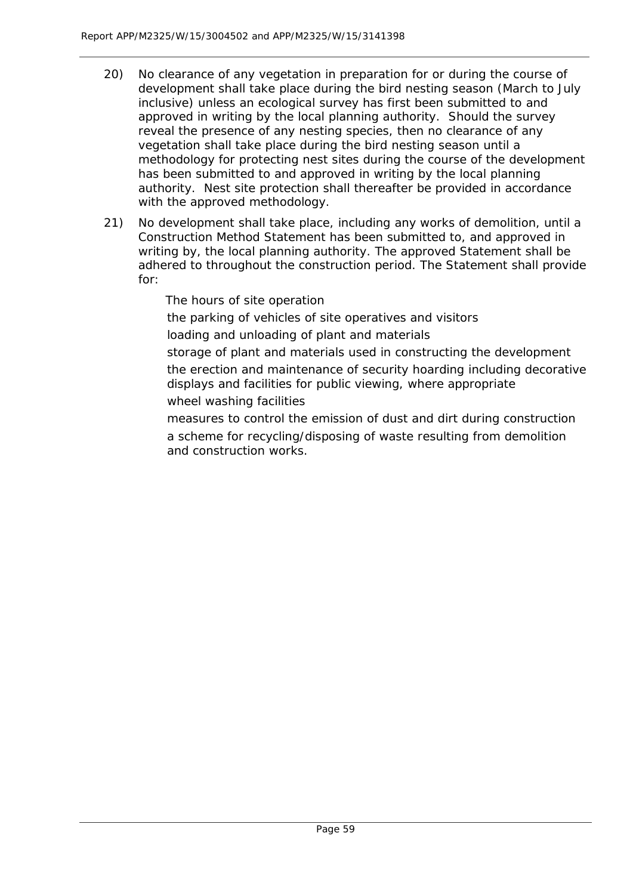- 20) No clearance of any vegetation in preparation for or during the course of development shall take place during the bird nesting season (March to July inclusive) unless an ecological survey has first been submitted to and approved in writing by the local planning authority. Should the survey reveal the presence of any nesting species, then no clearance of any vegetation shall take place during the bird nesting season until a methodology for protecting nest sites during the course of the development has been submitted to and approved in writing by the local planning authority. Nest site protection shall thereafter be provided in accordance with the approved methodology.
- 21) No development shall take place, including any works of demolition, until a Construction Method Statement has been submitted to, and approved in writing by, the local planning authority. The approved Statement shall be adhered to throughout the construction period. The Statement shall provide for:

The hours of site operation

the parking of vehicles of site operatives and visitors

loading and unloading of plant and materials

storage of plant and materials used in constructing the development the erection and maintenance of security hoarding including decorative displays and facilities for public viewing, where appropriate wheel washing facilities

measures to control the emission of dust and dirt during construction a scheme for recycling/disposing of waste resulting from demolition and construction works.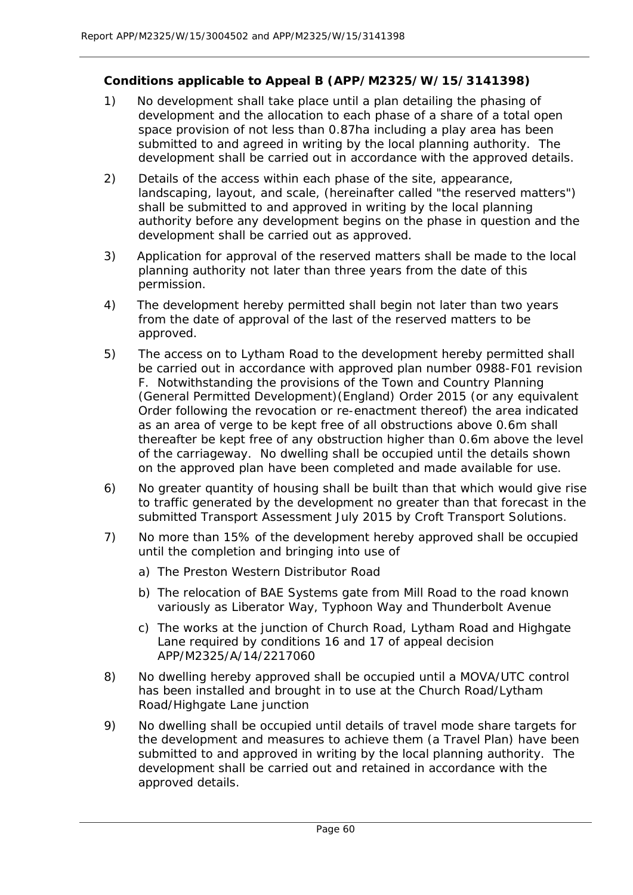## **Conditions applicable to Appeal B (APP/M2325/W/15/3141398)**

- 1) No development shall take place until a plan detailing the phasing of development and the allocation to each phase of a share of a total open space provision of not less than 0.87ha including a play area has been submitted to and agreed in writing by the local planning authority. The development shall be carried out in accordance with the approved details.
- 2) Details of the access within each phase of the site, appearance, landscaping, layout, and scale, (hereinafter called "the reserved matters") shall be submitted to and approved in writing by the local planning authority before any development begins on the phase in question and the development shall be carried out as approved.
- 3) Application for approval of the reserved matters shall be made to the local planning authority not later than three years from the date of this permission.
- 4) The development hereby permitted shall begin not later than two years from the date of approval of the last of the reserved matters to be approved.
- 5) The access on to Lytham Road to the development hereby permitted shall be carried out in accordance with approved plan number 0988-F01 revision F. Notwithstanding the provisions of the Town and Country Planning (General Permitted Development)(England) Order 2015 (or any equivalent Order following the revocation or re-enactment thereof) the area indicated as an area of verge to be kept free of all obstructions above 0.6m shall thereafter be kept free of any obstruction higher than 0.6m above the level of the carriageway. No dwelling shall be occupied until the details shown on the approved plan have been completed and made available for use.
- 6) No greater quantity of housing shall be built than that which would give rise to traffic generated by the development no greater than that forecast in the submitted Transport Assessment July 2015 by Croft Transport Solutions.
- 7) No more than 15% of the development hereby approved shall be occupied until the completion and bringing into use of
	- a) The Preston Western Distributor Road
	- b) The relocation of BAE Systems gate from Mill Road to the road known variously as Liberator Way, Typhoon Way and Thunderbolt Avenue
	- c) The works at the junction of Church Road, Lytham Road and Highgate Lane required by conditions 16 and 17 of appeal decision APP/M2325/A/14/2217060
- 8) No dwelling hereby approved shall be occupied until a MOVA/UTC control has been installed and brought in to use at the Church Road/Lytham Road/Highgate Lane junction
- 9) No dwelling shall be occupied until details of travel mode share targets for the development and measures to achieve them (a Travel Plan) have been submitted to and approved in writing by the local planning authority. The development shall be carried out and retained in accordance with the approved details.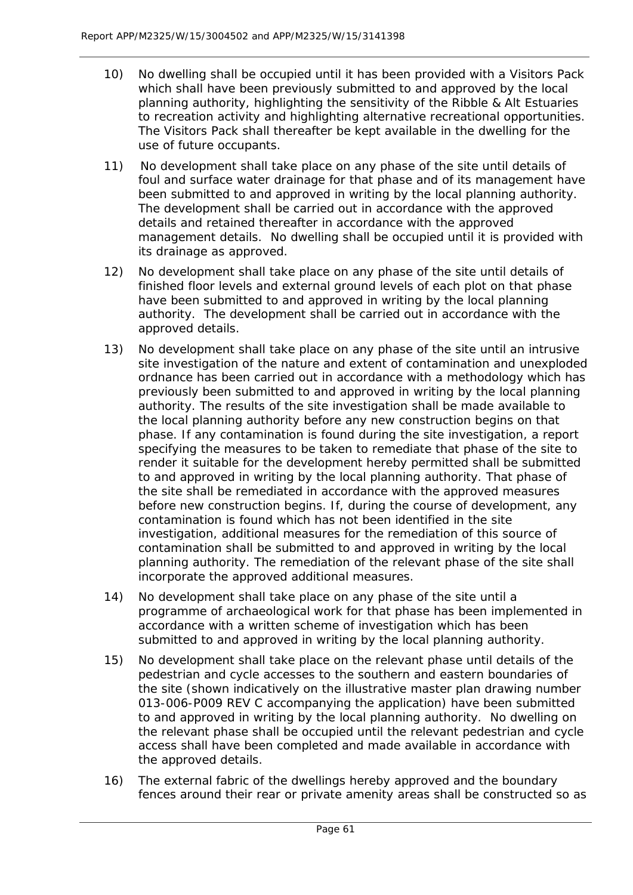- 10) No dwelling shall be occupied until it has been provided with a Visitors Pack which shall have been previously submitted to and approved by the local planning authority, highlighting the sensitivity of the Ribble & Alt Estuaries to recreation activity and highlighting alternative recreational opportunities. The Visitors Pack shall thereafter be kept available in the dwelling for the use of future occupants.
- 11) No development shall take place on any phase of the site until details of foul and surface water drainage for that phase and of its management have been submitted to and approved in writing by the local planning authority. The development shall be carried out in accordance with the approved details and retained thereafter in accordance with the approved management details. No dwelling shall be occupied until it is provided with its drainage as approved.
- 12) No development shall take place on any phase of the site until details of finished floor levels and external ground levels of each plot on that phase have been submitted to and approved in writing by the local planning authority. The development shall be carried out in accordance with the approved details.
- 13) No development shall take place on any phase of the site until an intrusive site investigation of the nature and extent of contamination and unexploded ordnance has been carried out in accordance with a methodology which has previously been submitted to and approved in writing by the local planning authority. The results of the site investigation shall be made available to the local planning authority before any new construction begins on that phase. If any contamination is found during the site investigation, a report specifying the measures to be taken to remediate that phase of the site to render it suitable for the development hereby permitted shall be submitted to and approved in writing by the local planning authority. That phase of the site shall be remediated in accordance with the approved measures before new construction begins. If, during the course of development, any contamination is found which has not been identified in the site investigation, additional measures for the remediation of this source of contamination shall be submitted to and approved in writing by the local planning authority. The remediation of the relevant phase of the site shall incorporate the approved additional measures.
- 14) No development shall take place on any phase of the site until a programme of archaeological work for that phase has been implemented in accordance with a written scheme of investigation which has been submitted to and approved in writing by the local planning authority.
- 15) No development shall take place on the relevant phase until details of the pedestrian and cycle accesses to the southern and eastern boundaries of the site (shown indicatively on the illustrative master plan drawing number 013-006-P009 REV C accompanying the application) have been submitted to and approved in writing by the local planning authority. No dwelling on the relevant phase shall be occupied until the relevant pedestrian and cycle access shall have been completed and made available in accordance with the approved details.
- 16) The external fabric of the dwellings hereby approved and the boundary fences around their rear or private amenity areas shall be constructed so as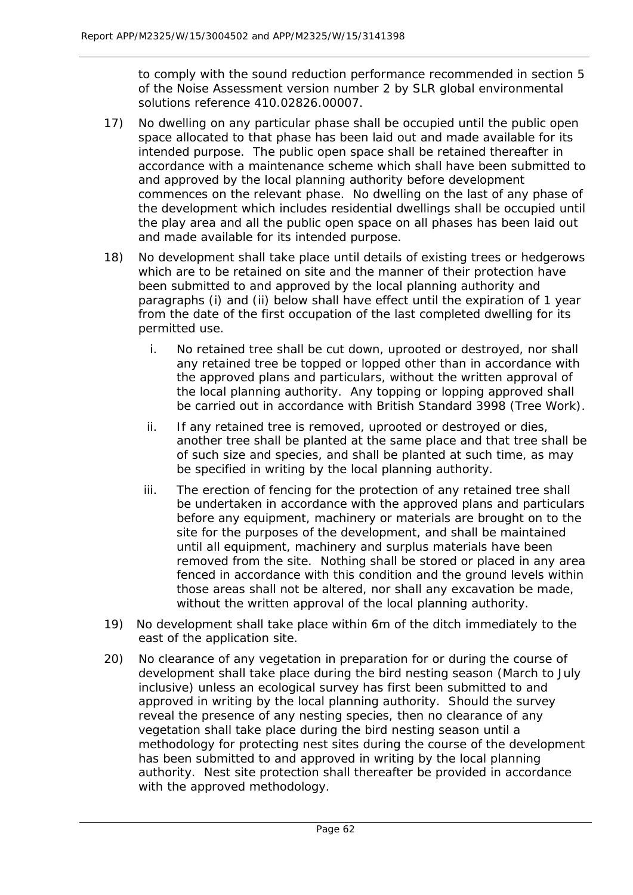to comply with the sound reduction performance recommended in section 5 of the Noise Assessment version number 2 by SLR global environmental solutions reference 410.02826.00007.

- 17) No dwelling on any particular phase shall be occupied until the public open space allocated to that phase has been laid out and made available for its intended purpose. The public open space shall be retained thereafter in accordance with a maintenance scheme which shall have been submitted to and approved by the local planning authority before development commences on the relevant phase. No dwelling on the last of any phase of the development which includes residential dwellings shall be occupied until the play area and all the public open space on all phases has been laid out and made available for its intended purpose.
- 18) No development shall take place until details of existing trees or hedgerows which are to be retained on site and the manner of their protection have been submitted to and approved by the local planning authority and paragraphs (i) and (ii) below shall have effect until the expiration of 1 year from the date of the first occupation of the last completed dwelling for its permitted use.
	- i. No retained tree shall be cut down, uprooted or destroyed, nor shall any retained tree be topped or lopped other than in accordance with the approved plans and particulars, without the written approval of the local planning authority. Any topping or lopping approved shall be carried out in accordance with British Standard 3998 (Tree Work).
	- ii. If any retained tree is removed, uprooted or destroyed or dies, another tree shall be planted at the same place and that tree shall be of such size and species, and shall be planted at such time, as may be specified in writing by the local planning authority.
	- iii. The erection of fencing for the protection of any retained tree shall be undertaken in accordance with the approved plans and particulars before any equipment, machinery or materials are brought on to the site for the purposes of the development, and shall be maintained until all equipment, machinery and surplus materials have been removed from the site. Nothing shall be stored or placed in any area fenced in accordance with this condition and the ground levels within those areas shall not be altered, nor shall any excavation be made, without the written approval of the local planning authority.
- 19) No development shall take place within 6m of the ditch immediately to the east of the application site.
- 20) No clearance of any vegetation in preparation for or during the course of development shall take place during the bird nesting season (March to July inclusive) unless an ecological survey has first been submitted to and approved in writing by the local planning authority. Should the survey reveal the presence of any nesting species, then no clearance of any vegetation shall take place during the bird nesting season until a methodology for protecting nest sites during the course of the development has been submitted to and approved in writing by the local planning authority. Nest site protection shall thereafter be provided in accordance with the approved methodology.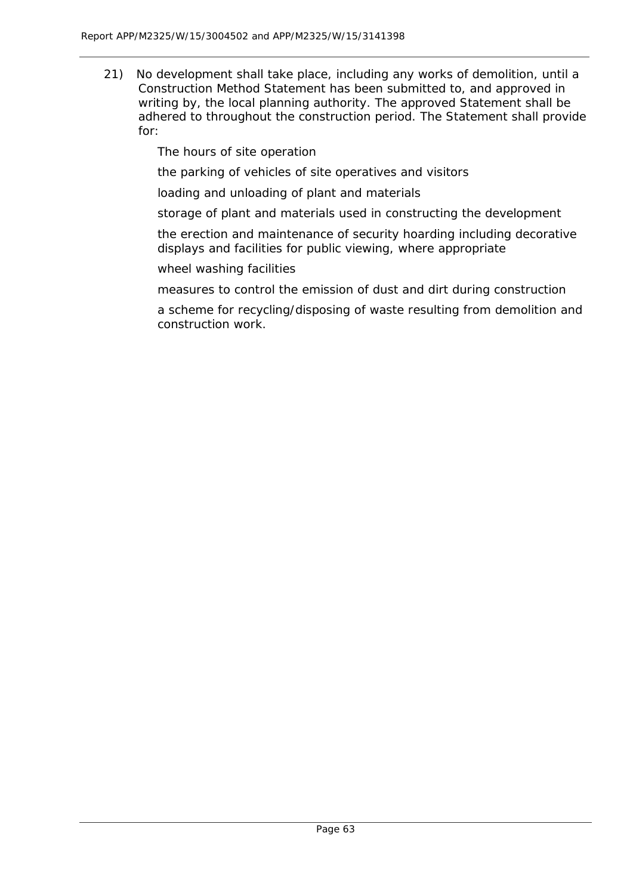21) No development shall take place, including any works of demolition, until a Construction Method Statement has been submitted to, and approved in writing by, the local planning authority. The approved Statement shall be adhered to throughout the construction period. The Statement shall provide for:

The hours of site operation

the parking of vehicles of site operatives and visitors

loading and unloading of plant and materials

storage of plant and materials used in constructing the development

the erection and maintenance of security hoarding including decorative displays and facilities for public viewing, where appropriate

wheel washing facilities

measures to control the emission of dust and dirt during construction

a scheme for recycling/disposing of waste resulting from demolition and construction work.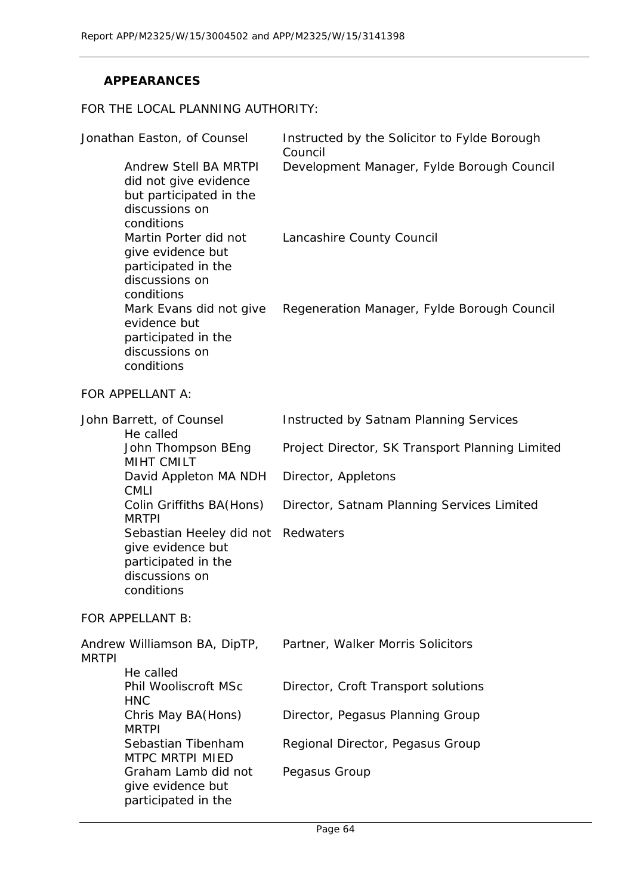## **APPEARANCES**

#### FOR THE LOCAL PLANNING AUTHORITY:

| Jonathan Easton, of Counsel                                                                                                                                                                         |                                                                           | Instructed by the Solicitor to Fylde Borough<br>Council |  |
|-----------------------------------------------------------------------------------------------------------------------------------------------------------------------------------------------------|---------------------------------------------------------------------------|---------------------------------------------------------|--|
| discussions on<br>conditions                                                                                                                                                                        | Andrew Stell BA MRTPI<br>did not give evidence<br>but participated in the | Development Manager, Fylde Borough Council              |  |
| Martin Porter did not<br>give evidence but<br>participated in the<br>discussions on<br>conditions<br>Mark Evans did not give<br>evidence but<br>participated in the<br>discussions on<br>conditions |                                                                           | Lancashire County Council                               |  |
|                                                                                                                                                                                                     |                                                                           | Regeneration Manager, Fylde Borough Council             |  |
| FOR APPELLANT A:                                                                                                                                                                                    |                                                                           |                                                         |  |
| John Barrett, of Counsel<br>He called                                                                                                                                                               |                                                                           | Instructed by Satnam Planning Services                  |  |
| <b>MIHT CMILT</b>                                                                                                                                                                                   | John Thompson BEng                                                        | Project Director, SK Transport Planning Limited         |  |
| <b>CMLI</b>                                                                                                                                                                                         | David Appleton MA NDH                                                     | Director, Appletons                                     |  |
| Colin Griffiths BA(Hons)<br><b>MRTPI</b>                                                                                                                                                            |                                                                           | Director, Satnam Planning Services Limited              |  |
| discussions on<br>conditions                                                                                                                                                                        | Sebastian Heeley did not<br>give evidence but<br>participated in the      | Redwaters                                               |  |
| FOR APPELLANT B:                                                                                                                                                                                    |                                                                           |                                                         |  |
| Andrew Williamson BA, DipTP,<br><b>MRTPI</b>                                                                                                                                                        |                                                                           | Partner, Walker Morris Solicitors                       |  |
| He called<br><b>HNC</b>                                                                                                                                                                             | Phil Wooliscroft MSc                                                      | Director, Croft Transport solutions                     |  |
| Chris May BA(Hons)<br><b>MRTPI</b><br>Sebastian Tibenham<br><b>MTPC MRTPI MIED</b>                                                                                                                  |                                                                           | Director, Pegasus Planning Group                        |  |
|                                                                                                                                                                                                     |                                                                           | Regional Director, Pegasus Group                        |  |
|                                                                                                                                                                                                     | Graham Lamb did not<br>give evidence but<br>participated in the           | Pegasus Group                                           |  |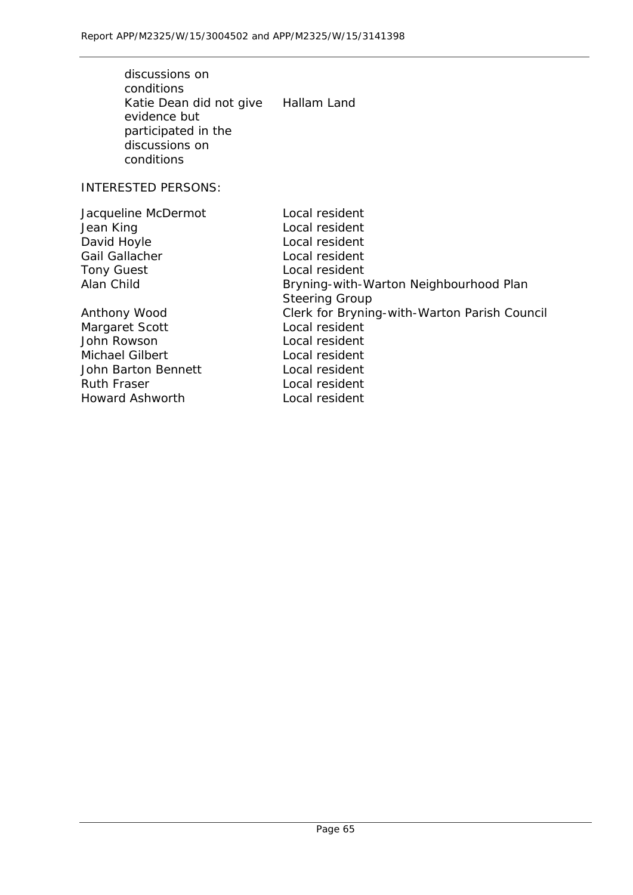| discussions on<br>conditions<br>Katie Dean did not give Hallam Land<br>evidence but<br>participated in the<br>discussions on<br>conditions |                                                                                                                                                           |
|--------------------------------------------------------------------------------------------------------------------------------------------|-----------------------------------------------------------------------------------------------------------------------------------------------------------|
| <b>INTERESTED PERSONS:</b>                                                                                                                 |                                                                                                                                                           |
| Jacqueline McDermot<br>Jean King<br>David Hoyle<br>Gail Gallacher<br><b>Tony Guest</b><br>Alan Child                                       | Local resident<br>Local resident<br>Local resident<br>Local resident<br>Local resident<br>Bryning-with-Warton Neighbourhood Plan<br><b>Steering Group</b> |
| Anthony Wood<br>Margaret Scott<br>John Rowson<br><b>Michael Gilbert</b><br>John Barton Bennett<br><b>Ruth Fraser</b>                       | Clerk for Bryning-with-Warton Parish Council<br>Local resident<br>Local resident<br>Local resident<br>Local resident<br>Local resident                    |
| Howard Ashworth                                                                                                                            | Local resident                                                                                                                                            |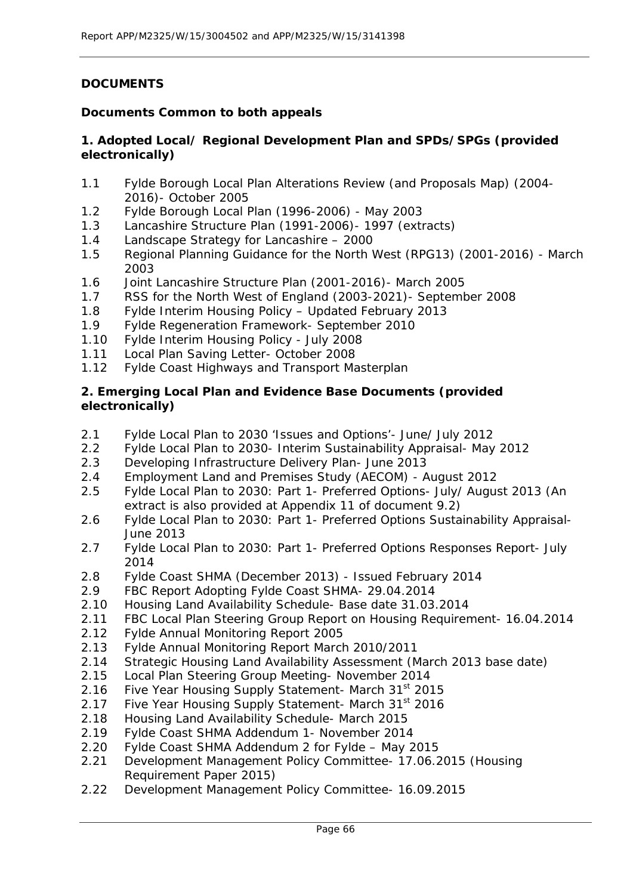## **DOCUMENTS**

## **Documents Common to both appeals**

## **1. Adopted Local/ Regional Development Plan and SPDs/SPGs (provided electronically)**

- 1.1 Fylde Borough Local Plan Alterations Review (and Proposals Map) (2004- 2016)- October 2005
- 1.2 Fylde Borough Local Plan (1996-2006) May 2003
- 1.3 Lancashire Structure Plan (1991-2006)- 1997 *(extracts)*
- 1.4 Landscape Strategy for Lancashire 2000
- 1.5 Regional Planning Guidance for the North West (RPG13) (2001-2016) March 2003
- 1.6 Joint Lancashire Structure Plan (2001-2016)- March 2005
- 1.7 RSS for the North West of England (2003-2021)- September 2008
- 1.8 Fylde Interim Housing Policy Updated February 2013
- 1.9 Fylde Regeneration Framework- September 2010
- 1.10 Fylde Interim Housing Policy July 2008
- 1.11 Local Plan Saving Letter- October 2008
- 1.12 Fylde Coast Highways and Transport Masterplan

#### **2. Emerging Local Plan and Evidence Base Documents (provided electronically)**

- 2.1 Fylde Local Plan to 2030 'Issues and Options'- June/ July 2012
- 2.2 Fylde Local Plan to 2030- Interim Sustainability Appraisal- May 2012
- 2.3 Developing Infrastructure Delivery Plan- June 2013
- 2.4 Employment Land and Premises Study (AECOM) August 2012
- 2.5 Fylde Local Plan to 2030: Part 1- Preferred Options- July/ August 2013 (An extract is also provided at Appendix 11 of document 9.2)
- 2.6 Fylde Local Plan to 2030: Part 1- Preferred Options Sustainability Appraisal-June 2013
- 2.7 Fylde Local Plan to 2030: Part 1- Preferred Options Responses Report- July 2014
- 2.8 Fylde Coast SHMA (December 2013) Issued February 2014
- 2.9 FBC Report Adopting Fylde Coast SHMA- 29.04.2014
- 2.10 Housing Land Availability Schedule- Base date 31.03.2014
- 2.11 FBC Local Plan Steering Group Report on Housing Requirement- 16.04.2014
- 2.12 Fylde Annual Monitoring Report 2005
- 2.13 Fylde Annual Monitoring Report March 2010/2011
- 2.14 Strategic Housing Land Availability Assessment (March 2013 base date)
- 2.15 Local Plan Steering Group Meeting- November 2014
- 2.16 Five Year Housing Supply Statement- March 31<sup>st</sup> 2015
- 2.17 Five Year Housing Supply Statement- March 31<sup>st</sup> 2016
- 2.18 Housing Land Availability Schedule- March 2015
- 2.19 Fylde Coast SHMA Addendum 1- November 2014
- 2.20 Fylde Coast SHMA Addendum 2 for Fylde May 2015
- 2.21 Development Management Policy Committee- 17.06.2015 (Housing Requirement Paper 2015)
- 2.22 Development Management Policy Committee- 16.09.2015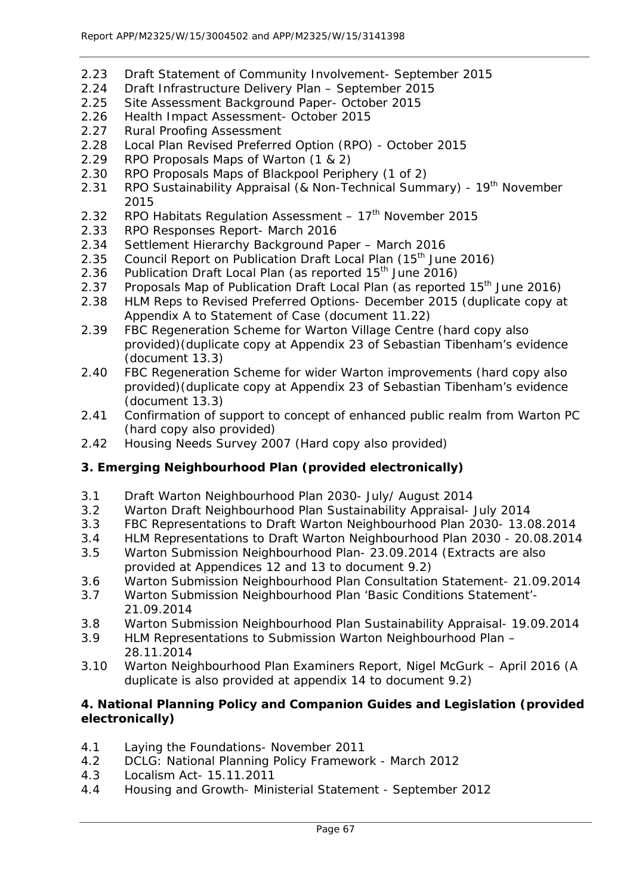- 2.23 Draft Statement of Community Involvement- September 2015
- 2.24 Draft Infrastructure Delivery Plan September 2015
- 2.25 Site Assessment Background Paper- October 2015
- 2.26 Health Impact Assessment- October 2015
- 2.27 Rural Proofing Assessment
- 2.28 Local Plan Revised Preferred Option (RPO) October 2015
- 2.29 RPO Proposals Maps of Warton (1 & 2)
- 2.30 RPO Proposals Maps of Blackpool Periphery (1 of 2)
- 2.31 RPO Sustainability Appraisal (& Non-Technical Summary) 19<sup>th</sup> November 2015
- 2.32 RPO Habitats Regulation Assessment  $-17<sup>th</sup>$  November 2015
- 2.33 RPO Responses Report- March 2016
- 2.34 Settlement Hierarchy Background Paper March 2016
- 2.35 Council Report on Publication Draft Local Plan (15<sup>th</sup> June 2016)
- 2.36 Publication Draft Local Plan (as reported  $15<sup>th</sup>$  June 2016)
- 2.37 Proposals Map of Publication Draft Local Plan (as reported 15<sup>th</sup> June 2016)
- 2.38 HLM Reps to Revised Preferred Options- December 2015 (duplicate copy at Appendix A to Statement of Case (document 11.22)
- 2.39 FBC Regeneration Scheme for Warton Village Centre (hard copy also provided)(duplicate copy at Appendix 23 of Sebastian Tibenham's evidence (document 13.3)
- 2.40 FBC Regeneration Scheme for wider Warton improvements (hard copy also provided)(duplicate copy at Appendix 23 of Sebastian Tibenham's evidence (document 13.3)
- 2.41 Confirmation of support to concept of enhanced public realm from Warton PC (hard copy also provided)
- 2.42 Housing Needs Survey 2007 (Hard copy also provided)

# **3. Emerging Neighbourhood Plan (provided electronically)**

- 3.1 Draft Warton Neighbourhood Plan 2030- July/ August 2014
- 3.2 Warton Draft Neighbourhood Plan Sustainability Appraisal- July 2014
- 3.3 FBC Representations to Draft Warton Neighbourhood Plan 2030- 13.08.2014
- 3.4 HLM Representations to Draft Warton Neighbourhood Plan 2030 20.08.2014
- 3.5 Warton Submission Neighbourhood Plan- 23.09.2014 (Extracts are also provided at Appendices 12 and 13 to document 9.2)
- 3.6 Warton Submission Neighbourhood Plan Consultation Statement- 21.09.2014
- 3.7 Warton Submission Neighbourhood Plan 'Basic Conditions Statement'- 21.09.2014
- 3.8 Warton Submission Neighbourhood Plan Sustainability Appraisal- 19.09.2014
- 3.9 HLM Representations to Submission Warton Neighbourhood Plan 28.11.2014
- 3.10 Warton Neighbourhood Plan Examiners Report, Nigel McGurk April 2016 (A duplicate is also provided at appendix 14 to document 9.2)

## **4. National Planning Policy and Companion Guides and Legislation (provided electronically)**

- 4.1 Laying the Foundations- November 2011
- 4.2 DCLG: National Planning Policy Framework March 2012
- 4.3 Localism Act- 15.11.2011
- 4.4 Housing and Growth- Ministerial Statement September 2012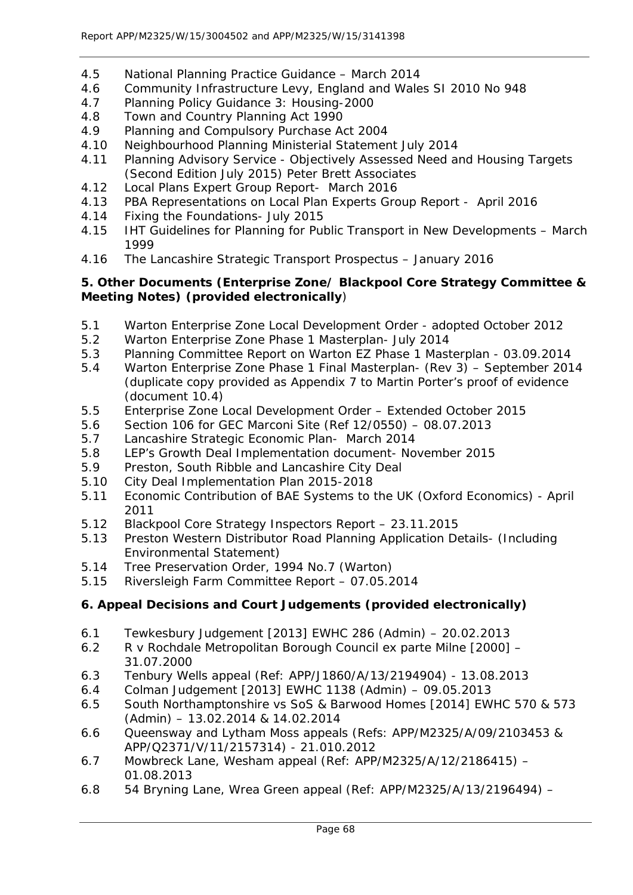- 4.5 National Planning Practice Guidance March 2014
- 4.6 Community Infrastructure Levy, England and Wales SI 2010 No 948
- 4.7 Planning Policy Guidance 3: Housing-2000
- 4.8 Town and Country Planning Act 1990
- 4.9 Planning and Compulsory Purchase Act 2004
- 4.10 Neighbourhood Planning Ministerial Statement July 2014
- 4.11 Planning Advisory Service Objectively Assessed Need and Housing Targets (Second Edition July 2015) Peter Brett Associates
- 4.12 Local Plans Expert Group Report- March 2016
- 4.13 PBA Representations on Local Plan Experts Group Report April 2016
- 4.14 Fixing the Foundations- July 2015
- 4.15 IHT Guidelines for Planning for Public Transport in New Developments March 1999
- 4.16 The Lancashire Strategic Transport Prospectus January 2016

## **5. Other Documents (Enterprise Zone/ Blackpool Core Strategy Committee & Meeting Notes) (provided electronically**)

- 5.1 Warton Enterprise Zone Local Development Order adopted October 2012
- 5.2 Warton Enterprise Zone Phase 1 Masterplan- July 2014
- 5.3 Planning Committee Report on Warton EZ Phase 1 Masterplan 03.09.2014
- 5.4 Warton Enterprise Zone Phase 1 Final Masterplan- (Rev 3) September 2014 (duplicate copy provided as Appendix 7 to Martin Porter's proof of evidence (document 10.4)
- 5.5 Enterprise Zone Local Development Order Extended October 2015
- 5.6 Section 106 for GEC Marconi Site (Ref 12/0550) 08.07.2013
- 5.7 Lancashire Strategic Economic Plan- March 2014
- 5.8 LEP's Growth Deal Implementation document- November 2015
- 5.9 Preston, South Ribble and Lancashire City Deal
- 5.10 City Deal Implementation Plan 2015-2018
- 5.11 Economic Contribution of BAE Systems to the UK (Oxford Economics) April 2011
- 5.12 Blackpool Core Strategy Inspectors Report 23.11.2015
- 5.13 Preston Western Distributor Road Planning Application Details- (Including Environmental Statement)
- 5.14 Tree Preservation Order, 1994 No.7 (Warton)
- 5.15 Riversleigh Farm Committee Report 07.05.2014

# **6. Appeal Decisions and Court Judgements (provided electronically)**

- 6.1 Tewkesbury Judgement [2013] EWHC 286 (Admin) 20.02.2013
- 6.2 R v Rochdale Metropolitan Borough Council ex parte Milne [2000] 31.07.2000
- 6.3 Tenbury Wells appeal (Ref: APP/J1860/A/13/2194904) 13.08.2013
- 6.4 Colman Judgement [2013] EWHC 1138 (Admin) 09.05.2013
- 6.5 South Northamptonshire vs SoS & Barwood Homes [2014] EWHC 570 & 573 (Admin) – 13.02.2014 & 14.02.2014
- 6.6 Queensway and Lytham Moss appeals (Refs: APP/M2325/A/09/2103453 & APP/Q2371/V/11/2157314) - 21.010.2012
- 6.7 Mowbreck Lane, Wesham appeal (Ref: APP/M2325/A/12/2186415) 01.08.2013
- 6.8 54 Bryning Lane, Wrea Green appeal (Ref: APP/M2325/A/13/2196494) –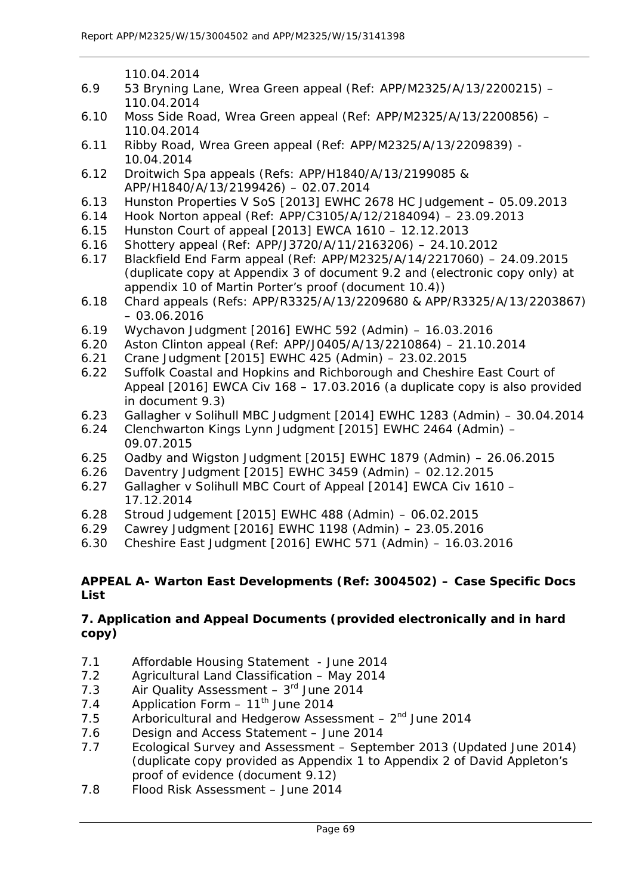110.04.2014

- 6.9 53 Bryning Lane, Wrea Green appeal (Ref: APP/M2325/A/13/2200215) 110.04.2014
- 6.10 Moss Side Road, Wrea Green appeal (Ref: APP/M2325/A/13/2200856) 110.04.2014
- 6.11 Ribby Road, Wrea Green appeal (Ref: APP/M2325/A/13/2209839) 10.04.2014
- 6.12 Droitwich Spa appeals (Refs: APP/H1840/A/13/2199085 & APP/H1840/A/13/2199426) – 02.07.2014
- 6.13 Hunston Properties V SoS [2013] EWHC 2678 HC Judgement 05.09.2013
- 6.14 Hook Norton appeal (Ref: APP/C3105/A/12/2184094) 23.09.2013
- 6.15 Hunston Court of appeal [2013] EWCA 1610 12.12.2013
- 6.16 Shottery appeal (Ref: APP/J3720/A/11/2163206) 24.10.2012
- 6.17 Blackfield End Farm appeal (Ref: APP/M2325/A/14/2217060) 24.09.2015 (duplicate copy at Appendix 3 of document 9.2 and (electronic copy only) at appendix 10 of Martin Porter's proof (document 10.4))
- 6.18 Chard appeals (Refs: APP/R3325/A/13/2209680 & APP/R3325/A/13/2203867) – 03.06.2016
- 6.19 Wychavon Judgment [2016] EWHC 592 (Admin) 16.03.2016
- 6.20 Aston Clinton appeal (Ref: APP/J0405/A/13/2210864) 21.10.2014
- 6.21 Crane Judgment [2015] EWHC 425 (Admin) 23.02.2015
- 6.22 Suffolk Coastal and Hopkins and Richborough and Cheshire East Court of Appeal [2016] EWCA Civ 168 – 17.03.2016 (a duplicate copy is also provided in document 9.3)
- 6.23 Gallagher v Solihull MBC Judgment [2014] EWHC 1283 (Admin) 30.04.2014
- 6.24 Clenchwarton Kings Lynn Judgment [2015] EWHC 2464 (Admin) 09.07.2015
- 6.25 Oadby and Wigston Judgment [2015] EWHC 1879 (Admin) 26.06.2015
- 6.26 Daventry Judgment [2015] EWHC 3459 (Admin) 02.12.2015
- 6.27 Gallagher v Solihull MBC Court of Appeal [2014] EWCA Civ 1610 17.12.2014
- 6.28 Stroud Judgement [2015] EWHC 488 (Admin) 06.02.2015
- 6.29 Cawrey Judgment [2016] EWHC 1198 (Admin) 23.05.2016
- 6.30 Cheshire East Judgment [2016] EWHC 571 (Admin) 16.03.2016

## **APPEAL A- Warton East Developments (Ref: 3004502) – Case Specific Docs List**

## **7. Application and Appeal Documents (provided electronically and in hard copy)**

- 7.1 Affordable Housing Statement June 2014
- 7.2 Agricultural Land Classification May 2014
- 7.3 Air Quality Assessment  $-3<sup>rd</sup>$  June 2014
- 7.4 Application Form  $-11^{th}$  June 2014
- 7.5 Arboricultural and Hedgerow Assessment  $2<sup>nd</sup>$  June 2014
- 7.6 Design and Access Statement June 2014
- 7.7 Ecological Survey and Assessment September 2013 (Updated June 2014) (duplicate copy provided as Appendix 1 to Appendix 2 of David Appleton's proof of evidence (document 9.12)
- 7.8 Flood Risk Assessment June 2014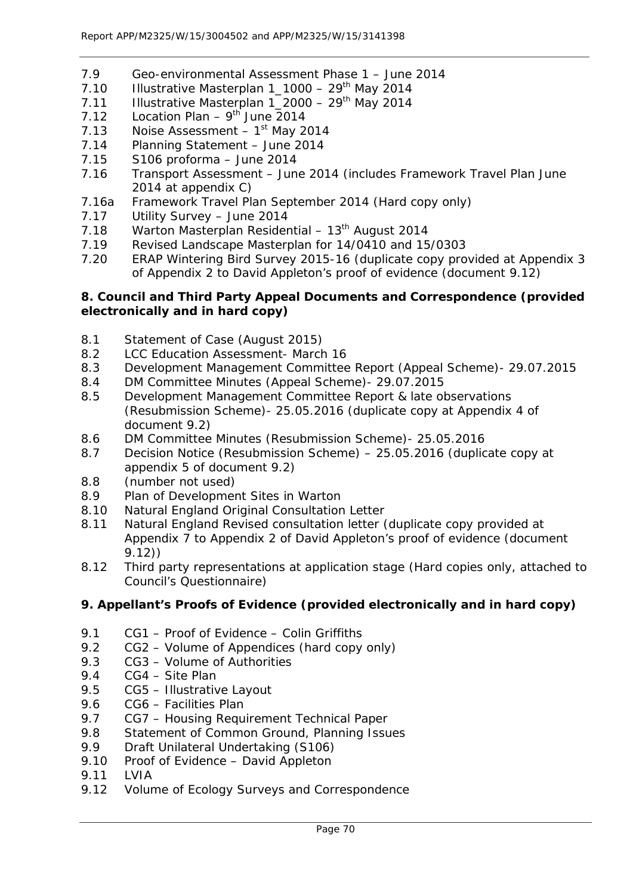- 7.9 Geo-environmental Assessment Phase 1 June 2014
- 7.10 Illustrative Masterplan  $1\_1000 29$ <sup>th</sup> May 2014
- 7.11 Illustrative Masterplan  $1\overline{2000} 29^{th}$  May 2014
- 7.12 Location Plan  $9^{th}$  June 2014
- 7.13 Noise Assessment  $-1<sup>st</sup>$  May 2014
- 7.14 Planning Statement June 2014
- 7.15 S106 proforma June 2014
- 7.16 Transport Assessment June 2014 (includes Framework Travel Plan June 2014 at appendix C)
- 7.16a Framework Travel Plan September 2014 (Hard copy only)
- 7.17 Utility Survey June 2014
- 7.18 Warton Masterplan Residential  $13<sup>th</sup>$  August 2014
- 7.19 Revised Landscape Masterplan for 14/0410 and 15/0303
- 7.20 ERAP Wintering Bird Survey 2015-16 (duplicate copy provided at Appendix 3 of Appendix 2 to David Appleton's proof of evidence (document 9.12)

## **8. Council and Third Party Appeal Documents and Correspondence (provided electronically and in hard copy)**

- 8.1 Statement of Case (August 2015)
- 8.2 LCC Education Assessment- March 16
- 8.3 Development Management Committee Report (Appeal Scheme)- 29.07.2015
- 8.4 DM Committee Minutes (Appeal Scheme)- 29.07.2015
- 8.5 Development Management Committee Report & late observations (Resubmission Scheme)- 25.05.2016 (duplicate copy at Appendix 4 of document 9.2)
- 8.6 DM Committee Minutes (Resubmission Scheme)- 25.05.2016
- 8.7 Decision Notice (Resubmission Scheme) 25.05.2016 (duplicate copy at appendix 5 of document 9.2)
- 8.8 (number not used)
- 8.9 Plan of Development Sites in Warton
- 8.10 Natural England Original Consultation Letter
- 8.11 Natural England Revised consultation letter (duplicate copy provided at Appendix 7 to Appendix 2 of David Appleton's proof of evidence (document 9.12))
- 8.12 Third party representations at application stage (Hard copies only, attached to Council's Questionnaire)

## **9. Appellant's Proofs of Evidence (provided electronically and in hard copy)**

- 9.1 CG1 Proof of Evidence Colin Griffiths
- 9.2 CG2 Volume of Appendices (hard copy only)
- 9.3 CG3 Volume of Authorities
- 9.4 CG4 Site Plan
- 9.5 CG5 Illustrative Layout
- 9.6 CG6 Facilities Plan
- 9.7 CG7 Housing Requirement Technical Paper
- 9.8 Statement of Common Ground, Planning Issues
- 9.9 Draft Unilateral Undertaking (S106)
- 9.10 Proof of Evidence David Appleton
- 9.11 LVIA
- 9.12 Volume of Ecology Surveys and Correspondence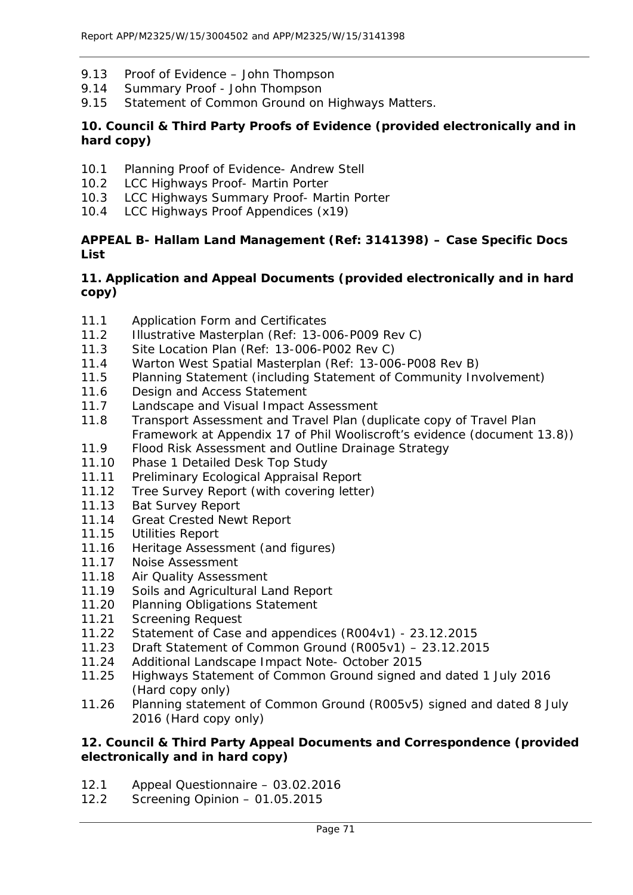- 9.13 Proof of Evidence John Thompson
- 9.14 Summary Proof John Thompson
- 9.15 Statement of Common Ground on Highways Matters.

## **10. Council & Third Party Proofs of Evidence (provided electronically and in hard copy)**

- 10.1 Planning Proof of Evidence- Andrew Stell
- 10.2 LCC Highways Proof- Martin Porter
- 10.3 LCC Highways Summary Proof- Martin Porter
- 10.4 LCC Highways Proof Appendices (x19)

#### **APPEAL B- Hallam Land Management (Ref: 3141398) – Case Specific Docs List**

#### **11. Application and Appeal Documents (provided electronically and in hard copy)**

- 11.1 Application Form and Certificates
- 11.2 Illustrative Masterplan (Ref: 13-006-P009 Rev C)
- 11.3 Site Location Plan (Ref: 13-006-P002 Rev C)
- 11.4 Warton West Spatial Masterplan (Ref: 13-006-P008 Rev B)
- 11.5 Planning Statement (including Statement of Community Involvement)
- 11.6 Design and Access Statement
- 11.7 Landscape and Visual Impact Assessment
- 11.8 Transport Assessment and Travel Plan (duplicate copy of Travel Plan Framework at Appendix 17 of Phil Wooliscroft's evidence (document 13.8))
- 11.9 Flood Risk Assessment and Outline Drainage Strategy
- 11.10 Phase 1 Detailed Desk Top Study
- 11.11 Preliminary Ecological Appraisal Report
- 11.12 Tree Survey Report (with covering letter)
- 11.13 Bat Survey Report
- 11.14 Great Crested Newt Report
- 11.15 Utilities Report
- 11.16 Heritage Assessment (and figures)
- 11.17 Noise Assessment<br>11.18 Air Quality Assessi
- Air Quality Assessment
- 11.19 Soils and Agricultural Land Report
- 11.20 Planning Obligations Statement
- 11.21 Screening Request
- 11.22 Statement of Case and appendices (R004v1) 23.12.2015
- 11.23 Draft Statement of Common Ground (R005v1) 23.12.2015
- 11.24 Additional Landscape Impact Note- October 2015
- 11.25 Highways Statement of Common Ground signed and dated 1 July 2016 (Hard copy only)
- 11.26 Planning statement of Common Ground (R005v5) signed and dated 8 July 2016 (Hard copy only)

## **12. Council & Third Party Appeal Documents and Correspondence (provided electronically and in hard copy)**

- 12.1 Appeal Questionnaire 03.02.2016<br>12.2 Screening Opinion 01.05.2015
- Screening Opinion 01.05.2015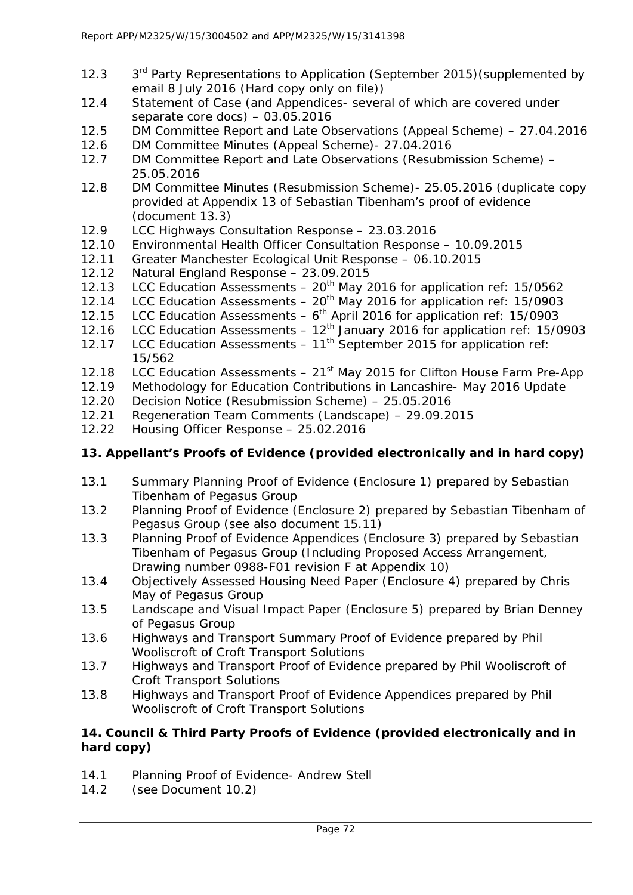- 12.3 3<sup>rd</sup> Party Representations to Application (September 2015)(supplemented by email 8 July 2016 (Hard copy only on file))
- 12.4 Statement of Case (and Appendices- several of which are covered under separate core docs) – 03.05.2016
- 12.5 DM Committee Report and Late Observations (Appeal Scheme) 27.04.2016
- 12.6 DM Committee Minutes (Appeal Scheme)- 27.04.2016
- 12.7 DM Committee Report and Late Observations (Resubmission Scheme) 25.05.2016
- 12.8 DM Committee Minutes (Resubmission Scheme)- 25.05.2016 (duplicate copy provided at Appendix 13 of Sebastian Tibenham's proof of evidence (document 13.3)
- 12.9 LCC Highways Consultation Response 23.03.2016
- 12.10 Environmental Health Officer Consultation Response 10.09.2015
- 12.11 Greater Manchester Ecological Unit Response 06.10.2015
- 12.12 Natural England Response 23.09.2015
- 12.13 LCC Education Assessments  $-20^{th}$  May 2016 for application ref: 15/0562
- 12.14 LCC Education Assessments  $20<sup>th</sup>$  May 2016 for application ref: 15/0903
- 12.15 LCC Education Assessments  $-6$ <sup>th</sup> April 2016 for application ref: 15/0903
- 12.16 LCC Education Assessments  $-12^{th}$  January 2016 for application ref: 15/0903
- 12.17 LCC Education Assessments  $-11^{th}$  September 2015 for application ref: 15/562
- 12.18 LCC Education Assessments  $-21<sup>st</sup>$  May 2015 for Clifton House Farm Pre-App
- 12.19 Methodology for Education Contributions in Lancashire- May 2016 Update
- 12.20 Decision Notice (Resubmission Scheme) 25.05.2016
- 12.21 Regeneration Team Comments (Landscape) 29.09.2015
- 12.22 Housing Officer Response 25.02.2016

## **13. Appellant's Proofs of Evidence (provided electronically and in hard copy)**

- 13.1 Summary Planning Proof of Evidence (Enclosure 1) prepared by Sebastian Tibenham of Pegasus Group
- 13.2 Planning Proof of Evidence (Enclosure 2) prepared by Sebastian Tibenham of Pegasus Group (see also document 15.11)
- 13.3 Planning Proof of Evidence Appendices (Enclosure 3) prepared by Sebastian Tibenham of Pegasus Group (Including Proposed Access Arrangement, Drawing number 0988-F01 revision F at Appendix 10)
- 13.4 Objectively Assessed Housing Need Paper (Enclosure 4) prepared by Chris May of Pegasus Group
- 13.5 Landscape and Visual Impact Paper (Enclosure 5) prepared by Brian Denney of Pegasus Group
- 13.6 Highways and Transport Summary Proof of Evidence prepared by Phil Wooliscroft of Croft Transport Solutions
- 13.7 Highways and Transport Proof of Evidence prepared by Phil Wooliscroft of Croft Transport Solutions
- 13.8 Highways and Transport Proof of Evidence Appendices prepared by Phil Wooliscroft of Croft Transport Solutions

## **14. Council & Third Party Proofs of Evidence (provided electronically and in hard copy)**

- 14.1 Planning Proof of Evidence- Andrew Stell
- 14.2 (see Document 10.2)